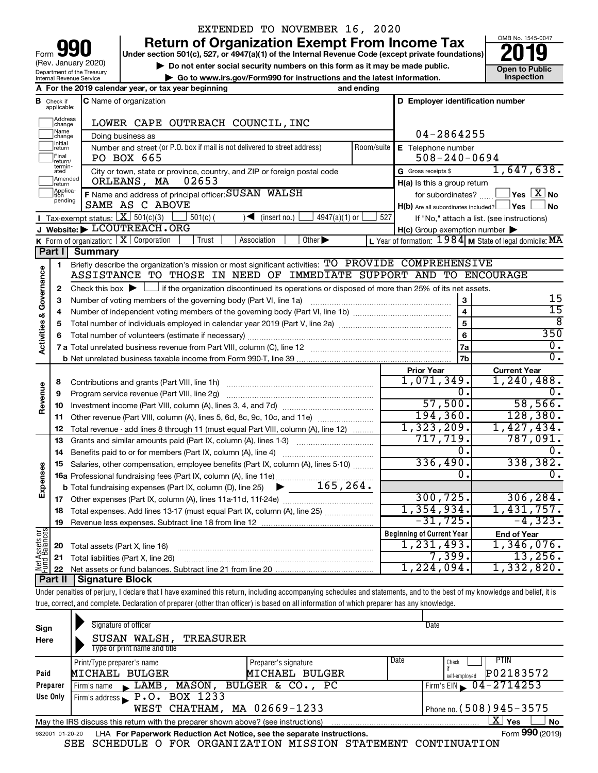| 90<br>Form                                             |
|--------------------------------------------------------|
| (Rev. January 2020)                                    |
| Department of the Treasury<br>Internal Revenue Service |

### EXTENDED TO NOVEMBER 16, 2020

**your Beart of Organization Exempt From Income Tax Properties and Solution Solutions Properties and Solutions Properties and Solutions Properties and Solutions Properties and Solutions Properties and Solutions** 

**b** Do not enter social security numbers on this form as it may be made public.<br> **Go to www.irs.gov/Form990 for instructions and the latest information. This impection | Go to www.irs.gov/Form990 for instructions and the latest information. Inspection**

**A For the 2019 calendar year, or tax year beginning and ending**



|                         |                              | A For the 2019 calendar year, or tax year beginning                                                                                         | and ending     |                                                         |                                                           |
|-------------------------|------------------------------|---------------------------------------------------------------------------------------------------------------------------------------------|----------------|---------------------------------------------------------|-----------------------------------------------------------|
| в                       | Check if<br>applicable:      | <b>C</b> Name of organization                                                                                                               |                | D Employer identification number                        |                                                           |
|                         | Address<br>change            | LOWER CAPE OUTREACH COUNCIL, INC                                                                                                            |                |                                                         |                                                           |
|                         | Name<br>change               | Doing business as                                                                                                                           |                | 04-2864255                                              |                                                           |
|                         | <b>Initial</b><br>return     | Number and street (or P.O. box if mail is not delivered to street address)                                                                  | Room/suite     | E Telephone number                                      |                                                           |
|                         | Final<br>return/             | PO BOX 665                                                                                                                                  |                | $508 - 240 - 0694$                                      |                                                           |
|                         | termin-<br>ated              | City or town, state or province, country, and ZIP or foreign postal code                                                                    |                | G Gross receipts \$                                     | 1,647,638.                                                |
|                         | Amended<br>return            | ORLEANS, MA<br>02653                                                                                                                        |                | $H(a)$ is this a group return                           |                                                           |
|                         | Applica-<br>Ition<br>pending | F Name and address of principal officer: SUSAN WALSH                                                                                        |                | for subordinates?                                       | $\,$ Yes $\,$ $\rm X$ $\,$ No $\,$                        |
|                         |                              | SAME AS C ABOVE                                                                                                                             |                | $H(b)$ Are all subordinates included? $\Box$ Yes $\Box$ | ⊿ No                                                      |
|                         |                              | Tax-exempt status: $X \ 501(c)(3)$<br>$4947(a)(1)$ or<br>$501(c)$ (<br>$\sqrt{\bullet}$ (insert no.)                                        | 527            |                                                         | If "No," attach a list. (see instructions)                |
|                         |                              | J Website: LCOUTREACH. ORG                                                                                                                  |                | $H(c)$ Group exemption number $\blacktriangleright$     |                                                           |
|                         |                              | K Form of organization: $X$ Corporation<br>Other $\blacktriangleright$<br>Trust<br>Association                                              |                |                                                         | L Year of formation: $1984$ M State of legal domicile: MA |
|                         | Part I                       | <b>Summary</b>                                                                                                                              |                |                                                         |                                                           |
|                         | $\mathbf{1}$                 | Briefly describe the organization's mission or most significant activities: TO PROVIDE COMPREHENSIVE                                        |                |                                                         |                                                           |
|                         |                              | ASSISTANCE TO THOSE IN NEED OF IMMEDIATE SUPPORT AND TO ENCOURAGE                                                                           |                |                                                         |                                                           |
| Activities & Governance | $\mathbf{2}$                 | Check this box $\blacktriangleright$ $\Box$ if the organization discontinued its operations or disposed of more than 25% of its net assets. |                |                                                         |                                                           |
|                         | 3                            | Number of voting members of the governing body (Part VI, line 1a)                                                                           |                | 3                                                       | 15                                                        |
|                         | 4                            |                                                                                                                                             |                | $\overline{\mathbf{4}}$                                 | 15                                                        |
|                         | 5                            |                                                                                                                                             | $\overline{5}$ | 8                                                       |                                                           |
|                         | 6                            |                                                                                                                                             |                | 6                                                       | 350                                                       |
|                         |                              |                                                                                                                                             |                | 7a                                                      | О.                                                        |
|                         |                              |                                                                                                                                             | 7b             | $\overline{0}$ .                                        |                                                           |
|                         |                              |                                                                                                                                             |                | <b>Prior Year</b>                                       | <b>Current Year</b>                                       |
|                         | 8                            | Contributions and grants (Part VIII, line 1h)                                                                                               |                | 1,071,349.                                              | 1,240,488.                                                |
| Revenue                 | 9                            | Program service revenue (Part VIII, line 2g)                                                                                                |                | 0.                                                      | 0.                                                        |
|                         | 10                           |                                                                                                                                             |                | 57,500.                                                 | 58,566.                                                   |
|                         | 11                           | Other revenue (Part VIII, column (A), lines 5, 6d, 8c, 9c, 10c, and 11e)                                                                    |                | 194, 360.                                               | 128, 380.                                                 |
|                         | 12                           | Total revenue - add lines 8 through 11 (must equal Part VIII, column (A), line 12)                                                          |                | 1,323,209.                                              | 1,427,434.                                                |
|                         | 13                           | Grants and similar amounts paid (Part IX, column (A), lines 1-3)                                                                            |                | 717,719.                                                | 787,091.                                                  |
|                         | 14                           | Benefits paid to or for members (Part IX, column (A), line 4)                                                                               |                | 0.                                                      | 0.                                                        |
|                         | 15                           | Salaries, other compensation, employee benefits (Part IX, column (A), lines 5-10)                                                           |                | 336,490.                                                | 338,382.                                                  |
| Expenses                |                              | 16a Professional fundraising fees (Part IX, column (A), line 11e)                                                                           |                | Ω.                                                      | 0.                                                        |
|                         |                              | 165, 264.<br><b>b</b> Total fundraising expenses (Part IX, column (D), line 25) $\triangleright$                                            |                |                                                         |                                                           |
|                         |                              |                                                                                                                                             |                | 300, 725.                                               | 306, 284.                                                 |
|                         | 18                           | Total expenses. Add lines 13-17 (must equal Part IX, column (A), line 25) <i></i>                                                           |                | 1,354,934.                                              | 1,431,757.                                                |
|                         | 19                           |                                                                                                                                             |                | $-31, 725.$                                             | $-4,323.$                                                 |
| Assets or               |                              |                                                                                                                                             |                | <b>Beginning of Current Year</b>                        | <b>End of Year</b>                                        |
|                         | 20                           | Total assets (Part X, line 16)                                                                                                              |                | 1, 231, 493.                                            | 1,346,076.                                                |
|                         | 21                           | Total liabilities (Part X, line 26)                                                                                                         |                | 7,399.                                                  | 13,256.                                                   |
| 뽏                       | 22                           |                                                                                                                                             |                | 1,224,094.                                              | 1,332,820.                                                |
|                         |                              | <b>Part II   Signature Block</b>                                                                                                            |                |                                                         |                                                           |

Under penalties of perjury, I declare that I have examined this return, including accompanying schedules and statements, and to the best of my knowledge and belief, it is true, correct, and complete. Declaration of preparer (other than officer) is based on all information of which preparer has any knowledge.

| Sign     | Signature of officer                                                                                         |                              | Date                                |  |  |  |  |  |
|----------|--------------------------------------------------------------------------------------------------------------|------------------------------|-------------------------------------|--|--|--|--|--|
| Here     | SUSAN WALSH, TREASURER                                                                                       |                              |                                     |  |  |  |  |  |
|          | Type or print name and title                                                                                 |                              |                                     |  |  |  |  |  |
|          | Print/Type preparer's name                                                                                   | Date<br>Preparer's signature | <b>PTIN</b><br>Check                |  |  |  |  |  |
| Paid     | MICHAEL BULGER                                                                                               | MICHAEL BULGER               | P02183572<br>self-employed          |  |  |  |  |  |
| Preparer | Firm's name $\blacktriangleright$ LAMB,                                                                      | MASON, BULGER & CO., PC      | Firm's EIN $\rightarrow$ 04-2714253 |  |  |  |  |  |
| Use Only | Firm's address $\blacktriangleright$ P.O. BOX 1233                                                           |                              |                                     |  |  |  |  |  |
|          | WEST CHATHAM, MA 02669-1233                                                                                  |                              | Phone no. (508) 945-3575            |  |  |  |  |  |
|          | ΧI<br><b>No</b><br>May the IRS discuss this return with the preparer shown above? (see instructions)<br>Yes  |                              |                                     |  |  |  |  |  |
|          | Form 990 (2019)<br>LHA For Paperwork Reduction Act Notice, see the separate instructions.<br>932001 01-20-20 |                              |                                     |  |  |  |  |  |

SEE SCHEDULE O FOR ORGANIZATION MISSION STATEMENT CONTINUATION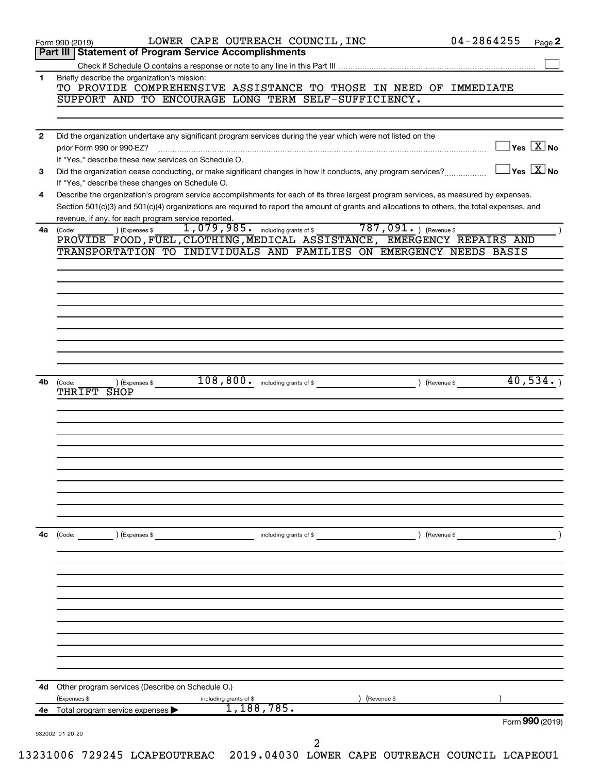|    | LOWER CAPE OUTREACH COUNCIL, INC<br>Form 990 (2019)                                                                                                                                     | $04 - 2864255$<br>Page 2                      |
|----|-----------------------------------------------------------------------------------------------------------------------------------------------------------------------------------------|-----------------------------------------------|
|    | <b>Statement of Program Service Accomplishments</b><br>Part III                                                                                                                         |                                               |
| 1  | Briefly describe the organization's mission:                                                                                                                                            |                                               |
|    | TO PROVIDE COMPREHENSIVE ASSISTANCE TO THOSE IN NEED OF IMMEDIATE                                                                                                                       |                                               |
|    | SUPPORT AND TO ENCOURAGE LONG TERM SELF-SUFFICIENCY.                                                                                                                                    |                                               |
|    |                                                                                                                                                                                         |                                               |
| 2  | Did the organization undertake any significant program services during the year which were not listed on the                                                                            |                                               |
|    | prior Form 990 or 990-EZ?                                                                                                                                                               | $\overline{\ }$ Yes $\overline{\rm \bf X}$ No |
|    | If "Yes," describe these new services on Schedule O.                                                                                                                                    |                                               |
| 3  | Did the organization cease conducting, or make significant changes in how it conducts, any program services?                                                                            | $\exists$ Yes $\boxed{\text{X}}$ No           |
| 4  | If "Yes," describe these changes on Schedule O.<br>Describe the organization's program service accomplishments for each of its three largest program services, as measured by expenses. |                                               |
|    | Section 501(c)(3) and 501(c)(4) organizations are required to report the amount of grants and allocations to others, the total expenses, and                                            |                                               |
|    | revenue, if any, for each program service reported.                                                                                                                                     |                                               |
| 4a | 1,079,985. including grants of \$787,091. ) (Revenue \$<br>) (Expenses \$<br>(Code:                                                                                                     |                                               |
|    | PROVIDE FOOD, FUEL, CLOTHING, MEDICAL ASSISTANCE, EMERGENCY REPAIRS AND<br>TRANSPORTATION TO INDIVIDUALS AND FAMILIES ON EMERGENCY NEEDS BASIS                                          |                                               |
|    |                                                                                                                                                                                         |                                               |
|    |                                                                                                                                                                                         |                                               |
|    |                                                                                                                                                                                         |                                               |
|    |                                                                                                                                                                                         |                                               |
|    |                                                                                                                                                                                         |                                               |
|    |                                                                                                                                                                                         |                                               |
|    |                                                                                                                                                                                         |                                               |
|    |                                                                                                                                                                                         |                                               |
|    |                                                                                                                                                                                         | 40,534.                                       |
| 4b | (Code:<br>) (Expenses \$<br>THRIFT SHOP                                                                                                                                                 |                                               |
|    |                                                                                                                                                                                         |                                               |
|    |                                                                                                                                                                                         |                                               |
|    |                                                                                                                                                                                         |                                               |
|    |                                                                                                                                                                                         |                                               |
|    |                                                                                                                                                                                         |                                               |
|    |                                                                                                                                                                                         |                                               |
|    |                                                                                                                                                                                         |                                               |
|    |                                                                                                                                                                                         |                                               |
|    |                                                                                                                                                                                         |                                               |
| 4c | ) (Revenue \$<br>(Code: ) (Expenses \$<br>including grants of \$                                                                                                                        |                                               |
|    |                                                                                                                                                                                         |                                               |
|    |                                                                                                                                                                                         |                                               |
|    |                                                                                                                                                                                         |                                               |
|    |                                                                                                                                                                                         |                                               |
|    |                                                                                                                                                                                         |                                               |
|    |                                                                                                                                                                                         |                                               |
|    |                                                                                                                                                                                         |                                               |
|    |                                                                                                                                                                                         |                                               |
|    |                                                                                                                                                                                         |                                               |
|    |                                                                                                                                                                                         |                                               |
|    | 4d Other program services (Describe on Schedule O.)                                                                                                                                     |                                               |
|    | (Expenses \$<br>Revenue \$<br>including grants of \$<br>1,188,785.                                                                                                                      |                                               |
|    | 4e Total program service expenses                                                                                                                                                       | Form 990 (2019)                               |
|    |                                                                                                                                                                                         |                                               |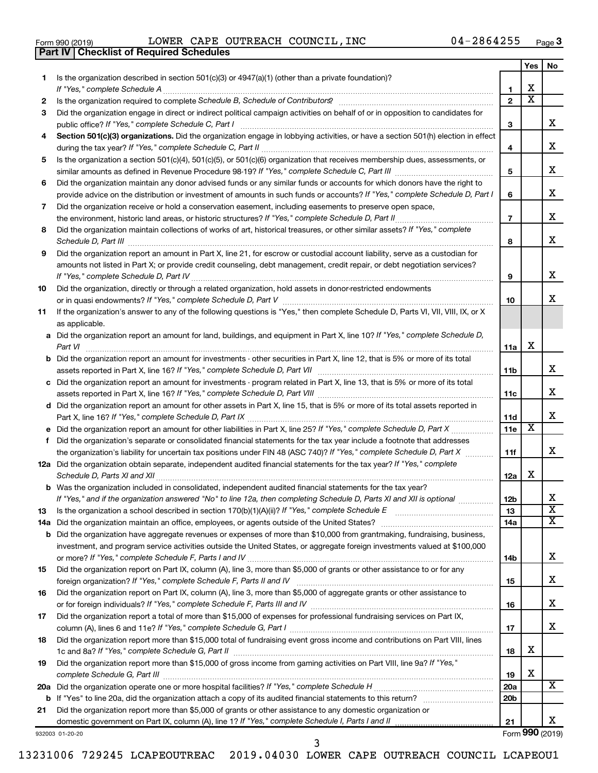| Form 990 (2019) |  |  |
|-----------------|--|--|

**Part IV Checklist of Required Schedules**

Form 990 (2019)  $\,$  LOWER CAPE OUTREACH COUNCIL, INC  $\,$  04-2864255  $\,$   $_{\rm Page}$ 

|     |                                                                                                                                       |                 | Yes | No.                     |
|-----|---------------------------------------------------------------------------------------------------------------------------------------|-----------------|-----|-------------------------|
| 1.  | Is the organization described in section $501(c)(3)$ or $4947(a)(1)$ (other than a private foundation)?                               |                 |     |                         |
|     | If "Yes," complete Schedule A                                                                                                         | 1               | х   |                         |
| 2   |                                                                                                                                       | $\mathbf{2}$    | X   |                         |
| 3   | Did the organization engage in direct or indirect political campaign activities on behalf of or in opposition to candidates for       |                 |     | x                       |
|     | public office? If "Yes," complete Schedule C, Part I                                                                                  | З               |     |                         |
| 4   | Section 501(c)(3) organizations. Did the organization engage in lobbying activities, or have a section 501(h) election in effect      | 4               |     | х                       |
| 5   | Is the organization a section 501(c)(4), 501(c)(5), or 501(c)(6) organization that receives membership dues, assessments, or          |                 |     |                         |
|     |                                                                                                                                       | 5               |     | х                       |
| 6   | Did the organization maintain any donor advised funds or any similar funds or accounts for which donors have the right to             |                 |     |                         |
|     | provide advice on the distribution or investment of amounts in such funds or accounts? If "Yes," complete Schedule D, Part I          | 6               |     | х                       |
| 7   | Did the organization receive or hold a conservation easement, including easements to preserve open space,                             |                 |     |                         |
|     |                                                                                                                                       | $\overline{7}$  |     | х                       |
| 8   | Did the organization maintain collections of works of art, historical treasures, or other similar assets? If "Yes," complete          |                 |     |                         |
|     |                                                                                                                                       | 8               |     | х                       |
| 9   | Did the organization report an amount in Part X, line 21, for escrow or custodial account liability, serve as a custodian for         |                 |     |                         |
|     | amounts not listed in Part X; or provide credit counseling, debt management, credit repair, or debt negotiation services?             |                 |     |                         |
|     |                                                                                                                                       | 9               |     | х                       |
| 10  | Did the organization, directly or through a related organization, hold assets in donor-restricted endowments                          |                 |     |                         |
|     |                                                                                                                                       | 10              |     | x                       |
| 11  | If the organization's answer to any of the following questions is "Yes," then complete Schedule D, Parts VI, VII, VIII, IX, or X      |                 |     |                         |
|     | as applicable.                                                                                                                        |                 |     |                         |
|     | a Did the organization report an amount for land, buildings, and equipment in Part X, line 10? If "Yes," complete Schedule D,         |                 |     |                         |
|     | Part VI                                                                                                                               | 11a             | х   |                         |
|     | <b>b</b> Did the organization report an amount for investments - other securities in Part X, line 12, that is 5% or more of its total |                 |     | х                       |
|     |                                                                                                                                       | 11 <sub>b</sub> |     |                         |
|     | c Did the organization report an amount for investments - program related in Part X, line 13, that is 5% or more of its total         | 11c             |     | х                       |
|     | d Did the organization report an amount for other assets in Part X, line 15, that is 5% or more of its total assets reported in       |                 |     |                         |
|     |                                                                                                                                       | 11d             |     | x                       |
|     |                                                                                                                                       | 11e             | х   |                         |
| f   | Did the organization's separate or consolidated financial statements for the tax year include a footnote that addresses               |                 |     |                         |
|     | the organization's liability for uncertain tax positions under FIN 48 (ASC 740)? If "Yes," complete Schedule D, Part X                | 11f             |     | x                       |
|     | 12a Did the organization obtain separate, independent audited financial statements for the tax year? If "Yes," complete               |                 |     |                         |
|     |                                                                                                                                       | 12a             | х   |                         |
|     | <b>b</b> Was the organization included in consolidated, independent audited financial statements for the tax year?                    |                 |     |                         |
|     | If "Yes," and if the organization answered "No" to line 12a, then completing Schedule D, Parts XI and XII is optional                 | 12 <sub>b</sub> |     | х                       |
| 13  | Is the organization a school described in section 170(b)(1)(A)(ii)? If "Yes," complete Schedule E [ [ [ [ [ [ [ [ ] ]]]               | 13              |     | $\overline{\textbf{x}}$ |
| 14a |                                                                                                                                       | 14a             |     | х                       |
| b   | Did the organization have aggregate revenues or expenses of more than \$10,000 from grantmaking, fundraising, business,               |                 |     |                         |
|     | investment, and program service activities outside the United States, or aggregate foreign investments valued at \$100,000            |                 |     | x                       |
|     | Did the organization report on Part IX, column (A), line 3, more than \$5,000 of grants or other assistance to or for any             | 14b             |     |                         |
| 15  |                                                                                                                                       | 15              |     | x                       |
| 16  | Did the organization report on Part IX, column (A), line 3, more than \$5,000 of aggregate grants or other assistance to              |                 |     |                         |
|     |                                                                                                                                       | 16              |     | x                       |
| 17  | Did the organization report a total of more than \$15,000 of expenses for professional fundraising services on Part IX,               |                 |     |                         |
|     |                                                                                                                                       | 17              |     | x                       |
| 18  | Did the organization report more than \$15,000 total of fundraising event gross income and contributions on Part VIII, lines          |                 |     |                         |
|     |                                                                                                                                       | 18              | х   |                         |
| 19  | Did the organization report more than \$15,000 of gross income from gaming activities on Part VIII, line 9a? If "Yes,"                |                 |     |                         |
|     |                                                                                                                                       | 19              | х   |                         |
| 20a |                                                                                                                                       | 20a             |     | X                       |
| b   |                                                                                                                                       | 20 <sub>b</sub> |     |                         |
| 21  | Did the organization report more than \$5,000 of grants or other assistance to any domestic organization or                           |                 |     |                         |
|     |                                                                                                                                       | 21              |     | x                       |

932003 01-20-20

Form (2019) **990**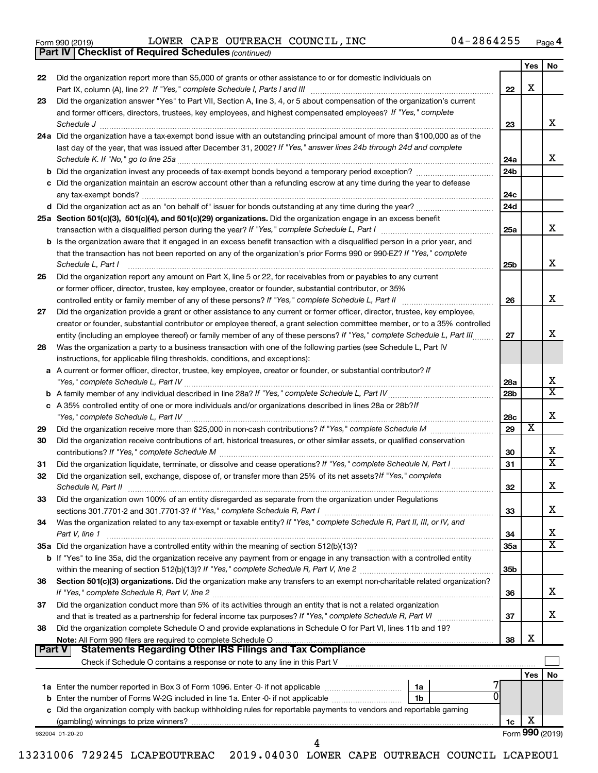| Form 990 (2019) |  |  |  |
|-----------------|--|--|--|
|-----------------|--|--|--|

*(continued)* **Part IV Checklist of Required Schedules**

Form 990 (2019)  $\,$  LOWER CAPE OUTREACH COUNCIL, INC  $\,$  04-2864255  $\,$   $_{\rm Page}$ 

|               |                                                                                                                                                                                                                      |                        | Yes                     | No                      |
|---------------|----------------------------------------------------------------------------------------------------------------------------------------------------------------------------------------------------------------------|------------------------|-------------------------|-------------------------|
| 22            | Did the organization report more than \$5,000 of grants or other assistance to or for domestic individuals on                                                                                                        | 22                     | х                       |                         |
| 23            | Did the organization answer "Yes" to Part VII, Section A, line 3, 4, or 5 about compensation of the organization's current                                                                                           |                        |                         |                         |
|               | and former officers, directors, trustees, key employees, and highest compensated employees? If "Yes," complete                                                                                                       |                        |                         |                         |
|               | Schedule J                                                                                                                                                                                                           | 23                     |                         | x                       |
|               | 24a Did the organization have a tax-exempt bond issue with an outstanding principal amount of more than \$100,000 as of the                                                                                          |                        |                         |                         |
|               | last day of the year, that was issued after December 31, 2002? If "Yes," answer lines 24b through 24d and complete                                                                                                   |                        |                         |                         |
|               |                                                                                                                                                                                                                      | 24a                    |                         | x                       |
|               |                                                                                                                                                                                                                      | 24b                    |                         |                         |
|               | c Did the organization maintain an escrow account other than a refunding escrow at any time during the year to defease                                                                                               |                        |                         |                         |
|               |                                                                                                                                                                                                                      | 24c                    |                         |                         |
|               |                                                                                                                                                                                                                      | 24d                    |                         |                         |
|               | 25a Section 501(c)(3), 501(c)(4), and 501(c)(29) organizations. Did the organization engage in an excess benefit                                                                                                     |                        |                         |                         |
|               |                                                                                                                                                                                                                      | 25a                    |                         | x                       |
|               | b Is the organization aware that it engaged in an excess benefit transaction with a disqualified person in a prior year, and                                                                                         |                        |                         |                         |
|               | that the transaction has not been reported on any of the organization's prior Forms 990 or 990-EZ? If "Yes," complete                                                                                                |                        |                         |                         |
|               | Schedule L, Part I                                                                                                                                                                                                   | 25b                    |                         | х                       |
| 26            | Did the organization report any amount on Part X, line 5 or 22, for receivables from or payables to any current                                                                                                      |                        |                         |                         |
|               | or former officer, director, trustee, key employee, creator or founder, substantial contributor, or 35%                                                                                                              |                        |                         |                         |
|               | controlled entity or family member of any of these persons? If "Yes," complete Schedule L, Part II                                                                                                                   | 26                     |                         | х                       |
| 27            | Did the organization provide a grant or other assistance to any current or former officer, director, trustee, key employee,                                                                                          |                        |                         |                         |
|               | creator or founder, substantial contributor or employee thereof, a grant selection committee member, or to a 35% controlled                                                                                          |                        |                         |                         |
|               | entity (including an employee thereof) or family member of any of these persons? If "Yes," complete Schedule L, Part III                                                                                             | 27                     |                         | х                       |
| 28            | Was the organization a party to a business transaction with one of the following parties (see Schedule L, Part IV                                                                                                    |                        |                         |                         |
|               | instructions, for applicable filing thresholds, conditions, and exceptions):                                                                                                                                         |                        |                         |                         |
| a             | A current or former officer, director, trustee, key employee, creator or founder, or substantial contributor? If                                                                                                     |                        |                         | х                       |
|               | "Yes," complete Schedule L, Part IV                                                                                                                                                                                  | 28a<br>28 <sub>b</sub> |                         | $\overline{\textbf{X}}$ |
| b             | c A 35% controlled entity of one or more individuals and/or organizations described in lines 28a or 28b?/f                                                                                                           |                        |                         |                         |
|               | "Yes," complete Schedule L, Part IV [111] [12] www.marrows.communications.communications.com/                                                                                                                        | 28c                    |                         | х                       |
| 29            |                                                                                                                                                                                                                      | 29                     | $\overline{\textbf{x}}$ |                         |
| 30            | Did the organization receive contributions of art, historical treasures, or other similar assets, or qualified conservation                                                                                          |                        |                         |                         |
|               |                                                                                                                                                                                                                      | 30                     |                         | х                       |
| 31            | Did the organization liquidate, terminate, or dissolve and cease operations? If "Yes," complete Schedule N, Part I                                                                                                   | 31                     |                         | $\overline{\textbf{X}}$ |
| 32            | Did the organization sell, exchange, dispose of, or transfer more than 25% of its net assets? If "Yes," complete                                                                                                     |                        |                         |                         |
|               | Schedule N, Part II                                                                                                                                                                                                  | 32                     |                         | х                       |
| 33            | Did the organization own 100% of an entity disregarded as separate from the organization under Regulations                                                                                                           |                        |                         |                         |
|               | sections 301.7701-2 and 301.7701-3? If "Yes," complete Schedule R, Part I                                                                                                                                            | 33                     |                         | х                       |
| 34            | Was the organization related to any tax-exempt or taxable entity? If "Yes," complete Schedule R, Part II, III, or IV, and                                                                                            |                        |                         |                         |
|               | Part V, line 1                                                                                                                                                                                                       | 34                     |                         | х                       |
|               | 35a Did the organization have a controlled entity within the meaning of section 512(b)(13)?                                                                                                                          | 35a                    |                         | $\overline{\textbf{X}}$ |
|               | <b>b</b> If "Yes" to line 35a, did the organization receive any payment from or engage in any transaction with a controlled entity                                                                                   |                        |                         |                         |
|               |                                                                                                                                                                                                                      | 35 <sub>b</sub>        |                         |                         |
| 36            | Section 501(c)(3) organizations. Did the organization make any transfers to an exempt non-charitable related organization?                                                                                           |                        |                         |                         |
|               | If "Yes," complete Schedule R, Part V, line 2                                                                                                                                                                        | 36                     |                         | х                       |
| 37            | Did the organization conduct more than 5% of its activities through an entity that is not a related organization                                                                                                     |                        |                         |                         |
|               | and that is treated as a partnership for federal income tax purposes? If "Yes," complete Schedule R, Part VI                                                                                                         | 37                     |                         | x                       |
| 38            | Did the organization complete Schedule O and provide explanations in Schedule O for Part VI, lines 11b and 19?                                                                                                       |                        |                         |                         |
|               | Note: All Form 990 filers are required to complete Schedule O                                                                                                                                                        | 38                     | х                       |                         |
| <b>Part V</b> | <b>Statements Regarding Other IRS Filings and Tax Compliance</b>                                                                                                                                                     |                        |                         |                         |
|               | Check if Schedule O contains a response or note to any line in this Part V [11] [12] Check if Schedule O contains a response or note to any line in this Part V                                                      |                        |                         |                         |
|               |                                                                                                                                                                                                                      |                        | Yes                     | No                      |
| b             | <b>1a</b> Enter the number reported in Box 3 of Form 1096. Enter -0- if not applicable <i>manumumumum</i><br>1a<br>Enter the number of Forms W-2G included in line 1a. Enter -0- if not applicable<br>1 <sub>b</sub> |                        |                         |                         |
|               | c Did the organization comply with backup withholding rules for reportable payments to vendors and reportable gaming                                                                                                 |                        |                         |                         |
|               |                                                                                                                                                                                                                      | 1c                     | х                       |                         |
|               | 932004 01-20-20                                                                                                                                                                                                      |                        |                         | Form 990 (2019)         |
|               | 4                                                                                                                                                                                                                    |                        |                         |                         |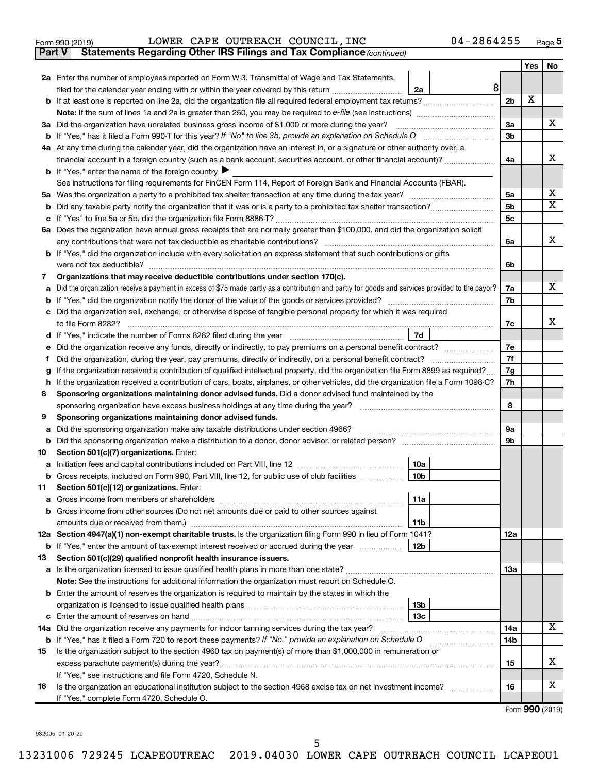| Form 990 (2019) |  |  |  | LOWER CAPE OUTREACH COUNCIL, INC | $04 - 2864255$ | Page |  |
|-----------------|--|--|--|----------------------------------|----------------|------|--|
|-----------------|--|--|--|----------------------------------|----------------|------|--|

**Part V Statements Regarding Other IRS Filings and Tax Compliance**

*(continued)*

|        |                                                                                                                                                 |                | Yes | No |
|--------|-------------------------------------------------------------------------------------------------------------------------------------------------|----------------|-----|----|
|        | 2a Enter the number of employees reported on Form W-3, Transmittal of Wage and Tax Statements,                                                  |                |     |    |
|        | 8 <sup>1</sup><br>filed for the calendar year ending with or within the year covered by this return <i>[[[[[[[[[[[[[[]]]</i> ]]<br>2a           |                |     |    |
|        |                                                                                                                                                 | 2 <sub>b</sub> | X   |    |
|        |                                                                                                                                                 |                |     |    |
|        | 3a Did the organization have unrelated business gross income of \$1,000 or more during the year?                                                | За             |     | х  |
|        |                                                                                                                                                 | 3b             |     |    |
|        | 4a At any time during the calendar year, did the organization have an interest in, or a signature or other authority over, a                    |                |     |    |
|        | financial account in a foreign country (such as a bank account, securities account, or other financial account)?                                | 4a             |     | х  |
|        | <b>b</b> If "Yes," enter the name of the foreign country $\blacktriangleright$                                                                  |                |     |    |
|        | See instructions for filing requirements for FinCEN Form 114, Report of Foreign Bank and Financial Accounts (FBAR).                             |                |     |    |
|        |                                                                                                                                                 | 5a             |     | х  |
| b      |                                                                                                                                                 | 5b             |     | х  |
| с      |                                                                                                                                                 | 5 <sub>c</sub> |     |    |
|        | 6a Does the organization have annual gross receipts that are normally greater than \$100,000, and did the organization solicit                  |                |     | х  |
|        | any contributions that were not tax deductible as charitable contributions?                                                                     | 6a             |     |    |
|        | b If "Yes," did the organization include with every solicitation an express statement that such contributions or gifts                          |                |     |    |
|        | were not tax deductible?<br>Organizations that may receive deductible contributions under section 170(c).                                       | 6b             |     |    |
| 7<br>а | Did the organization receive a payment in excess of \$75 made partly as a contribution and partly for goods and services provided to the payor? | 7a             |     | x  |
|        |                                                                                                                                                 | 7b             |     |    |
|        | c Did the organization sell, exchange, or otherwise dispose of tangible personal property for which it was required                             |                |     |    |
|        | to file Form 8282?                                                                                                                              | 7c             |     | х  |
| d      | 7d                                                                                                                                              |                |     |    |
|        | Did the organization receive any funds, directly or indirectly, to pay premiums on a personal benefit contract?                                 | 7e             |     |    |
| Ť      | Did the organization, during the year, pay premiums, directly or indirectly, on a personal benefit contract?                                    | 7f             |     |    |
| g      | If the organization received a contribution of qualified intellectual property, did the organization file Form 8899 as required?                | 7g             |     |    |
| h      | If the organization received a contribution of cars, boats, airplanes, or other vehicles, did the organization file a Form 1098-C?              | 7h             |     |    |
| 8      | Sponsoring organizations maintaining donor advised funds. Did a donor advised fund maintained by the                                            |                |     |    |
|        | sponsoring organization have excess business holdings at any time during the year?                                                              | 8              |     |    |
| 9      | Sponsoring organizations maintaining donor advised funds.                                                                                       |                |     |    |
| а      | Did the sponsoring organization make any taxable distributions under section 4966?                                                              | 9а             |     |    |
| b      |                                                                                                                                                 | 9b             |     |    |
| 10     | Section 501(c)(7) organizations. Enter:                                                                                                         |                |     |    |
| а      | 10a                                                                                                                                             |                |     |    |
| b      | 10 <sub>b</sub><br>Gross receipts, included on Form 990, Part VIII, line 12, for public use of club facilities                                  |                |     |    |
| 11.    | Section 501(c)(12) organizations. Enter:<br> 11a                                                                                                |                |     |    |
|        | b Gross income from other sources (Do not net amounts due or paid to other sources against                                                      |                |     |    |
|        | amounts due or received from them.)<br>11b                                                                                                      |                |     |    |
|        | 12a Section 4947(a)(1) non-exempt charitable trusts. Is the organization filing Form 990 in lieu of Form 1041?                                  | 12a            |     |    |
|        | 12 <sub>b</sub><br><b>b</b> If "Yes," enter the amount of tax-exempt interest received or accrued during the year                               |                |     |    |
| 13     | Section 501(c)(29) qualified nonprofit health insurance issuers.                                                                                |                |     |    |
|        |                                                                                                                                                 | 13a            |     |    |
|        | Note: See the instructions for additional information the organization must report on Schedule O.                                               |                |     |    |
|        | <b>b</b> Enter the amount of reserves the organization is required to maintain by the states in which the                                       |                |     |    |
|        | 13 <sub>b</sub>                                                                                                                                 |                |     |    |
|        | 13 <sub>c</sub>                                                                                                                                 |                |     |    |
|        | 14a Did the organization receive any payments for indoor tanning services during the tax year?                                                  | 14a            |     | x  |
|        | b If "Yes," has it filed a Form 720 to report these payments? If "No," provide an explanation on Schedule O                                     | 14b            |     |    |
| 15     | Is the organization subject to the section 4960 tax on payment(s) of more than \$1,000,000 in remuneration or                                   |                |     |    |
|        |                                                                                                                                                 | 15             |     | х  |
|        | If "Yes," see instructions and file Form 4720, Schedule N.                                                                                      |                |     |    |
| 16     | Is the organization an educational institution subject to the section 4968 excise tax on net investment income?                                 | 16             |     | x  |
|        | If "Yes," complete Form 4720, Schedule O.                                                                                                       |                |     |    |

Form (2019) **990**

932005 01-20-20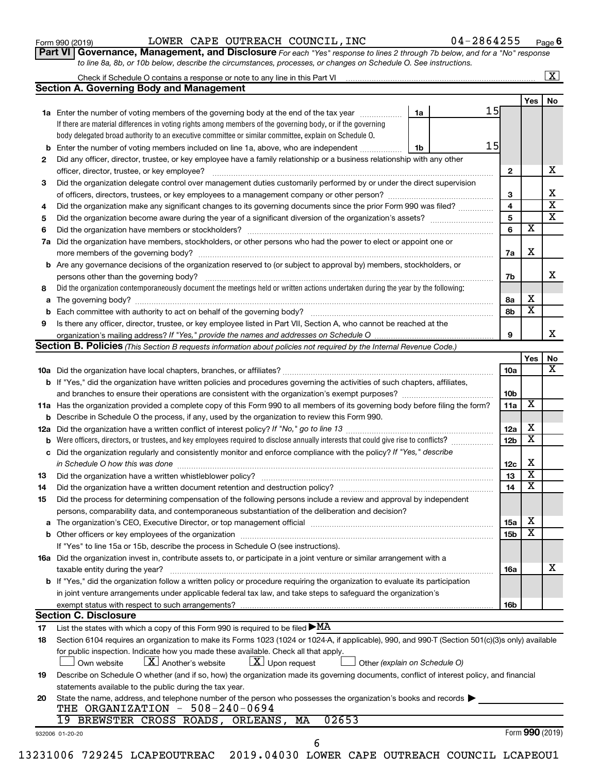| Form 990 (2019) |  |
|-----------------|--|
|-----------------|--|

Form 990 (2019)  $\,$  LOWER CAPE OUTREACH COUNCIL, INC  $\,$  04-2864255  $\,$   $_{\rm Page}$ 

**6**

| Part VI   Governance, Management, and Disclosure For each "Yes" response to lines 2 through 7b below, and for a "No" response |  |
|-------------------------------------------------------------------------------------------------------------------------------|--|
| to line 8a, 8b, or 10b below, describe the circumstances, processes, or changes on Schedule O. See instructions.              |  |

|     |                                                                                                                                                                                                                                |    |    |                 |                         | $\overline{\mathbf{X}}$ |
|-----|--------------------------------------------------------------------------------------------------------------------------------------------------------------------------------------------------------------------------------|----|----|-----------------|-------------------------|-------------------------|
|     | <b>Section A. Governing Body and Management</b>                                                                                                                                                                                |    |    |                 |                         |                         |
|     |                                                                                                                                                                                                                                |    |    |                 | Yes                     | No                      |
|     | <b>1a</b> Enter the number of voting members of the governing body at the end of the tax year                                                                                                                                  | 1a | 15 |                 |                         |                         |
|     | If there are material differences in voting rights among members of the governing body, or if the governing                                                                                                                    |    |    |                 |                         |                         |
|     | body delegated broad authority to an executive committee or similar committee, explain on Schedule O.                                                                                                                          |    |    |                 |                         |                         |
| b   | Enter the number of voting members included on line 1a, above, who are independent                                                                                                                                             | 1b | 15 |                 |                         |                         |
| 2   | Did any officer, director, trustee, or key employee have a family relationship or a business relationship with any other                                                                                                       |    |    |                 |                         |                         |
|     | officer, director, trustee, or key employee?                                                                                                                                                                                   |    |    | 2               |                         | х                       |
| 3   | Did the organization delegate control over management duties customarily performed by or under the direct supervision                                                                                                          |    |    |                 |                         |                         |
|     |                                                                                                                                                                                                                                |    |    | 3               |                         | x                       |
| 4   | Did the organization make any significant changes to its governing documents since the prior Form 990 was filed?                                                                                                               |    |    | 4               |                         | $\overline{\mathbf{x}}$ |
| 5   |                                                                                                                                                                                                                                |    |    | 5               |                         | $\overline{\mathbf{x}}$ |
| 6   |                                                                                                                                                                                                                                |    |    | 6               | $\overline{\texttt{x}}$ |                         |
| 7a  | Did the organization have members, stockholders, or other persons who had the power to elect or appoint one or                                                                                                                 |    |    |                 |                         |                         |
|     |                                                                                                                                                                                                                                |    |    | 7a              | х                       |                         |
|     | <b>b</b> Are any governance decisions of the organization reserved to (or subject to approval by) members, stockholders, or                                                                                                    |    |    |                 |                         |                         |
|     | persons other than the governing body?                                                                                                                                                                                         |    |    | 7b              |                         | x.                      |
| 8   | Did the organization contemporaneously document the meetings held or written actions undertaken during the year by the following:                                                                                              |    |    |                 |                         |                         |
| a   |                                                                                                                                                                                                                                |    |    | 8а              | х                       |                         |
| b   | Each committee with authority to act on behalf of the governing body?                                                                                                                                                          |    |    | 8b              | x                       |                         |
| 9   | Is there any officer, director, trustee, or key employee listed in Part VII, Section A, who cannot be reached at the                                                                                                           |    |    |                 |                         |                         |
|     |                                                                                                                                                                                                                                |    |    | 9               |                         | x.                      |
|     | <b>Section B. Policies</b> (This Section B requests information about policies not required by the Internal Revenue Code.)                                                                                                     |    |    |                 |                         |                         |
|     |                                                                                                                                                                                                                                |    |    |                 | Yes                     | No                      |
|     |                                                                                                                                                                                                                                |    |    | 10a             |                         | х                       |
|     | <b>b</b> If "Yes," did the organization have written policies and procedures governing the activities of such chapters, affiliates,                                                                                            |    |    |                 |                         |                         |
|     | and branches to ensure their operations are consistent with the organization's exempt purposes? www.www.www.www.                                                                                                               |    |    | 10 <sub>b</sub> |                         |                         |
|     | 11a Has the organization provided a complete copy of this Form 990 to all members of its governing body before filing the form?                                                                                                |    |    | 11a             | X                       |                         |
| b   | Describe in Schedule O the process, if any, used by the organization to review this Form 990.                                                                                                                                  |    |    |                 |                         |                         |
| 12a |                                                                                                                                                                                                                                |    |    | 12a             | х                       |                         |
| b   | Were officers, directors, or trustees, and key employees required to disclose annually interests that could give rise to conflicts?                                                                                            |    |    | 12 <sub>b</sub> | $\overline{\textbf{x}}$ |                         |
| с   | Did the organization regularly and consistently monitor and enforce compliance with the policy? If "Yes," describe                                                                                                             |    |    |                 |                         |                         |
|     | in Schedule O how this was done                                                                                                                                                                                                |    |    | 12c             | х                       |                         |
| 13  | Did the organization have a written whistleblower policy?                                                                                                                                                                      |    |    | 13              | x                       |                         |
| 14  | Did the organization have a written document retention and destruction policy? [11] manufaction in the organization have a written document retention and destruction policy?                                                  |    |    | 14              | x                       |                         |
| 15  | Did the process for determining compensation of the following persons include a review and approval by independent                                                                                                             |    |    |                 |                         |                         |
|     | persons, comparability data, and contemporaneous substantiation of the deliberation and decision?                                                                                                                              |    |    |                 |                         |                         |
| а   | The organization's CEO, Executive Director, or top management official manufactured content of the organization's CEO, Executive Director, or top management official manufactured content of the state of the state of the st |    |    | <b>15a</b>      | Х                       |                         |
| b   |                                                                                                                                                                                                                                |    |    | 15 <sub>b</sub> | X                       |                         |
|     | If "Yes" to line 15a or 15b, describe the process in Schedule O (see instructions).                                                                                                                                            |    |    |                 |                         |                         |
|     | 16a Did the organization invest in, contribute assets to, or participate in a joint venture or similar arrangement with a                                                                                                      |    |    |                 |                         |                         |
|     | taxable entity during the year?                                                                                                                                                                                                |    |    | 16a             |                         | х                       |
|     | b If "Yes," did the organization follow a written policy or procedure requiring the organization to evaluate its participation                                                                                                 |    |    |                 |                         |                         |
|     | in joint venture arrangements under applicable federal tax law, and take steps to safequard the organization's                                                                                                                 |    |    |                 |                         |                         |
|     | exempt status with respect to such arrangements?                                                                                                                                                                               |    |    | 16b             |                         |                         |
|     | <b>Section C. Disclosure</b>                                                                                                                                                                                                   |    |    |                 |                         |                         |
| 17  | List the states with which a copy of this Form 990 is required to be filed $\blacktriangleright$ MA                                                                                                                            |    |    |                 |                         |                         |
| 18  | Section 6104 requires an organization to make its Forms 1023 (1024 or 1024-A, if applicable), 990, and 990-T (Section 501(c)(3)s only) available                                                                               |    |    |                 |                         |                         |
|     | for public inspection. Indicate how you made these available. Check all that apply.                                                                                                                                            |    |    |                 |                         |                         |
|     | $\lfloor x \rfloor$ Upon request<br>$\lfloor X \rfloor$ Another's website<br>Own website<br>Other (explain on Schedule O)                                                                                                      |    |    |                 |                         |                         |
| 19  | Describe on Schedule O whether (and if so, how) the organization made its governing documents, conflict of interest policy, and financial                                                                                      |    |    |                 |                         |                         |
|     | statements available to the public during the tax year.                                                                                                                                                                        |    |    |                 |                         |                         |
|     | State the name, address, and telephone number of the person who possesses the organization's books and records                                                                                                                 |    |    |                 |                         |                         |
| 20  | THE ORGANIZATION - 508-240-0694                                                                                                                                                                                                |    |    |                 |                         |                         |
|     | 02653<br>19 BREWSTER CROSS ROADS, ORLEANS,<br>MA                                                                                                                                                                               |    |    |                 |                         |                         |
|     |                                                                                                                                                                                                                                |    |    |                 |                         | Form 990 (2019)         |
|     | 932006 01-20-20<br>6                                                                                                                                                                                                           |    |    |                 |                         |                         |
|     |                                                                                                                                                                                                                                |    |    |                 |                         |                         |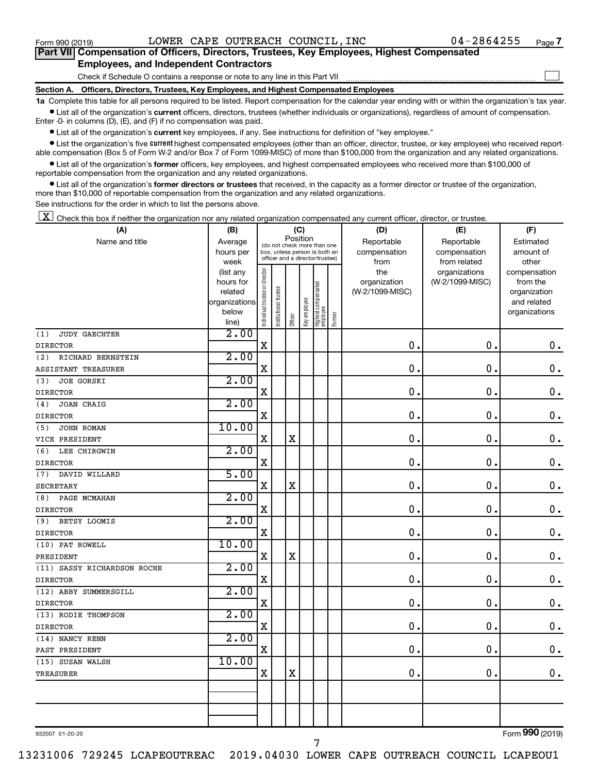$\Box$ 

| Part VII Compensation of Officers, Directors, Trustees, Key Employees, Highest Compensated |  |  |
|--------------------------------------------------------------------------------------------|--|--|
| <b>Employees, and Independent Contractors</b>                                              |  |  |

Check if Schedule O contains a response or note to any line in this Part VII

**Section A. Officers, Directors, Trustees, Key Employees, and Highest Compensated Employees**

**1a**  Complete this table for all persons required to be listed. Report compensation for the calendar year ending with or within the organization's tax year.  $\bullet$  List all of the organization's current officers, directors, trustees (whether individuals or organizations), regardless of amount of compensation.

Enter -0- in columns (D), (E), and (F) if no compensation was paid.

**•** List all of the organization's current key employees, if any. See instructions for definition of "key employee."

• List the organization's five *current* highest compensated employees (other than an officer, director, trustee, or key employee) who received reportable compensation (Box 5 of Form W-2 and/or Box 7 of Form 1099-MISC) of more than \$100,000 from the organization and any related organizations.

 $\bullet$  List all of the organization's former officers, key employees, and highest compensated employees who received more than \$100,000 of reportable compensation from the organization and any related organizations.

**•** List all of the organization's former directors or trustees that received, in the capacity as a former director or trustee of the organization, more than \$10,000 of reportable compensation from the organization and any related organizations.

See instructions for the order in which to list the persons above.

 $\boxed{\textbf{X}}$  Check this box if neither the organization nor any related organization compensated any current officer, director, or trustee.

| (A)                         | (B)                    | (C)                                     |                                                                  |             |              |                                 |        | (D)                 | (E)                              | (F)                      |  |
|-----------------------------|------------------------|-----------------------------------------|------------------------------------------------------------------|-------------|--------------|---------------------------------|--------|---------------------|----------------------------------|--------------------------|--|
| Name and title              | Average                | Position<br>(do not check more than one |                                                                  |             |              |                                 |        | Reportable          | Reportable                       | Estimated                |  |
|                             | hours per              |                                         | box, unless person is both an<br>officer and a director/trustee) |             |              |                                 |        | compensation        | compensation                     | amount of                |  |
|                             | week                   |                                         |                                                                  |             |              |                                 |        | from                | from related                     | other                    |  |
|                             | (list any<br>hours for |                                         |                                                                  |             |              |                                 |        | the<br>organization | organizations<br>(W-2/1099-MISC) | compensation<br>from the |  |
|                             | related                |                                         |                                                                  |             |              |                                 |        | (W-2/1099-MISC)     |                                  | organization             |  |
|                             | organizations          |                                         |                                                                  |             |              |                                 |        |                     |                                  | and related              |  |
|                             | below                  | ndividual trustee or director           | Institutional trustee                                            |             | Key employee |                                 |        |                     |                                  | organizations            |  |
|                             | line)                  |                                         |                                                                  | Officer     |              | Highest compensated<br>employee | Former |                     |                                  |                          |  |
| <b>JUDY GAECHTER</b><br>(1) | 2.00                   |                                         |                                                                  |             |              |                                 |        |                     |                                  |                          |  |
| <b>DIRECTOR</b>             |                        | $\mathbf X$                             |                                                                  |             |              |                                 |        | $\mathbf 0$ .       | 0.                               | $\mathbf 0$ .            |  |
| (2)<br>RICHARD BERNSTEIN    | 2.00                   |                                         |                                                                  |             |              |                                 |        |                     |                                  |                          |  |
| ASSISTANT TREASURER         |                        | $\mathbf X$                             |                                                                  |             |              |                                 |        | 0.                  | 0.                               | $\mathbf 0$ .            |  |
| JOE GORSKI<br>(3)           | 2.00                   |                                         |                                                                  |             |              |                                 |        |                     |                                  |                          |  |
| <b>DIRECTOR</b>             |                        | $\mathbf X$                             |                                                                  |             |              |                                 |        | $\mathbf 0$         | $\mathbf 0$                      | $\mathbf 0$ .            |  |
| (4)<br>JOAN CRAIG           | 2.00                   |                                         |                                                                  |             |              |                                 |        |                     |                                  |                          |  |
| <b>DIRECTOR</b>             |                        | X                                       |                                                                  |             |              |                                 |        | $\mathbf 0$ .       | $\mathbf 0$ .                    | $\mathbf 0$ .            |  |
| JOHN ROMAN<br>(5)           | 10.00                  |                                         |                                                                  |             |              |                                 |        |                     |                                  |                          |  |
| VICE PRESIDENT              |                        | X                                       |                                                                  | $\mathbf X$ |              |                                 |        | 0.                  | $\mathbf 0$ .                    | $\mathbf 0$ .            |  |
| LEE CHIRGWIN<br>(6)         | 2.00                   |                                         |                                                                  |             |              |                                 |        |                     |                                  |                          |  |
| <b>DIRECTOR</b>             |                        | $\mathbf X$                             |                                                                  |             |              |                                 |        | 0.                  | $\mathbf 0$ .                    | $\mathbf 0$ .            |  |
| DAVID WILLARD<br>(7)        | 5.00                   |                                         |                                                                  |             |              |                                 |        |                     |                                  |                          |  |
| <b>SECRETARY</b>            |                        | $\mathbf X$                             |                                                                  | $\mathbf X$ |              |                                 |        | 0.                  | $\mathbf 0$ .                    | $\mathbf 0$ .            |  |
| PAGE MCMAHAN<br>(8)         | 2.00                   |                                         |                                                                  |             |              |                                 |        |                     |                                  |                          |  |
| <b>DIRECTOR</b>             |                        | $\rm X$                                 |                                                                  |             |              |                                 |        | 0.                  | $\mathbf 0$ .                    | $\mathbf 0$ .            |  |
| BETSY LOOMIS<br>(9)         | 2.00                   |                                         |                                                                  |             |              |                                 |        |                     |                                  |                          |  |
| <b>DIRECTOR</b>             |                        | $\mathbf X$                             |                                                                  |             |              |                                 |        | 0.                  | $\mathbf 0$ .                    | $\mathbf 0$ .            |  |
| (10) PAT ROWELL             | 10.00                  |                                         |                                                                  |             |              |                                 |        |                     |                                  |                          |  |
| PRESIDENT                   |                        | $\mathbf X$                             |                                                                  | $\rm X$     |              |                                 |        | 0.                  | $\mathbf 0$ .                    | $\mathbf 0$ .            |  |
| (11) SASSY RICHARDSON ROCHE | 2.00                   |                                         |                                                                  |             |              |                                 |        |                     |                                  |                          |  |
| <b>DIRECTOR</b>             |                        | $\rm X$                                 |                                                                  |             |              |                                 |        | 0.                  | $\mathbf 0$ .                    | $\mathbf 0$ .            |  |
| (12) ABBY SUMMERSGILL       | 2.00                   |                                         |                                                                  |             |              |                                 |        |                     |                                  |                          |  |
| <b>DIRECTOR</b>             |                        | $\mathbf X$                             |                                                                  |             |              |                                 |        | 0.                  | $\mathbf 0$ .                    | $\mathbf 0$ .            |  |
| (13) RODIE THOMPSON         | 2.00                   |                                         |                                                                  |             |              |                                 |        |                     |                                  |                          |  |
| <b>DIRECTOR</b>             |                        | $\rm X$                                 |                                                                  |             |              |                                 |        | 0.                  | $\mathbf 0$ .                    | $\mathbf 0$ .            |  |
| (14) NANCY RENN             | 2.00                   |                                         |                                                                  |             |              |                                 |        |                     |                                  |                          |  |
| PAST PRESIDENT              |                        | X                                       |                                                                  |             |              |                                 |        | 0.                  | $\mathbf 0$ .                    | $\mathbf 0$ .            |  |
| (15) SUSAN WALSH            | 10.00                  |                                         |                                                                  |             |              |                                 |        |                     |                                  |                          |  |
| <b>TREASURER</b>            |                        | X                                       |                                                                  | $\mathbf X$ |              |                                 |        | 0.                  | 0.                               | $\mathbf 0$ .            |  |
|                             |                        |                                         |                                                                  |             |              |                                 |        |                     |                                  |                          |  |
|                             |                        |                                         |                                                                  |             |              |                                 |        |                     |                                  |                          |  |
|                             |                        |                                         |                                                                  |             |              |                                 |        |                     |                                  |                          |  |
|                             |                        |                                         |                                                                  |             |              |                                 |        |                     |                                  |                          |  |

932007 01-20-20

Form (2019) **990**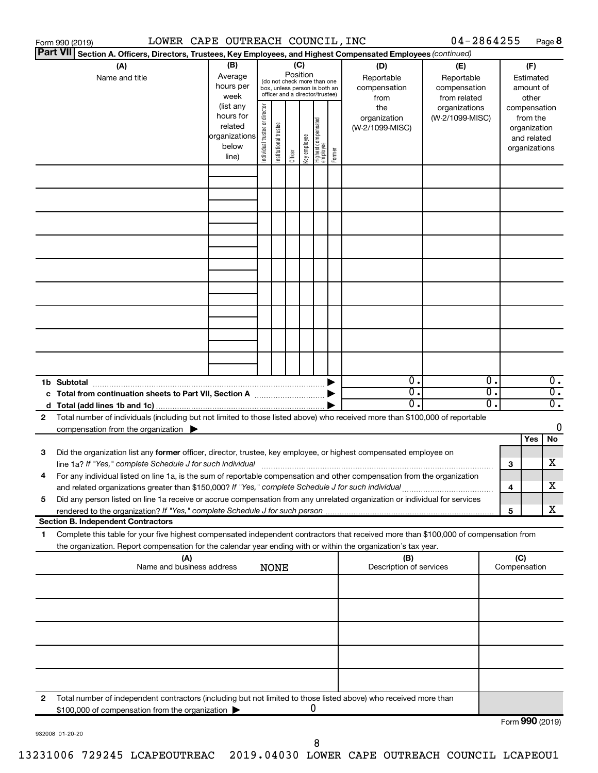|                 | LOWER CAPE OUTREACH COUNCIL, INC<br>Form 990 (2019)                                                                                  |                                                         |                                                                                                                                                                                                                                            |                                                                                                 |                 |              |                                   |        |                                           | 04-2864255                                        |          |                                        |                                                                          | Page 8                               |
|-----------------|--------------------------------------------------------------------------------------------------------------------------------------|---------------------------------------------------------|--------------------------------------------------------------------------------------------------------------------------------------------------------------------------------------------------------------------------------------------|-------------------------------------------------------------------------------------------------|-----------------|--------------|-----------------------------------|--------|-------------------------------------------|---------------------------------------------------|----------|----------------------------------------|--------------------------------------------------------------------------|--------------------------------------|
| <b>Part VII</b> | Section A. Officers, Directors, Trustees, Key Employees, and Highest Compensated Employees (continued)                               |                                                         |                                                                                                                                                                                                                                            |                                                                                                 |                 |              |                                   |        |                                           |                                                   |          |                                        |                                                                          |                                      |
|                 | (A)<br>Name and title                                                                                                                | (B)<br>Average<br>hours per<br>week<br>(list any        |                                                                                                                                                                                                                                            | (do not check more than one<br>box, unless person is both an<br>officer and a director/trustee) | (C)<br>Position |              |                                   |        | (D)<br>Reportable<br>compensation<br>from | (E)<br>Reportable<br>compensation<br>from related |          | (F)<br>Estimated<br>amount of<br>other |                                                                          |                                      |
|                 |                                                                                                                                      | hours for<br>related<br>organizations<br>below<br>line) | Individual trustee or director                                                                                                                                                                                                             | Institutional trustee                                                                           | Officer         | Key employee | Highest compensated<br>  employee | Former | the<br>organization<br>(W-2/1099-MISC)    | organizations<br>(W-2/1099-MISC)                  |          |                                        | compensation<br>from the<br>organization<br>and related<br>organizations |                                      |
|                 |                                                                                                                                      |                                                         |                                                                                                                                                                                                                                            |                                                                                                 |                 |              |                                   |        |                                           |                                                   |          |                                        |                                                                          |                                      |
|                 |                                                                                                                                      |                                                         |                                                                                                                                                                                                                                            |                                                                                                 |                 |              |                                   |        |                                           |                                                   |          |                                        |                                                                          |                                      |
|                 |                                                                                                                                      |                                                         |                                                                                                                                                                                                                                            |                                                                                                 |                 |              |                                   |        |                                           |                                                   |          |                                        |                                                                          |                                      |
|                 |                                                                                                                                      |                                                         |                                                                                                                                                                                                                                            |                                                                                                 |                 |              |                                   |        |                                           |                                                   |          |                                        |                                                                          |                                      |
|                 |                                                                                                                                      |                                                         |                                                                                                                                                                                                                                            |                                                                                                 |                 |              |                                   |        |                                           |                                                   |          |                                        |                                                                          |                                      |
|                 |                                                                                                                                      |                                                         |                                                                                                                                                                                                                                            |                                                                                                 |                 |              |                                   |        |                                           |                                                   |          |                                        |                                                                          |                                      |
|                 |                                                                                                                                      |                                                         |                                                                                                                                                                                                                                            |                                                                                                 |                 |              |                                   |        |                                           |                                                   |          |                                        |                                                                          |                                      |
|                 |                                                                                                                                      |                                                         |                                                                                                                                                                                                                                            |                                                                                                 |                 |              |                                   |        |                                           |                                                   |          |                                        |                                                                          |                                      |
|                 | 1b Subtotal                                                                                                                          |                                                         |                                                                                                                                                                                                                                            |                                                                                                 |                 |              |                                   |        | $\overline{0}$ .                          |                                                   | 0.       |                                        |                                                                          | $\overline{0}$ .                     |
|                 | c Total from continuation sheets to Part VII, Section A manufactured by                                                              |                                                         |                                                                                                                                                                                                                                            |                                                                                                 |                 |              |                                   |        | $\overline{0}$ .<br>$0$ .                 |                                                   | σ.<br>О. |                                        |                                                                          | $\overline{0}$ .<br>$\overline{0}$ . |
| 2               | Total number of individuals (including but not limited to those listed above) who received more than \$100,000 of reportable         |                                                         |                                                                                                                                                                                                                                            |                                                                                                 |                 |              |                                   |        |                                           |                                                   |          |                                        |                                                                          |                                      |
|                 | compensation from the organization $\blacktriangleright$                                                                             |                                                         |                                                                                                                                                                                                                                            |                                                                                                 |                 |              |                                   |        |                                           |                                                   |          |                                        |                                                                          | 0                                    |
|                 |                                                                                                                                      |                                                         |                                                                                                                                                                                                                                            |                                                                                                 |                 |              |                                   |        |                                           |                                                   |          |                                        | Yes                                                                      | No                                   |
| 3               | Did the organization list any former officer, director, trustee, key employee, or highest compensated employee on                    |                                                         |                                                                                                                                                                                                                                            |                                                                                                 |                 |              |                                   |        |                                           |                                                   |          | 3                                      |                                                                          | х                                    |
|                 | and related organizations greater than \$150,000? If "Yes," complete Schedule J for such individual                                  |                                                         | line 1a? If "Yes," complete Schedule J for such individual manufactured content to the set of the set of the s<br>For any individual listed on line 1a, is the sum of reportable compensation and other compensation from the organization |                                                                                                 |                 |              |                                   |        | 4                                         |                                                   | х        |                                        |                                                                          |                                      |
| 5               | Did any person listed on line 1a receive or accrue compensation from any unrelated organization or individual for services           |                                                         |                                                                                                                                                                                                                                            |                                                                                                 |                 |              |                                   |        |                                           |                                                   |          |                                        |                                                                          |                                      |
|                 | <b>Section B. Independent Contractors</b>                                                                                            |                                                         |                                                                                                                                                                                                                                            |                                                                                                 |                 |              |                                   |        |                                           |                                                   |          | 5                                      |                                                                          | х                                    |
| 1.              | Complete this table for your five highest compensated independent contractors that received more than \$100,000 of compensation from |                                                         |                                                                                                                                                                                                                                            |                                                                                                 |                 |              |                                   |        |                                           |                                                   |          |                                        |                                                                          |                                      |
|                 | the organization. Report compensation for the calendar year ending with or within the organization's tax year.<br>(A)                |                                                         |                                                                                                                                                                                                                                            |                                                                                                 |                 |              |                                   |        | (B)                                       |                                                   |          | (C)                                    |                                                                          |                                      |
|                 | Name and business address                                                                                                            |                                                         |                                                                                                                                                                                                                                            | <b>NONE</b>                                                                                     |                 |              |                                   |        | Description of services                   |                                                   |          |                                        | Compensation                                                             |                                      |
|                 |                                                                                                                                      |                                                         |                                                                                                                                                                                                                                            |                                                                                                 |                 |              |                                   |        |                                           |                                                   |          |                                        |                                                                          |                                      |
|                 |                                                                                                                                      |                                                         |                                                                                                                                                                                                                                            |                                                                                                 |                 |              |                                   |        |                                           |                                                   |          |                                        |                                                                          |                                      |
|                 |                                                                                                                                      |                                                         |                                                                                                                                                                                                                                            |                                                                                                 |                 |              |                                   |        |                                           |                                                   |          |                                        |                                                                          |                                      |
|                 |                                                                                                                                      |                                                         |                                                                                                                                                                                                                                            |                                                                                                 |                 |              |                                   |        |                                           |                                                   |          |                                        |                                                                          |                                      |
| 2               | Total number of independent contractors (including but not limited to those listed above) who received more than                     |                                                         |                                                                                                                                                                                                                                            |                                                                                                 |                 |              |                                   |        |                                           |                                                   |          |                                        |                                                                          |                                      |
|                 | \$100,000 of compensation from the organization                                                                                      |                                                         |                                                                                                                                                                                                                                            |                                                                                                 |                 |              | 0                                 |        |                                           |                                                   |          |                                        | Form 990 (2019)                                                          |                                      |

932008 01-20-20

Form (2019) **990**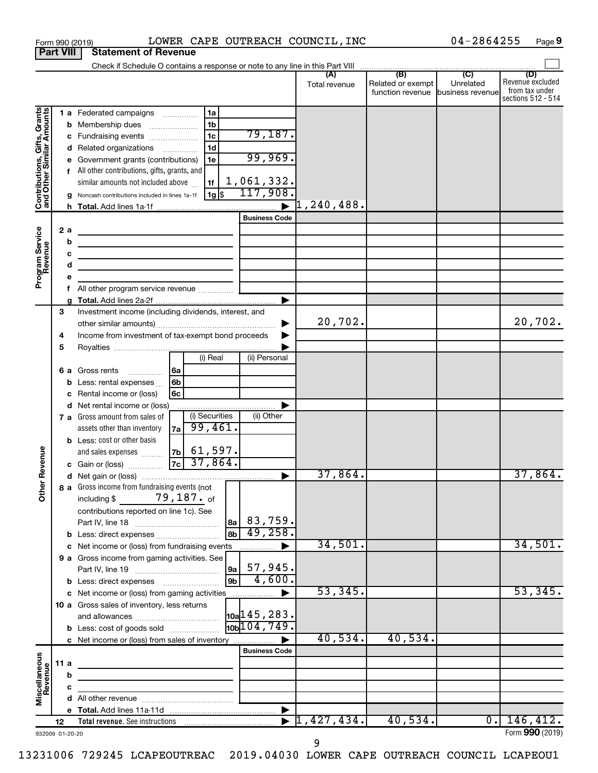|                                                           |     |    | LOWER CAPE OUTREACH COUNCIL, INC<br>Form 990 (2019)                                                                   |                               |                                                        |                                                  | 04-2864255                    | Page 9                                                          |
|-----------------------------------------------------------|-----|----|-----------------------------------------------------------------------------------------------------------------------|-------------------------------|--------------------------------------------------------|--------------------------------------------------|-------------------------------|-----------------------------------------------------------------|
| <b>Part VIII</b>                                          |     |    | <b>Statement of Revenue</b>                                                                                           |                               |                                                        |                                                  |                               |                                                                 |
|                                                           |     |    | Check if Schedule O contains a response or note to any line in this Part VIII                                         |                               |                                                        | $\overline{1}$ (B) $\overline{C}$ $\overline{C}$ |                               |                                                                 |
|                                                           |     |    |                                                                                                                       |                               | Total revenue                                          | Related or exempt<br>function revenue            | Unrelated<br>business revenue | (D)<br>Revenue excluded<br>from tax under<br>sections 512 - 514 |
|                                                           |     |    | 1 a Federated campaigns<br>1a                                                                                         |                               |                                                        |                                                  |                               |                                                                 |
|                                                           |     | b  | 1 <sub>b</sub><br>Membership dues<br>$\ldots \ldots \ldots \ldots \ldots$                                             |                               |                                                        |                                                  |                               |                                                                 |
|                                                           |     |    | 1 <sub>c</sub><br>c Fundraising events                                                                                | 79,187.                       |                                                        |                                                  |                               |                                                                 |
|                                                           |     |    | 1d<br>d Related organizations                                                                                         |                               |                                                        |                                                  |                               |                                                                 |
|                                                           |     |    | Government grants (contributions)<br>1e                                                                               | 99,969.                       |                                                        |                                                  |                               |                                                                 |
| Contributions, Gifts, Grants<br>and Other Similar Amounts |     |    | f All other contributions, gifts, grants, and<br>similar amounts not included above<br>1f                             | 1,061,332.                    |                                                        |                                                  |                               |                                                                 |
|                                                           |     |    | 1g  \$<br>Noncash contributions included in lines 1a-1f                                                               | 117,908.                      |                                                        |                                                  |                               |                                                                 |
|                                                           |     | h. |                                                                                                                       |                               | $\mathfrak{\textcolor{blue}{\mathbf{1}}}$ , 240 , 488. |                                                  |                               |                                                                 |
|                                                           |     |    |                                                                                                                       | <b>Business Code</b>          |                                                        |                                                  |                               |                                                                 |
|                                                           |     | 2a | <u> 1980 - Johann Barbara, martin a bhaile an t-Iomraidh an t-Iomraidh an t-Iomraidh an t-Iomraidh an t-Iomraidh</u>  |                               |                                                        |                                                  |                               |                                                                 |
| Program Service<br>Revenue                                |     | b  | <u> 1989 - Johann Barn, mars eta bainar eta idazlea (</u>                                                             |                               |                                                        |                                                  |                               |                                                                 |
|                                                           |     | с  | <u> 1989 - Johann Barbara, martin amerikan basar dan berasal dalam basar dalam basar dalam basar dalam basar dala</u> |                               |                                                        |                                                  |                               |                                                                 |
|                                                           |     | d  | the control of the control of the control of the control of the control of                                            |                               |                                                        |                                                  |                               |                                                                 |
|                                                           |     | е  |                                                                                                                       |                               |                                                        |                                                  |                               |                                                                 |
|                                                           |     |    |                                                                                                                       |                               |                                                        |                                                  |                               |                                                                 |
|                                                           |     |    |                                                                                                                       |                               |                                                        |                                                  |                               |                                                                 |
|                                                           | 3   |    | Investment income (including dividends, interest, and                                                                 |                               |                                                        |                                                  |                               |                                                                 |
|                                                           |     |    |                                                                                                                       |                               | 20,702.                                                |                                                  |                               | 20,702.                                                         |
|                                                           | 4   |    | Income from investment of tax-exempt bond proceeds                                                                    |                               |                                                        |                                                  |                               |                                                                 |
|                                                           | 5   |    |                                                                                                                       |                               |                                                        |                                                  |                               |                                                                 |
|                                                           |     |    | (i) Real                                                                                                              | (ii) Personal                 |                                                        |                                                  |                               |                                                                 |
|                                                           |     |    | 6 a Gross rents<br>6a<br>.                                                                                            |                               |                                                        |                                                  |                               |                                                                 |
|                                                           |     | b  | 6b<br>Less: rental expenses                                                                                           |                               |                                                        |                                                  |                               |                                                                 |
|                                                           |     |    | Rental income or (loss)<br>6с                                                                                         |                               |                                                        |                                                  |                               |                                                                 |
|                                                           |     |    | d Net rental income or (loss)                                                                                         |                               |                                                        |                                                  |                               |                                                                 |
|                                                           |     |    | (i) Securities<br>7 a Gross amount from sales of                                                                      | (ii) Other                    |                                                        |                                                  |                               |                                                                 |
|                                                           |     |    | 99,461.<br>assets other than inventory<br>7a                                                                          |                               |                                                        |                                                  |                               |                                                                 |
|                                                           |     |    | <b>b</b> Less: cost or other basis                                                                                    |                               |                                                        |                                                  |                               |                                                                 |
|                                                           |     |    | $ 61,597$ .<br>7 <sub>b</sub><br>and sales expenses                                                                   |                               |                                                        |                                                  |                               |                                                                 |
| evenue                                                    |     |    | 37,864.<br>7c<br>c Gain or (loss)                                                                                     |                               |                                                        |                                                  |                               |                                                                 |
| Œ                                                         |     |    |                                                                                                                       |                               | 37,864.                                                |                                                  |                               | $37,864$ .                                                      |
| Other                                                     |     |    | 8 a Gross income from fundraising events (not                                                                         |                               |                                                        |                                                  |                               |                                                                 |
|                                                           |     |    | including $$79,187.$ of                                                                                               |                               |                                                        |                                                  |                               |                                                                 |
|                                                           |     |    | contributions reported on line 1c). See                                                                               |                               |                                                        |                                                  |                               |                                                                 |
|                                                           |     |    |                                                                                                                       | 8a  83, 759.<br>49,258.       |                                                        |                                                  |                               |                                                                 |
|                                                           |     |    | l 8b l<br><b>b</b> Less: direct expenses                                                                              |                               | 34,501.                                                |                                                  |                               | 34,501.                                                         |
|                                                           |     |    |                                                                                                                       |                               |                                                        |                                                  |                               |                                                                 |
|                                                           |     |    | 9 a Gross income from gaming activities. See                                                                          | 57,945.                       |                                                        |                                                  |                               |                                                                 |
|                                                           |     |    | 9a  <br>$ g_{\mathsf{b}} $                                                                                            | $-4,600.$                     |                                                        |                                                  |                               |                                                                 |
|                                                           |     |    |                                                                                                                       |                               | 53,345.                                                |                                                  |                               | 53,345.                                                         |
|                                                           |     |    | 10 a Gross sales of inventory, less returns                                                                           |                               |                                                        |                                                  |                               |                                                                 |
|                                                           |     |    |                                                                                                                       | $\vert$ 10a $\vert$ 145, 283. |                                                        |                                                  |                               |                                                                 |
|                                                           |     |    | <b>b</b> Less: cost of goods sold                                                                                     | 10 <sub>104</sub> , 749.      |                                                        |                                                  |                               |                                                                 |
|                                                           |     |    | c Net income or (loss) from sales of inventory                                                                        |                               | 40,534.                                                | 40,534.                                          |                               |                                                                 |
|                                                           |     |    |                                                                                                                       | <b>Business Code</b>          |                                                        |                                                  |                               |                                                                 |
|                                                           | 11a |    | the control of the control of the control of the control of the control of                                            |                               |                                                        |                                                  |                               |                                                                 |
|                                                           |     | b  |                                                                                                                       |                               |                                                        |                                                  |                               |                                                                 |
|                                                           |     | с  | <u> 1989 - Johann Barbara, martin a</u>                                                                               |                               |                                                        |                                                  |                               |                                                                 |
| Miscellaneous<br>Revenue                                  |     |    |                                                                                                                       |                               |                                                        |                                                  |                               |                                                                 |
|                                                           |     |    |                                                                                                                       |                               |                                                        |                                                  |                               |                                                                 |
|                                                           | 12  |    |                                                                                                                       |                               | 1,427,434.                                             | 40,534.                                          | $\overline{0}$ .              | 146, 412.                                                       |
| 932009 01-20-20                                           |     |    |                                                                                                                       |                               |                                                        |                                                  |                               | Form 990 (2019)                                                 |

**9**

932009 01-20-20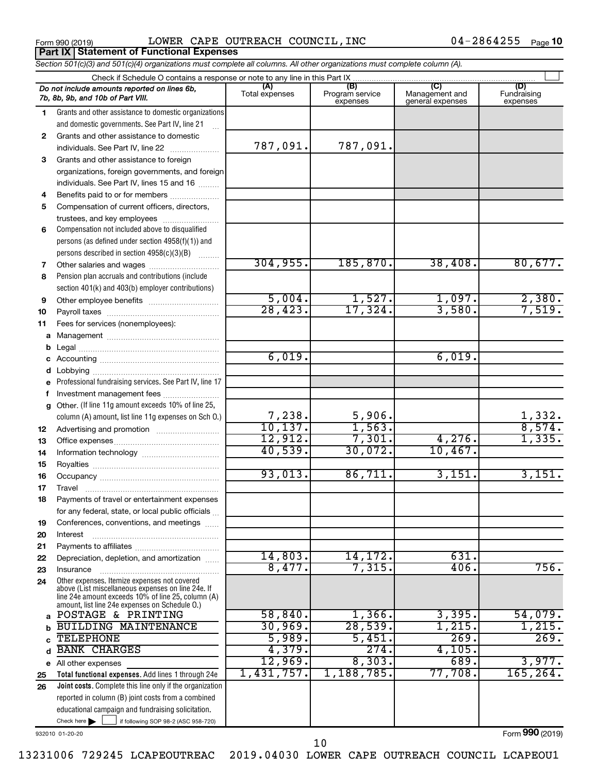**Part IX Statement of Functional Expenses**

Form 990 (2019)  $\,$  LOWER CAPE OUTREACH COUNCIL, INC  $\,$  04-2864255  $\,$   $_{\rm Page}$ 

04-2864255 Page 10

|    | Section 501(c)(3) and 501(c)(4) organizations must complete all columns. All other organizations must complete column (A).                                                                                 |                |                             |                                    |                                                |
|----|------------------------------------------------------------------------------------------------------------------------------------------------------------------------------------------------------------|----------------|-----------------------------|------------------------------------|------------------------------------------------|
|    | Check if Schedule O contains a response or note to any line in this Part IX                                                                                                                                | (A)            | (B)                         | (C)                                | (D)                                            |
|    | Do not include amounts reported on lines 6b,<br>7b, 8b, 9b, and 10b of Part VIII.                                                                                                                          | Total expenses | Program service<br>expenses | Management and<br>general expenses | Fundraising<br>expenses                        |
| 1. | Grants and other assistance to domestic organizations                                                                                                                                                      |                |                             |                                    |                                                |
|    | and domestic governments. See Part IV, line 21                                                                                                                                                             |                |                             |                                    |                                                |
| 2  | Grants and other assistance to domestic                                                                                                                                                                    |                |                             |                                    |                                                |
|    | individuals. See Part IV, line 22                                                                                                                                                                          | 787,091.       | 787,091.                    |                                    |                                                |
| 3  | Grants and other assistance to foreign                                                                                                                                                                     |                |                             |                                    |                                                |
|    | organizations, foreign governments, and foreign                                                                                                                                                            |                |                             |                                    |                                                |
|    | individuals. See Part IV, lines 15 and 16                                                                                                                                                                  |                |                             |                                    |                                                |
| 4  | Benefits paid to or for members                                                                                                                                                                            |                |                             |                                    |                                                |
| 5  | Compensation of current officers, directors,                                                                                                                                                               |                |                             |                                    |                                                |
|    | trustees, and key employees                                                                                                                                                                                |                |                             |                                    |                                                |
| 6  | Compensation not included above to disqualified                                                                                                                                                            |                |                             |                                    |                                                |
|    | persons (as defined under section 4958(f)(1)) and                                                                                                                                                          |                |                             |                                    |                                                |
|    | persons described in section 4958(c)(3)(B)                                                                                                                                                                 |                |                             |                                    |                                                |
| 7  |                                                                                                                                                                                                            | 304, 955.      | 185, 870.                   | 38,408.                            | 80,677.                                        |
| 8  | Pension plan accruals and contributions (include                                                                                                                                                           |                |                             |                                    |                                                |
|    | section 401(k) and 403(b) employer contributions)                                                                                                                                                          |                |                             |                                    |                                                |
| 9  |                                                                                                                                                                                                            | 5,004.         | 1,527.                      | 1,097.                             | $\frac{2,380}{7,519}$                          |
| 10 |                                                                                                                                                                                                            | 28,423.        | 17,324.                     | 3,580.                             |                                                |
| 11 | Fees for services (nonemployees):                                                                                                                                                                          |                |                             |                                    |                                                |
| a  |                                                                                                                                                                                                            |                |                             |                                    |                                                |
| b  |                                                                                                                                                                                                            |                |                             |                                    |                                                |
| c  |                                                                                                                                                                                                            | 6,019.         |                             | 6,019.                             |                                                |
| d  |                                                                                                                                                                                                            |                |                             |                                    |                                                |
|    | Professional fundraising services. See Part IV, line 17                                                                                                                                                    |                |                             |                                    |                                                |
| f  | Investment management fees                                                                                                                                                                                 |                |                             |                                    |                                                |
|    | g Other. (If line 11g amount exceeds 10% of line 25,                                                                                                                                                       |                |                             |                                    |                                                |
|    | column (A) amount, list line 11g expenses on Sch O.)                                                                                                                                                       | 7,238.         | 5,906.                      |                                    | $\frac{1,332}{8,574}$<br>$\frac{1,335}{1,335}$ |
| 12 |                                                                                                                                                                                                            | 10, 137.       | 1,563.                      |                                    |                                                |
| 13 |                                                                                                                                                                                                            | 12,912.        | 7,301.                      | 4,276.                             |                                                |
| 14 |                                                                                                                                                                                                            | 40,539.        | 30,072.                     | 10,467.                            |                                                |
| 15 |                                                                                                                                                                                                            |                |                             |                                    |                                                |
| 16 |                                                                                                                                                                                                            | 93,013.        | 86,711.                     | 3,151.                             | 3,151.                                         |
| 17 |                                                                                                                                                                                                            |                |                             |                                    |                                                |
| 18 | Payments of travel or entertainment expenses                                                                                                                                                               |                |                             |                                    |                                                |
|    | for any federal, state, or local public officials                                                                                                                                                          |                |                             |                                    |                                                |
| 19 | Conferences, conventions, and meetings                                                                                                                                                                     |                |                             |                                    |                                                |
| 20 | Interest                                                                                                                                                                                                   |                |                             |                                    |                                                |
| 21 |                                                                                                                                                                                                            | 14,803.        | 14,172.                     | 631.                               |                                                |
| 22 | Depreciation, depletion, and amortization                                                                                                                                                                  | 8,477.         | 7,315.                      | 406.                               | 756.                                           |
| 23 | Insurance                                                                                                                                                                                                  |                |                             |                                    |                                                |
| 24 | Other expenses. Itemize expenses not covered<br>above (List miscellaneous expenses on line 24e. If<br>line 24e amount exceeds 10% of line 25, column (A)<br>amount, list line 24e expenses on Schedule O.) |                |                             |                                    |                                                |
|    | POSTAGE & PRINTING                                                                                                                                                                                         | 58,840.        | 1,366.                      | 3,395.                             | 54,079.                                        |
| b  | <b>BUILDING MAINTENANCE</b>                                                                                                                                                                                | 30,969.        | 28,539.                     | 1,215.                             | 1,215.                                         |
| c  | <b>TELEPHONE</b>                                                                                                                                                                                           | 5,989.         | 5,451.                      | 269.                               | 269.                                           |
| d  | <b>BANK CHARGES</b>                                                                                                                                                                                        | 4,379.         | 274.                        | 4,105.                             |                                                |
|    | e All other expenses                                                                                                                                                                                       | 12,969.        | 8,303.                      | 689.                               | 3,977.                                         |
| 25 | Total functional expenses. Add lines 1 through 24e                                                                                                                                                         | 1,431,757.     | 1,188,785.                  | 77,708.                            | 165, 264.                                      |
| 26 | <b>Joint costs.</b> Complete this line only if the organization                                                                                                                                            |                |                             |                                    |                                                |
|    | reported in column (B) joint costs from a combined                                                                                                                                                         |                |                             |                                    |                                                |
|    | educational campaign and fundraising solicitation.                                                                                                                                                         |                |                             |                                    |                                                |
|    | Check here $\blacktriangleright$<br>if following SOP 98-2 (ASC 958-720)                                                                                                                                    |                |                             |                                    |                                                |

932010 01-20-20

Form (2019) **990**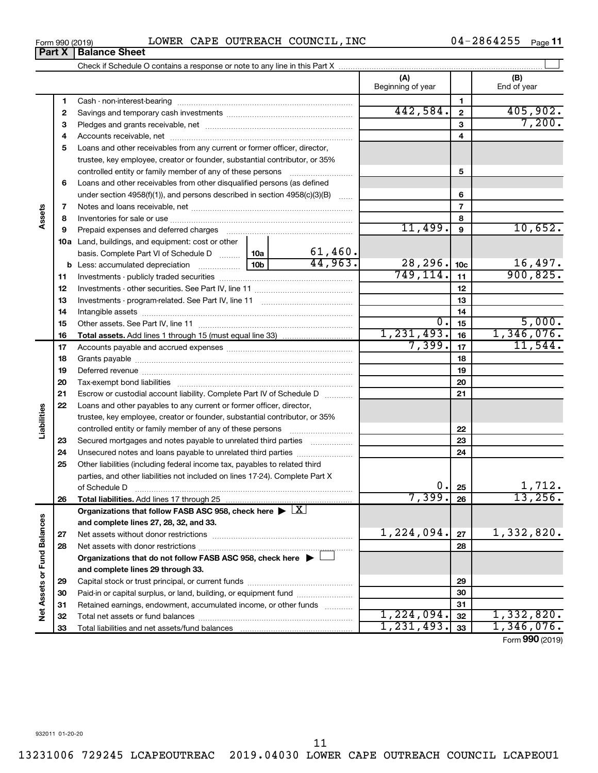$\overline{a}$ 

11

| Form 990 (2019) |                               |  | LOWER CAPE OUTREACH COUNCIL, INC |  | 04-2864255 | Page <b>11</b> |
|-----------------|-------------------------------|--|----------------------------------|--|------------|----------------|
|                 | <b>Part X   Balance Sheet</b> |  |                                  |  |            |                |

|                             |    |                                                                                                                                                                                                                               |            |         | (A)<br>Beginning of year |                 | (B)<br>End of year       |
|-----------------------------|----|-------------------------------------------------------------------------------------------------------------------------------------------------------------------------------------------------------------------------------|------------|---------|--------------------------|-----------------|--------------------------|
|                             | 1  |                                                                                                                                                                                                                               |            |         |                          | 1               |                          |
|                             | 2  |                                                                                                                                                                                                                               |            |         | 442,584.                 | $\mathbf{2}$    | 405,902.                 |
|                             | З  |                                                                                                                                                                                                                               |            |         |                          | 3               | 7,200.                   |
|                             | 4  |                                                                                                                                                                                                                               |            | 4       |                          |                 |                          |
|                             | 5  | Loans and other receivables from any current or former officer, director,                                                                                                                                                     |            |         |                          |                 |                          |
|                             |    | trustee, key employee, creator or founder, substantial contributor, or 35%                                                                                                                                                    |            |         |                          |                 |                          |
|                             |    | controlled entity or family member of any of these persons                                                                                                                                                                    |            |         |                          | 5               |                          |
|                             | 6  | Loans and other receivables from other disqualified persons (as defined                                                                                                                                                       |            |         |                          |                 |                          |
|                             |    | under section 4958(f)(1)), and persons described in section 4958(c)(3)(B)                                                                                                                                                     |            |         |                          | 6               |                          |
|                             | 7  |                                                                                                                                                                                                                               |            |         |                          | $\overline{7}$  |                          |
| Assets                      | 8  |                                                                                                                                                                                                                               |            |         |                          | 8               |                          |
|                             | 9  | Prepaid expenses and deferred charges [11] [11] Prepaid expenses and deferred charges [11] [11] Martin Marian Marian Marian Marian Marian Marian Marian Marian Marian Marian Marian Marian Marian Marian Marian Marian Marian |            |         | 11,499.                  | $\mathbf{9}$    | 10,652.                  |
|                             |    | 10a Land, buildings, and equipment: cost or other                                                                                                                                                                             |            |         |                          |                 |                          |
|                             |    | basis. Complete Part VI of Schedule D  10a                                                                                                                                                                                    |            | 61,460. |                          |                 |                          |
|                             |    | 10 <sub>b</sub><br><b>b</b> Less: accumulated depreciation <i></i>                                                                                                                                                            |            | 44.963. | 28, 296.                 | 10 <sub>c</sub> | $\frac{16,497}{900,825}$ |
|                             | 11 |                                                                                                                                                                                                                               |            |         | 749, 114.                | 11              |                          |
|                             | 12 |                                                                                                                                                                                                                               |            | 12      |                          |                 |                          |
|                             | 13 |                                                                                                                                                                                                                               |            | 13      |                          |                 |                          |
|                             | 14 |                                                                                                                                                                                                                               |            |         |                          | 14              |                          |
|                             | 15 |                                                                                                                                                                                                                               |            |         | $\overline{0}$ .         | 15              | 5,000.                   |
|                             | 16 |                                                                                                                                                                                                                               |            |         | 1,231,493.               | 16              | 1,346,076.               |
|                             | 17 |                                                                                                                                                                                                                               |            |         | 7,399.                   | 17              | 11,544.                  |
|                             | 18 |                                                                                                                                                                                                                               |            | 18      |                          |                 |                          |
|                             | 19 |                                                                                                                                                                                                                               |            | 19      |                          |                 |                          |
|                             | 20 |                                                                                                                                                                                                                               |            |         | 20                       |                 |                          |
|                             | 21 | Escrow or custodial account liability. Complete Part IV of Schedule D                                                                                                                                                         |            |         | 21                       |                 |                          |
|                             | 22 | Loans and other payables to any current or former officer, director,                                                                                                                                                          |            |         |                          |                 |                          |
| Liabilities                 |    | trustee, key employee, creator or founder, substantial contributor, or 35%                                                                                                                                                    |            |         |                          |                 |                          |
|                             |    | controlled entity or family member of any of these persons [                                                                                                                                                                  |            |         |                          | 22              |                          |
|                             | 23 | Secured mortgages and notes payable to unrelated third parties                                                                                                                                                                |            |         |                          | 23              |                          |
|                             | 24 |                                                                                                                                                                                                                               |            |         |                          | 24              |                          |
|                             | 25 | Other liabilities (including federal income tax, payables to related third<br>parties, and other liabilities not included on lines 17-24). Complete Part X                                                                    |            |         |                          |                 |                          |
|                             |    |                                                                                                                                                                                                                               |            |         | 0.                       | 25              | 1,712.                   |
|                             | 26 | of Schedule D <b>www.communications.communications.com</b><br>Total liabilities. Add lines 17 through 25                                                                                                                      |            |         | 7,399.                   | 26              | 13,256.                  |
|                             |    | Organizations that follow FASB ASC 958, check here $\blacktriangleright \lfloor \underline{X} \rfloor$                                                                                                                        |            |         |                          |                 |                          |
|                             |    | and complete lines 27, 28, 32, and 33.                                                                                                                                                                                        |            |         |                          |                 |                          |
|                             | 27 |                                                                                                                                                                                                                               |            |         | 1,224,094.               | 27              | 1,332,820.               |
|                             | 28 |                                                                                                                                                                                                                               |            |         |                          | 28              |                          |
|                             |    | Organizations that do not follow FASB ASC 958, check here $\blacktriangleright$                                                                                                                                               |            |         |                          |                 |                          |
|                             |    | and complete lines 29 through 33.                                                                                                                                                                                             |            |         |                          |                 |                          |
|                             | 29 |                                                                                                                                                                                                                               |            | 29      |                          |                 |                          |
|                             | 30 | Paid-in or capital surplus, or land, building, or equipment fund                                                                                                                                                              |            |         |                          | 30              |                          |
|                             | 31 | Retained earnings, endowment, accumulated income, or other funds                                                                                                                                                              |            |         |                          | 31              |                          |
| Net Assets or Fund Balances | 32 |                                                                                                                                                                                                                               | 1,224,094. | 32      | 1,332,820.               |                 |                          |
|                             | 33 |                                                                                                                                                                                                                               |            |         | 1, 231, 493.             | 33              | 1,346,076.               |
|                             |    |                                                                                                                                                                                                                               |            |         |                          |                 |                          |

Form (2019) **990**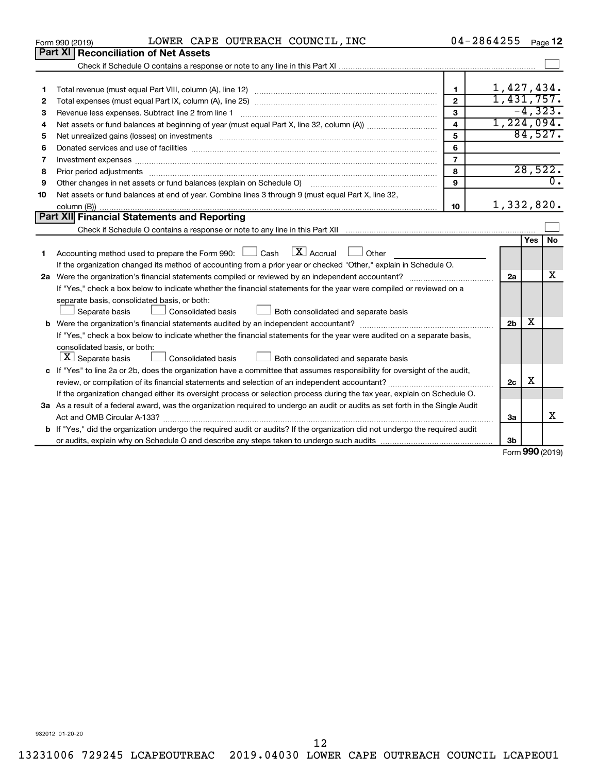|    | LOWER CAPE OUTREACH COUNCIL, INC<br>Form 990 (2019)                                                                                                                                                                            |                         | 04-2864255     |     | Page 12                  |
|----|--------------------------------------------------------------------------------------------------------------------------------------------------------------------------------------------------------------------------------|-------------------------|----------------|-----|--------------------------|
|    | <b>Part XI   Reconciliation of Net Assets</b>                                                                                                                                                                                  |                         |                |     |                          |
|    |                                                                                                                                                                                                                                |                         |                |     |                          |
|    |                                                                                                                                                                                                                                |                         |                |     |                          |
| 1  |                                                                                                                                                                                                                                | $\mathbf{1}$            | 1,427,434.     |     |                          |
| 2  |                                                                                                                                                                                                                                | $\overline{2}$          | 1,431,757.     |     |                          |
| 3  |                                                                                                                                                                                                                                | $\mathbf{3}$            |                |     | $-4, 323.$               |
| 4  |                                                                                                                                                                                                                                | $\overline{\mathbf{A}}$ | 1,224,094.     |     |                          |
| 5  | Net unrealized gains (losses) on investments [111] matter in the contract of the contract of the contract of the contract of the contract of the contract of the contract of the contract of the contract of the contract of t | 5                       |                |     | 84,527.                  |
| 6  |                                                                                                                                                                                                                                | 6                       |                |     |                          |
| 7  | Investment expenses www.communication.com/www.communication.com/www.communication.com/www.com                                                                                                                                  | $\overline{7}$          |                |     |                          |
| 8  |                                                                                                                                                                                                                                | 8                       |                |     | 28,522.                  |
| 9  | Other changes in net assets or fund balances (explain on Schedule O)                                                                                                                                                           | 9                       |                |     | $\overline{0}$ .         |
| 10 | Net assets or fund balances at end of year. Combine lines 3 through 9 (must equal Part X, line 32,                                                                                                                             |                         |                |     |                          |
|    |                                                                                                                                                                                                                                | 10                      | 1,332,820.     |     |                          |
|    | Part XII Financial Statements and Reporting                                                                                                                                                                                    |                         |                |     |                          |
|    |                                                                                                                                                                                                                                |                         |                |     |                          |
|    |                                                                                                                                                                                                                                |                         |                | Yes | No                       |
| 1  | $\boxed{\mathbf{X}}$ Accrual $\boxed{\phantom{1}}$ Other<br>Accounting method used to prepare the Form 990: [13] Cash                                                                                                          |                         |                |     |                          |
|    | If the organization changed its method of accounting from a prior year or checked "Other," explain in Schedule O.                                                                                                              |                         |                |     |                          |
|    |                                                                                                                                                                                                                                |                         | 2a             |     | х                        |
|    | If "Yes," check a box below to indicate whether the financial statements for the year were compiled or reviewed on a                                                                                                           |                         |                |     |                          |
|    | separate basis, consolidated basis, or both:                                                                                                                                                                                   |                         |                |     |                          |
|    | Separate basis<br>Consolidated basis<br>Both consolidated and separate basis                                                                                                                                                   |                         |                |     |                          |
|    |                                                                                                                                                                                                                                |                         | 2 <sub>b</sub> | X   |                          |
|    | If "Yes," check a box below to indicate whether the financial statements for the year were audited on a separate basis,                                                                                                        |                         |                |     |                          |
|    | consolidated basis, or both:                                                                                                                                                                                                   |                         |                |     |                          |
|    | $\boxed{\mathbf{X}}$ Separate basis<br>Consolidated basis<br>Both consolidated and separate basis                                                                                                                              |                         |                |     |                          |
|    | c If "Yes" to line 2a or 2b, does the organization have a committee that assumes responsibility for oversight of the audit,                                                                                                    |                         |                |     |                          |
|    |                                                                                                                                                                                                                                |                         | 2c             | X   |                          |
|    | If the organization changed either its oversight process or selection process during the tax year, explain on Schedule O.                                                                                                      |                         |                |     |                          |
|    | 3a As a result of a federal award, was the organization required to undergo an audit or audits as set forth in the Single Audit                                                                                                |                         |                |     |                          |
|    |                                                                                                                                                                                                                                |                         | За             |     | X                        |
|    | <b>b</b> If "Yes," did the organization undergo the required audit or audits? If the organization did not undergo the required audit                                                                                           |                         |                |     |                          |
|    |                                                                                                                                                                                                                                |                         | 3b             |     |                          |
|    |                                                                                                                                                                                                                                |                         |                |     | $F_{\rm OCD}$ 990 (2010) |

Form (2019) **990**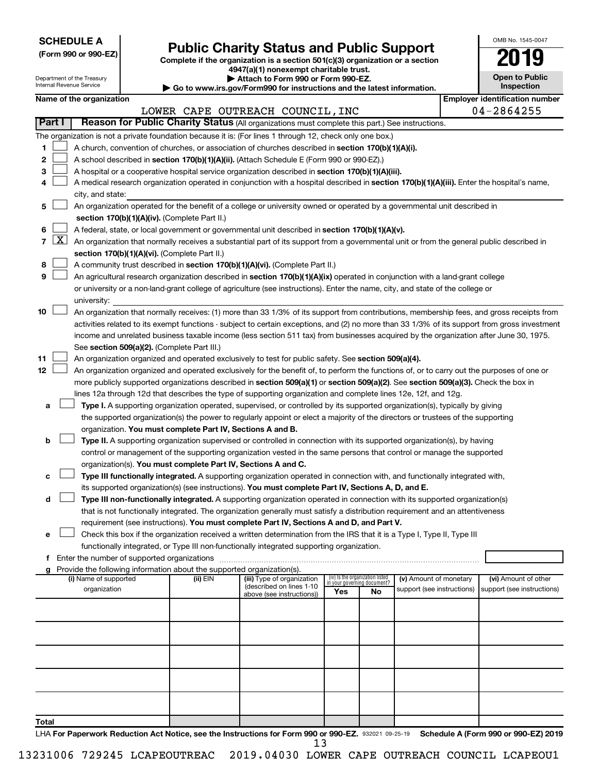| <b>SCHEDULE A</b> |  |
|-------------------|--|
|-------------------|--|

## Form 990 or 990-EZ)<br>
Complete if the organization is a section 501(c)(3) organization or a section<br> **Public Charity Status and Public Support**

**4947(a)(1) nonexempt charitable trust.**

| OMB No 1545-0047                    |
|-------------------------------------|
| 2019                                |
| <b>Open to Public</b><br>Inspection |

|                |                                                                                                  | Department of the Treasury<br><b>Internal Revenue Service</b> |  |                                                                        | Attach to Form 990 or Form 990-EZ.                                                                                                            |                             |                                 |                                                      | <b>Open to Public</b><br>Inspection                |
|----------------|--------------------------------------------------------------------------------------------------|---------------------------------------------------------------|--|------------------------------------------------------------------------|-----------------------------------------------------------------------------------------------------------------------------------------------|-----------------------------|---------------------------------|------------------------------------------------------|----------------------------------------------------|
|                |                                                                                                  |                                                               |  |                                                                        | ► Go to www.irs.gov/Form990 for instructions and the latest information.                                                                      |                             |                                 |                                                      |                                                    |
|                |                                                                                                  | Name of the organization                                      |  |                                                                        |                                                                                                                                               |                             |                                 |                                                      | <b>Employer identification number</b>              |
|                |                                                                                                  |                                                               |  |                                                                        | LOWER CAPE OUTREACH COUNCIL, INC                                                                                                              |                             |                                 |                                                      | 04-2864255                                         |
|                | Part I                                                                                           |                                                               |  |                                                                        | Reason for Public Charity Status (All organizations must complete this part.) See instructions.                                               |                             |                                 |                                                      |                                                    |
|                |                                                                                                  |                                                               |  |                                                                        | The organization is not a private foundation because it is: (For lines 1 through 12, check only one box.)                                     |                             |                                 |                                                      |                                                    |
| 1              |                                                                                                  |                                                               |  |                                                                        | A church, convention of churches, or association of churches described in section 170(b)(1)(A)(i).                                            |                             |                                 |                                                      |                                                    |
| 2              |                                                                                                  |                                                               |  |                                                                        | A school described in section 170(b)(1)(A)(ii). (Attach Schedule E (Form 990 or 990-EZ).)                                                     |                             |                                 |                                                      |                                                    |
| 3              |                                                                                                  |                                                               |  |                                                                        | A hospital or a cooperative hospital service organization described in section 170(b)(1)(A)(iii).                                             |                             |                                 |                                                      |                                                    |
| 4              |                                                                                                  |                                                               |  |                                                                        | A medical research organization operated in conjunction with a hospital described in section 170(b)(1)(A)(iii). Enter the hospital's name,    |                             |                                 |                                                      |                                                    |
|                |                                                                                                  | city, and state:                                              |  |                                                                        |                                                                                                                                               |                             |                                 |                                                      |                                                    |
| 5              |                                                                                                  |                                                               |  |                                                                        | An organization operated for the benefit of a college or university owned or operated by a governmental unit described in                     |                             |                                 |                                                      |                                                    |
|                |                                                                                                  |                                                               |  | section 170(b)(1)(A)(iv). (Complete Part II.)                          |                                                                                                                                               |                             |                                 |                                                      |                                                    |
| 6              | A federal, state, or local government or governmental unit described in section 170(b)(1)(A)(v). |                                                               |  |                                                                        |                                                                                                                                               |                             |                                 |                                                      |                                                    |
| $\overline{7}$ | $\mathbf{X}$                                                                                     |                                                               |  |                                                                        | An organization that normally receives a substantial part of its support from a governmental unit or from the general public described in     |                             |                                 |                                                      |                                                    |
|                |                                                                                                  |                                                               |  | section 170(b)(1)(A)(vi). (Complete Part II.)                          |                                                                                                                                               |                             |                                 |                                                      |                                                    |
| 8              |                                                                                                  |                                                               |  |                                                                        | A community trust described in section 170(b)(1)(A)(vi). (Complete Part II.)                                                                  |                             |                                 |                                                      |                                                    |
| 9              |                                                                                                  |                                                               |  |                                                                        | An agricultural research organization described in section 170(b)(1)(A)(ix) operated in conjunction with a land-grant college                 |                             |                                 |                                                      |                                                    |
|                |                                                                                                  |                                                               |  |                                                                        | or university or a non-land-grant college of agriculture (see instructions). Enter the name, city, and state of the college or                |                             |                                 |                                                      |                                                    |
|                |                                                                                                  | university:                                                   |  |                                                                        |                                                                                                                                               |                             |                                 |                                                      |                                                    |
| 10             |                                                                                                  |                                                               |  |                                                                        | An organization that normally receives: (1) more than 33 1/3% of its support from contributions, membership fees, and gross receipts from     |                             |                                 |                                                      |                                                    |
|                |                                                                                                  |                                                               |  |                                                                        | activities related to its exempt functions - subject to certain exceptions, and (2) no more than 33 1/3% of its support from gross investment |                             |                                 |                                                      |                                                    |
|                |                                                                                                  |                                                               |  |                                                                        | income and unrelated business taxable income (less section 511 tax) from businesses acquired by the organization after June 30, 1975.         |                             |                                 |                                                      |                                                    |
|                |                                                                                                  |                                                               |  | See section 509(a)(2). (Complete Part III.)                            |                                                                                                                                               |                             |                                 |                                                      |                                                    |
| 11             |                                                                                                  |                                                               |  |                                                                        | An organization organized and operated exclusively to test for public safety. See section 509(a)(4).                                          |                             |                                 |                                                      |                                                    |
| 12             |                                                                                                  |                                                               |  |                                                                        | An organization organized and operated exclusively for the benefit of, to perform the functions of, or to carry out the purposes of one or    |                             |                                 |                                                      |                                                    |
|                |                                                                                                  |                                                               |  |                                                                        | more publicly supported organizations described in section 509(a)(1) or section 509(a)(2). See section 509(a)(3). Check the box in            |                             |                                 |                                                      |                                                    |
|                |                                                                                                  |                                                               |  |                                                                        | lines 12a through 12d that describes the type of supporting organization and complete lines 12e, 12f, and 12g.                                |                             |                                 |                                                      |                                                    |
| а              |                                                                                                  |                                                               |  |                                                                        | Type I. A supporting organization operated, supervised, or controlled by its supported organization(s), typically by giving                   |                             |                                 |                                                      |                                                    |
|                |                                                                                                  |                                                               |  |                                                                        | the supported organization(s) the power to regularly appoint or elect a majority of the directors or trustees of the supporting               |                             |                                 |                                                      |                                                    |
|                |                                                                                                  |                                                               |  | organization. You must complete Part IV, Sections A and B.             |                                                                                                                                               |                             |                                 |                                                      |                                                    |
| b              |                                                                                                  |                                                               |  |                                                                        | Type II. A supporting organization supervised or controlled in connection with its supported organization(s), by having                       |                             |                                 |                                                      |                                                    |
|                |                                                                                                  |                                                               |  |                                                                        | control or management of the supporting organization vested in the same persons that control or manage the supported                          |                             |                                 |                                                      |                                                    |
|                |                                                                                                  |                                                               |  | organization(s). You must complete Part IV, Sections A and C.          |                                                                                                                                               |                             |                                 |                                                      |                                                    |
| с              |                                                                                                  |                                                               |  |                                                                        | Type III functionally integrated. A supporting organization operated in connection with, and functionally integrated with,                    |                             |                                 |                                                      |                                                    |
|                |                                                                                                  |                                                               |  |                                                                        | its supported organization(s) (see instructions). You must complete Part IV, Sections A, D, and E.                                            |                             |                                 |                                                      |                                                    |
| d              |                                                                                                  |                                                               |  |                                                                        | Type III non-functionally integrated. A supporting organization operated in connection with its supported organization(s)                     |                             |                                 |                                                      |                                                    |
|                |                                                                                                  |                                                               |  |                                                                        | that is not functionally integrated. The organization generally must satisfy a distribution requirement and an attentiveness                  |                             |                                 |                                                      |                                                    |
|                |                                                                                                  |                                                               |  |                                                                        | requirement (see instructions). You must complete Part IV, Sections A and D, and Part V.                                                      |                             |                                 |                                                      |                                                    |
| е              |                                                                                                  |                                                               |  |                                                                        | Check this box if the organization received a written determination from the IRS that it is a Type I, Type II, Type III                       |                             |                                 |                                                      |                                                    |
|                |                                                                                                  |                                                               |  |                                                                        | functionally integrated, or Type III non-functionally integrated supporting organization.                                                     |                             |                                 |                                                      |                                                    |
|                |                                                                                                  |                                                               |  |                                                                        |                                                                                                                                               |                             |                                 |                                                      |                                                    |
| g              |                                                                                                  |                                                               |  | Provide the following information about the supported organization(s). |                                                                                                                                               |                             | (iv) Is the organization listed |                                                      |                                                    |
|                |                                                                                                  | (i) Name of supported<br>organization                         |  | (ii) EIN                                                               | (iii) Type of organization<br>(described on lines 1-10                                                                                        | in your governing document? |                                 | (v) Amount of monetary<br>support (see instructions) | (vi) Amount of other<br>support (see instructions) |
|                |                                                                                                  |                                                               |  |                                                                        | above (see instructions))                                                                                                                     | Yes                         | No                              |                                                      |                                                    |
|                |                                                                                                  |                                                               |  |                                                                        |                                                                                                                                               |                             |                                 |                                                      |                                                    |
|                |                                                                                                  |                                                               |  |                                                                        |                                                                                                                                               |                             |                                 |                                                      |                                                    |
|                |                                                                                                  |                                                               |  |                                                                        |                                                                                                                                               |                             |                                 |                                                      |                                                    |
|                |                                                                                                  |                                                               |  |                                                                        |                                                                                                                                               |                             |                                 |                                                      |                                                    |
|                |                                                                                                  |                                                               |  |                                                                        |                                                                                                                                               |                             |                                 |                                                      |                                                    |
|                |                                                                                                  |                                                               |  |                                                                        |                                                                                                                                               |                             |                                 |                                                      |                                                    |
|                |                                                                                                  |                                                               |  |                                                                        |                                                                                                                                               |                             |                                 |                                                      |                                                    |
|                |                                                                                                  |                                                               |  |                                                                        |                                                                                                                                               |                             |                                 |                                                      |                                                    |
|                |                                                                                                  |                                                               |  |                                                                        |                                                                                                                                               |                             |                                 |                                                      |                                                    |
|                |                                                                                                  |                                                               |  |                                                                        |                                                                                                                                               |                             |                                 |                                                      |                                                    |
| Total          |                                                                                                  |                                                               |  |                                                                        |                                                                                                                                               |                             |                                 |                                                      |                                                    |

LHA For Paperwork Reduction Act Notice, see the Instructions for Form 990 or 990-EZ. 932021 09-25-19 Schedule A (Form 990 or 990-EZ) 2019 13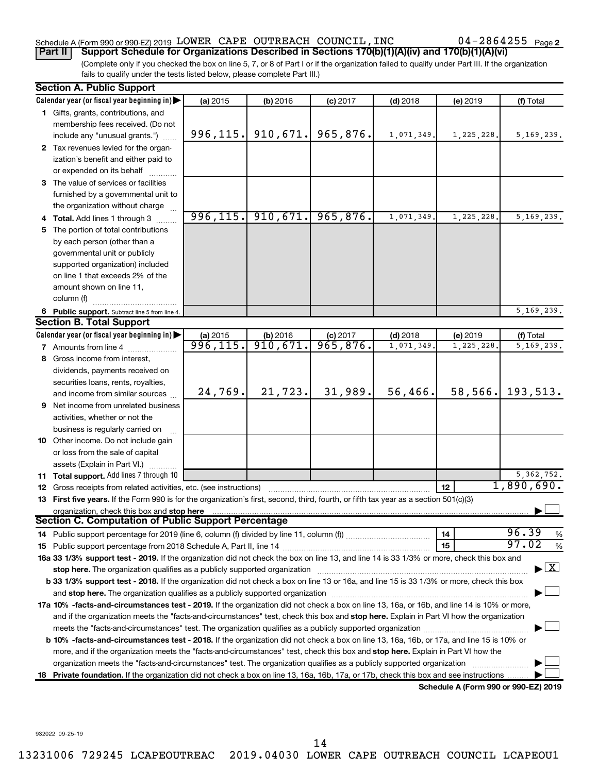### Schedule A (Form 990 or 990-EZ) 2019  ${\tt LOWER}$  CAPE OUTREACH COUNCIL, INC  $04\text{--}2864255$   $_{\sf Page}$

(Complete only if you checked the box on line 5, 7, or 8 of Part I or if the organization failed to qualify under Part III. If the organization fails to qualify under the tests listed below, please complete Part III.) **Part II Support Schedule for Organizations Described in Sections 170(b)(1)(A)(iv) and 170(b)(1)(A)(vi)**

| <b>Section A. Public Support</b>                                                                                                           |           |                       |                      |            |                                             |                                    |
|--------------------------------------------------------------------------------------------------------------------------------------------|-----------|-----------------------|----------------------|------------|---------------------------------------------|------------------------------------|
| Calendar year (or fiscal year beginning in)                                                                                                | (a) 2015  | $(b)$ 2016            | $(c)$ 2017           | $(d)$ 2018 | (e) 2019                                    | (f) Total                          |
| 1 Gifts, grants, contributions, and                                                                                                        |           |                       |                      |            |                                             |                                    |
| membership fees received. (Do not                                                                                                          |           |                       |                      |            |                                             |                                    |
| include any "unusual grants.")                                                                                                             |           | $996, 115.$ 910, 671. | 965,876.             | 1,071,349. | 1,225,228.                                  | 5, 169, 239.                       |
| 2 Tax revenues levied for the organ-                                                                                                       |           |                       |                      |            |                                             |                                    |
| ization's benefit and either paid to                                                                                                       |           |                       |                      |            |                                             |                                    |
| or expended on its behalf                                                                                                                  |           |                       |                      |            |                                             |                                    |
| 3 The value of services or facilities                                                                                                      |           |                       |                      |            |                                             |                                    |
| furnished by a governmental unit to                                                                                                        |           |                       |                      |            |                                             |                                    |
| the organization without charge                                                                                                            |           |                       |                      |            |                                             |                                    |
| 4 Total. Add lines 1 through 3                                                                                                             |           | $996, 115.$ 910, 671. | 965,876.             | 1,071,349. | 1,225,228                                   | 5,169,239.                         |
| 5 The portion of total contributions                                                                                                       |           |                       |                      |            |                                             |                                    |
| by each person (other than a                                                                                                               |           |                       |                      |            |                                             |                                    |
| governmental unit or publicly                                                                                                              |           |                       |                      |            |                                             |                                    |
| supported organization) included                                                                                                           |           |                       |                      |            |                                             |                                    |
| on line 1 that exceeds 2% of the                                                                                                           |           |                       |                      |            |                                             |                                    |
| amount shown on line 11,                                                                                                                   |           |                       |                      |            |                                             |                                    |
| column (f)                                                                                                                                 |           |                       |                      |            |                                             |                                    |
| 6 Public support. Subtract line 5 from line 4.                                                                                             |           |                       |                      |            |                                             | 5, 169, 239.                       |
| <b>Section B. Total Support</b>                                                                                                            |           |                       |                      |            |                                             |                                    |
| Calendar year (or fiscal year beginning in)                                                                                                | (a) 2015  | $(b)$ 2016            |                      | $(d)$ 2018 | (e) 2019                                    | (f) Total                          |
| <b>7</b> Amounts from line 4                                                                                                               | 996, 115. | 910,671.              | c) 2017<br>965, 876. | 1,071,349. | 1,225,228                                   | 5, 169, 239.                       |
| 8 Gross income from interest,                                                                                                              |           |                       |                      |            |                                             |                                    |
| dividends, payments received on                                                                                                            |           |                       |                      |            |                                             |                                    |
| securities loans, rents, royalties,                                                                                                        |           |                       |                      |            |                                             |                                    |
| and income from similar sources                                                                                                            | 24,769.   | 21,723.               | 31,989.              | 56,466.    | 58, 566.                                    | 193,513.                           |
| <b>9</b> Net income from unrelated business                                                                                                |           |                       |                      |            |                                             |                                    |
| activities, whether or not the                                                                                                             |           |                       |                      |            |                                             |                                    |
| business is regularly carried on                                                                                                           |           |                       |                      |            |                                             |                                    |
| 10 Other income. Do not include gain                                                                                                       |           |                       |                      |            |                                             |                                    |
| or loss from the sale of capital                                                                                                           |           |                       |                      |            |                                             |                                    |
| assets (Explain in Part VI.)                                                                                                               |           |                       |                      |            |                                             |                                    |
| 11 Total support. Add lines 7 through 10                                                                                                   |           |                       |                      |            |                                             | 5, 362, 752.                       |
| <b>12</b> Gross receipts from related activities, etc. (see instructions)                                                                  |           |                       |                      |            | 12                                          | 1,890,690.                         |
| 13 First five years. If the Form 990 is for the organization's first, second, third, fourth, or fifth tax year as a section 501(c)(3)      |           |                       |                      |            |                                             |                                    |
| organization, check this box and stop here                                                                                                 |           |                       |                      |            |                                             |                                    |
| <b>Section C. Computation of Public Support Percentage</b>                                                                                 |           |                       |                      |            |                                             |                                    |
|                                                                                                                                            |           |                       |                      |            | 14                                          | 96.39<br>%                         |
|                                                                                                                                            |           |                       |                      |            | 15                                          | 97.02<br>%                         |
| 16a 33 1/3% support test - 2019. If the organization did not check the box on line 13, and line 14 is 33 1/3% or more, check this box and  |           |                       |                      |            |                                             |                                    |
| stop here. The organization qualifies as a publicly supported organization                                                                 |           |                       |                      |            |                                             | $\blacktriangleright$ $\mathbf{X}$ |
| b 33 1/3% support test - 2018. If the organization did not check a box on line 13 or 16a, and line 15 is 33 1/3% or more, check this box   |           |                       |                      |            |                                             |                                    |
|                                                                                                                                            |           |                       |                      |            |                                             |                                    |
| 17a 10% -facts-and-circumstances test - 2019. If the organization did not check a box on line 13, 16a, or 16b, and line 14 is 10% or more, |           |                       |                      |            |                                             |                                    |
| and if the organization meets the "facts-and-circumstances" test, check this box and stop here. Explain in Part VI how the organization    |           |                       |                      |            |                                             |                                    |
| meets the "facts-and-circumstances" test. The organization qualifies as a publicly supported organization <i>manumumumum</i>               |           |                       |                      |            |                                             |                                    |
| b 10% -facts-and-circumstances test - 2018. If the organization did not check a box on line 13, 16a, 16b, or 17a, and line 15 is 10% or    |           |                       |                      |            |                                             |                                    |
| more, and if the organization meets the "facts-and-circumstances" test, check this box and stop here. Explain in Part VI how the           |           |                       |                      |            |                                             |                                    |
| organization meets the "facts-and-circumstances" test. The organization qualifies as a publicly supported organization                     |           |                       |                      |            |                                             |                                    |
| 18 Private foundation. If the organization did not check a box on line 13, 16a, 16b, 17a, or 17b, check this box and see instructions      |           |                       |                      |            |                                             |                                    |
|                                                                                                                                            |           |                       |                      |            | <b>Cohodulo A (Form 000 or 000 F7) 2010</b> |                                    |

**Schedule A (Form 990 or 990-EZ) 2019**

932022 09-25-19

14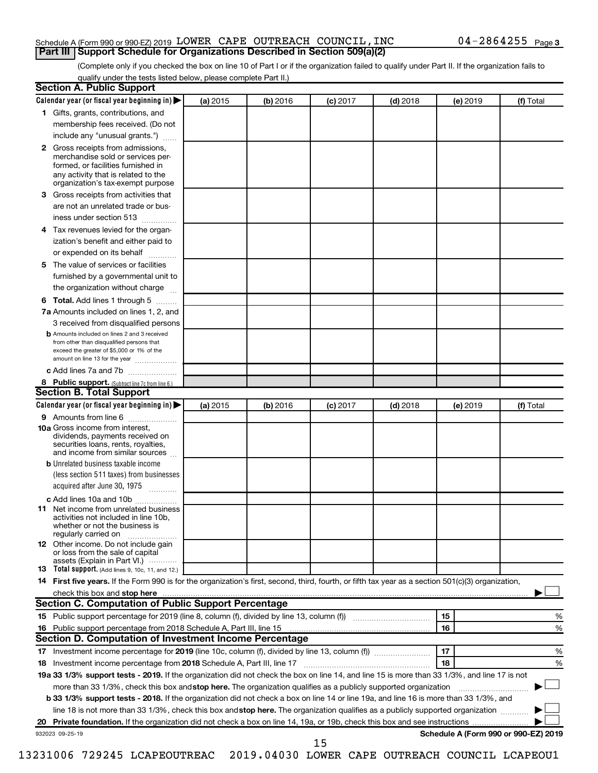#### Schedule A (Form 990 or 990-EZ) 2019  ${\tt LOWER}$  CAPE OUTREACH COUNCIL, INC  $04\text{--}2864255$   $_{\sf Page}$ **Part III Support Schedule for Organizations Described in Section 509(a)(2)**

(Complete only if you checked the box on line 10 of Part I or if the organization failed to qualify under Part II. If the organization fails to qualify under the tests listed below, please complete Part II.)

| <b>Section A. Public Support</b>                                                                                                                                                                |          |          |            |            |          |                                      |
|-------------------------------------------------------------------------------------------------------------------------------------------------------------------------------------------------|----------|----------|------------|------------|----------|--------------------------------------|
| Calendar year (or fiscal year beginning in)                                                                                                                                                     | (a) 2015 | (b) 2016 | $(c)$ 2017 | $(d)$ 2018 | (e) 2019 | (f) Total                            |
| 1 Gifts, grants, contributions, and                                                                                                                                                             |          |          |            |            |          |                                      |
| membership fees received. (Do not                                                                                                                                                               |          |          |            |            |          |                                      |
| include any "unusual grants.")                                                                                                                                                                  |          |          |            |            |          |                                      |
| <b>2</b> Gross receipts from admissions,<br>merchandise sold or services per-<br>formed, or facilities furnished in<br>any activity that is related to the<br>organization's tax-exempt purpose |          |          |            |            |          |                                      |
| 3 Gross receipts from activities that                                                                                                                                                           |          |          |            |            |          |                                      |
| are not an unrelated trade or bus-                                                                                                                                                              |          |          |            |            |          |                                      |
|                                                                                                                                                                                                 |          |          |            |            |          |                                      |
| iness under section 513                                                                                                                                                                         |          |          |            |            |          |                                      |
| 4 Tax revenues levied for the organ-<br>ization's benefit and either paid to                                                                                                                    |          |          |            |            |          |                                      |
| or expended on its behalf                                                                                                                                                                       |          |          |            |            |          |                                      |
| 5 The value of services or facilities                                                                                                                                                           |          |          |            |            |          |                                      |
| furnished by a governmental unit to                                                                                                                                                             |          |          |            |            |          |                                      |
| the organization without charge                                                                                                                                                                 |          |          |            |            |          |                                      |
| 6 Total. Add lines 1 through 5                                                                                                                                                                  |          |          |            |            |          |                                      |
| 7a Amounts included on lines 1, 2, and                                                                                                                                                          |          |          |            |            |          |                                      |
| 3 received from disqualified persons                                                                                                                                                            |          |          |            |            |          |                                      |
| <b>b</b> Amounts included on lines 2 and 3 received<br>from other than disqualified persons that<br>exceed the greater of \$5,000 or 1% of the<br>amount on line 13 for the year                |          |          |            |            |          |                                      |
| c Add lines 7a and 7b                                                                                                                                                                           |          |          |            |            |          |                                      |
| 8 Public support. (Subtract line 7c from line 6.)                                                                                                                                               |          |          |            |            |          |                                      |
| <b>Section B. Total Support</b>                                                                                                                                                                 |          |          |            |            |          |                                      |
| Calendar year (or fiscal year beginning in)                                                                                                                                                     | (a) 2015 | (b) 2016 | $(c)$ 2017 | $(d)$ 2018 | (e) 2019 | (f) Total                            |
| 9 Amounts from line 6                                                                                                                                                                           |          |          |            |            |          |                                      |
| <b>10a</b> Gross income from interest,<br>dividends, payments received on<br>securities loans, rents, royalties,<br>and income from similar sources                                             |          |          |            |            |          |                                      |
| <b>b</b> Unrelated business taxable income                                                                                                                                                      |          |          |            |            |          |                                      |
| (less section 511 taxes) from businesses<br>acquired after June 30, 1975                                                                                                                        |          |          |            |            |          |                                      |
| c Add lines 10a and 10b                                                                                                                                                                         |          |          |            |            |          |                                      |
| <b>11</b> Net income from unrelated business<br>activities not included in line 10b.<br>whether or not the business is<br>regularly carried on                                                  |          |          |            |            |          |                                      |
| <b>12</b> Other income. Do not include gain<br>or loss from the sale of capital<br>assets (Explain in Part VI.)                                                                                 |          |          |            |            |          |                                      |
| <b>13</b> Total support. (Add lines 9, 10c, 11, and 12.)                                                                                                                                        |          |          |            |            |          |                                      |
| 14 First five years. If the Form 990 is for the organization's first, second, third, fourth, or fifth tax year as a section 501(c)(3) organization,                                             |          |          |            |            |          |                                      |
| check this box and stop here <b>contained and the contained and stop here</b> check this box and stop here <b>contained and stop here</b>                                                       |          |          |            |            |          |                                      |
| Section C. Computation of Public Support Percentage                                                                                                                                             |          |          |            |            |          |                                      |
| 15 Public support percentage for 2019 (line 8, column (f), divided by line 13, column (f) <i></i>                                                                                               |          |          |            |            | 15       | ℅                                    |
|                                                                                                                                                                                                 |          |          |            |            | 16       | %                                    |
| Section D. Computation of Investment Income Percentage                                                                                                                                          |          |          |            |            |          |                                      |
|                                                                                                                                                                                                 |          |          |            |            | 17       | %                                    |
| 18 Investment income percentage from 2018 Schedule A, Part III, line 17                                                                                                                         |          |          |            |            | 18       | %                                    |
| 19a 33 1/3% support tests - 2019. If the organization did not check the box on line 14, and line 15 is more than 33 1/3%, and line 17 is not                                                    |          |          |            |            |          |                                      |
| more than 33 1/3%, check this box and stop here. The organization qualifies as a publicly supported organization                                                                                |          |          |            |            |          |                                      |
| b 33 1/3% support tests - 2018. If the organization did not check a box on line 14 or line 19a, and line 16 is more than 33 1/3%, and                                                           |          |          |            |            |          |                                      |
| line 18 is not more than 33 1/3%, check this box and stop here. The organization qualifies as a publicly supported organization                                                                 |          |          |            |            |          |                                      |
|                                                                                                                                                                                                 |          |          |            |            |          |                                      |
| 932023 09-25-19                                                                                                                                                                                 |          |          |            |            |          | Schedule A (Form 990 or 990-EZ) 2019 |
|                                                                                                                                                                                                 |          |          | 15         |            |          |                                      |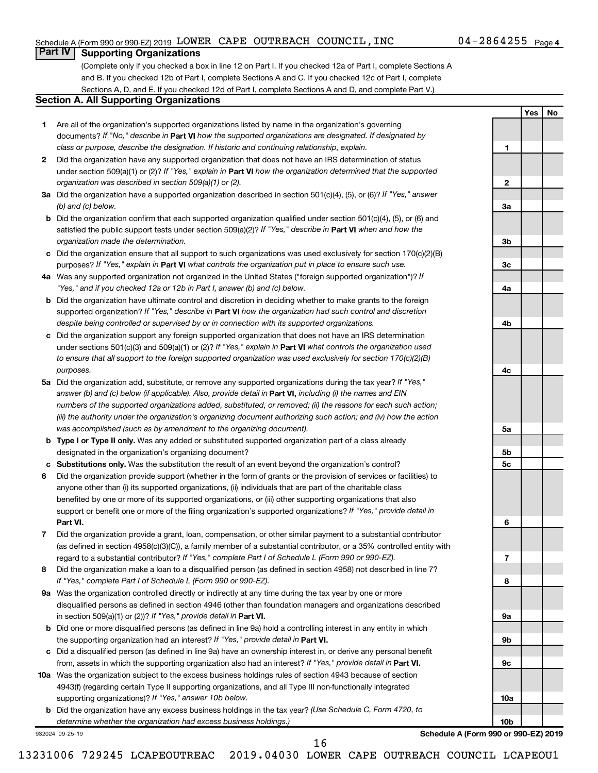**1**

**2**

**3a**

**3b**

**3c**

**4a**

**4b**

**4c**

**5a**

**5b 5c**

**6**

**7**

**8**

**9a**

**9b**

**9c**

**10a**

**10b**

**Yes No**

#### **Part IV Supporting Organizations**

(Complete only if you checked a box in line 12 on Part I. If you checked 12a of Part I, complete Sections A and B. If you checked 12b of Part I, complete Sections A and C. If you checked 12c of Part I, complete Sections A, D, and E. If you checked 12d of Part I, complete Sections A and D, and complete Part V.)

#### **Section A. All Supporting Organizations**

- **1** Are all of the organization's supported organizations listed by name in the organization's governing documents? If "No," describe in Part VI how the supported organizations are designated. If designated by *class or purpose, describe the designation. If historic and continuing relationship, explain.*
- **2** Did the organization have any supported organization that does not have an IRS determination of status under section 509(a)(1) or (2)? If "Yes," explain in Part **VI** how the organization determined that the supported *organization was described in section 509(a)(1) or (2).*
- **3a** Did the organization have a supported organization described in section 501(c)(4), (5), or (6)? If "Yes," answer *(b) and (c) below.*
- **b** Did the organization confirm that each supported organization qualified under section 501(c)(4), (5), or (6) and satisfied the public support tests under section 509(a)(2)? If "Yes," describe in Part VI when and how the *organization made the determination.*
- **c** Did the organization ensure that all support to such organizations was used exclusively for section 170(c)(2)(B) purposes? If "Yes," explain in Part VI what controls the organization put in place to ensure such use.
- **4 a** *If* Was any supported organization not organized in the United States ("foreign supported organization")? *"Yes," and if you checked 12a or 12b in Part I, answer (b) and (c) below.*
- **b** Did the organization have ultimate control and discretion in deciding whether to make grants to the foreign supported organization? If "Yes," describe in Part VI how the organization had such control and discretion *despite being controlled or supervised by or in connection with its supported organizations.*
- **c** Did the organization support any foreign supported organization that does not have an IRS determination under sections 501(c)(3) and 509(a)(1) or (2)? If "Yes," explain in Part VI what controls the organization used *to ensure that all support to the foreign supported organization was used exclusively for section 170(c)(2)(B) purposes.*
- **5a** Did the organization add, substitute, or remove any supported organizations during the tax year? If "Yes," answer (b) and (c) below (if applicable). Also, provide detail in **Part VI,** including (i) the names and EIN *numbers of the supported organizations added, substituted, or removed; (ii) the reasons for each such action; (iii) the authority under the organization's organizing document authorizing such action; and (iv) how the action was accomplished (such as by amendment to the organizing document).*
- **b Type I or Type II only.** Was any added or substituted supported organization part of a class already designated in the organization's organizing document?
- **c Substitutions only.**  Was the substitution the result of an event beyond the organization's control?
- **6** Did the organization provide support (whether in the form of grants or the provision of services or facilities) to **Part VI.** support or benefit one or more of the filing organization's supported organizations? If "Yes," provide detail in anyone other than (i) its supported organizations, (ii) individuals that are part of the charitable class benefited by one or more of its supported organizations, or (iii) other supporting organizations that also
- **7** Did the organization provide a grant, loan, compensation, or other similar payment to a substantial contributor regard to a substantial contributor? If "Yes," complete Part I of Schedule L (Form 990 or 990-EZ). (as defined in section 4958(c)(3)(C)), a family member of a substantial contributor, or a 35% controlled entity with
- **8** Did the organization make a loan to a disqualified person (as defined in section 4958) not described in line 7? *If "Yes," complete Part I of Schedule L (Form 990 or 990-EZ).*
- **9 a** Was the organization controlled directly or indirectly at any time during the tax year by one or more in section 509(a)(1) or (2))? If "Yes," provide detail in **Part VI.** disqualified persons as defined in section 4946 (other than foundation managers and organizations described
- **b** Did one or more disqualified persons (as defined in line 9a) hold a controlling interest in any entity in which the supporting organization had an interest? If "Yes," provide detail in Part VI.
- **c** Did a disqualified person (as defined in line 9a) have an ownership interest in, or derive any personal benefit from, assets in which the supporting organization also had an interest? If "Yes," provide detail in Part VI.
- **10 a** Was the organization subject to the excess business holdings rules of section 4943 because of section supporting organizations)? If "Yes," answer 10b below. 4943(f) (regarding certain Type II supporting organizations, and all Type III non-functionally integrated
	- **b** Did the organization have any excess business holdings in the tax year? (Use Schedule C, Form 4720, to *determine whether the organization had excess business holdings.)*

932024 09-25-19

**Schedule A (Form 990 or 990-EZ) 2019**

16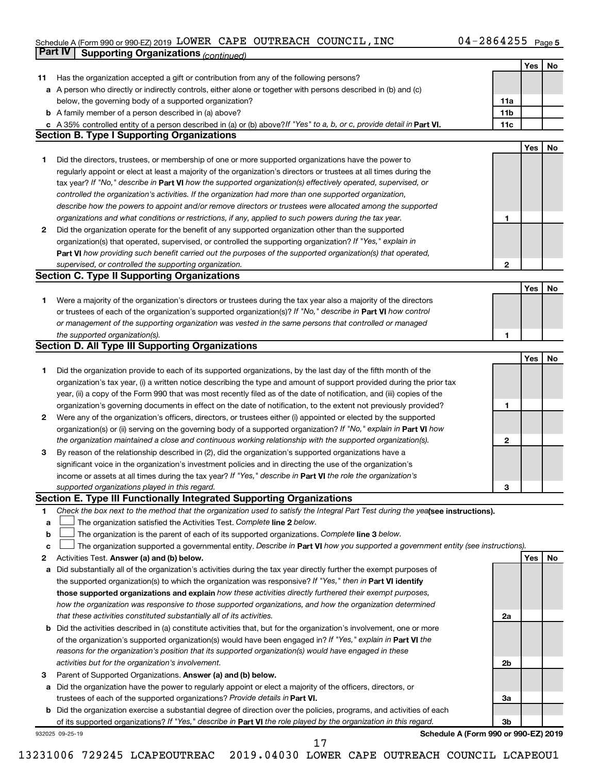#### Schedule A (Form 990 or 990-EZ) 2019 LOWER CAPE OUTREACH COUNCILI, INC  $04-2864255$  Page LOWER CAPE OUTREACH COUNCIL,INC 04-2864255

|    | Part IV<br><b>Supporting Organizations (continued)</b>                                                                          |                 |     |    |
|----|---------------------------------------------------------------------------------------------------------------------------------|-----------------|-----|----|
|    |                                                                                                                                 |                 | Yes | No |
| 11 | Has the organization accepted a gift or contribution from any of the following persons?                                         |                 |     |    |
|    | a A person who directly or indirectly controls, either alone or together with persons described in (b) and (c)                  |                 |     |    |
|    | below, the governing body of a supported organization?                                                                          | 11a             |     |    |
|    | <b>b</b> A family member of a person described in (a) above?                                                                    | 11 <sub>b</sub> |     |    |
|    | c A 35% controlled entity of a person described in (a) or (b) above? If "Yes" to a, b, or c, provide detail in Part VI.         | 11c             |     |    |
|    | <b>Section B. Type I Supporting Organizations</b>                                                                               |                 |     |    |
|    |                                                                                                                                 |                 | Yes | No |
| 1  | Did the directors, trustees, or membership of one or more supported organizations have the power to                             |                 |     |    |
|    | regularly appoint or elect at least a majority of the organization's directors or trustees at all times during the              |                 |     |    |
|    | tax year? If "No," describe in Part VI how the supported organization(s) effectively operated, supervised, or                   |                 |     |    |
|    | controlled the organization's activities. If the organization had more than one supported organization,                         |                 |     |    |
|    | describe how the powers to appoint and/or remove directors or trustees were allocated among the supported                       |                 |     |    |
|    |                                                                                                                                 |                 |     |    |
|    | organizations and what conditions or restrictions, if any, applied to such powers during the tax year.                          | 1               |     |    |
| 2  | Did the organization operate for the benefit of any supported organization other than the supported                             |                 |     |    |
|    | organization(s) that operated, supervised, or controlled the supporting organization? If "Yes," explain in                      |                 |     |    |
|    | Part VI how providing such benefit carried out the purposes of the supported organization(s) that operated,                     |                 |     |    |
|    | supervised, or controlled the supporting organization.                                                                          | 2               |     |    |
|    | <b>Section C. Type II Supporting Organizations</b>                                                                              |                 |     |    |
|    |                                                                                                                                 |                 | Yes | No |
| 1. | Were a majority of the organization's directors or trustees during the tax year also a majority of the directors                |                 |     |    |
|    | or trustees of each of the organization's supported organization(s)? If "No," describe in Part VI how control                   |                 |     |    |
|    | or management of the supporting organization was vested in the same persons that controlled or managed                          |                 |     |    |
|    | the supported organization(s).                                                                                                  | 1               |     |    |
|    | <b>Section D. All Type III Supporting Organizations</b>                                                                         |                 |     |    |
|    |                                                                                                                                 |                 | Yes | No |
| 1  | Did the organization provide to each of its supported organizations, by the last day of the fifth month of the                  |                 |     |    |
|    | organization's tax year, (i) a written notice describing the type and amount of support provided during the prior tax           |                 |     |    |
|    | year, (ii) a copy of the Form 990 that was most recently filed as of the date of notification, and (iii) copies of the          |                 |     |    |
|    | organization's governing documents in effect on the date of notification, to the extent not previously provided?                | 1               |     |    |
| 2  | Were any of the organization's officers, directors, or trustees either (i) appointed or elected by the supported                |                 |     |    |
|    | organization(s) or (ii) serving on the governing body of a supported organization? If "No," explain in Part VI how              |                 |     |    |
|    | the organization maintained a close and continuous working relationship with the supported organization(s).                     | $\mathbf{2}$    |     |    |
| 3  | By reason of the relationship described in (2), did the organization's supported organizations have a                           |                 |     |    |
|    | significant voice in the organization's investment policies and in directing the use of the organization's                      |                 |     |    |
|    | income or assets at all times during the tax year? If "Yes," describe in Part VI the role the organization's                    |                 |     |    |
|    | supported organizations played in this regard.                                                                                  | з               |     |    |
|    | Section E. Type III Functionally Integrated Supporting Organizations                                                            |                 |     |    |
| 1  | Check the box next to the method that the organization used to satisfy the Integral Part Test during the yealsee instructions). |                 |     |    |
| a  | The organization satisfied the Activities Test. Complete line 2 below.                                                          |                 |     |    |
| b  | The organization is the parent of each of its supported organizations. Complete line 3 below.                                   |                 |     |    |
| c  | The organization supported a governmental entity. Describe in Part VI how you supported a government entity (see instructions). |                 |     |    |
| 2  | Activities Test. Answer (a) and (b) below.                                                                                      |                 | Yes | No |
| а  | Did substantially all of the organization's activities during the tax year directly further the exempt purposes of              |                 |     |    |
|    | the supported organization(s) to which the organization was responsive? If "Yes," then in Part VI identify                      |                 |     |    |
|    | those supported organizations and explain how these activities directly furthered their exempt purposes,                        |                 |     |    |
|    | how the organization was responsive to those supported organizations, and how the organization determined                       |                 |     |    |
|    | that these activities constituted substantially all of its activities.                                                          | 2a              |     |    |
| b  | Did the activities described in (a) constitute activities that, but for the organization's involvement, one or more             |                 |     |    |
|    | of the organization's supported organization(s) would have been engaged in? If "Yes," explain in Part VI the                    |                 |     |    |
|    | reasons for the organization's position that its supported organization(s) would have engaged in these                          |                 |     |    |
|    | activities but for the organization's involvement.                                                                              | 2b              |     |    |
|    |                                                                                                                                 |                 |     |    |
| 3  | Parent of Supported Organizations. Answer (a) and (b) below.                                                                    |                 |     |    |
| а  | Did the organization have the power to regularly appoint or elect a majority of the officers, directors, or                     |                 |     |    |
|    | trustees of each of the supported organizations? Provide details in Part VI.                                                    | За              |     |    |
|    | <b>b</b> Did the organization exercise a substantial degree of direction over the policies, programs, and activities of each    |                 |     |    |
|    | of its supported organizations? If "Yes," describe in Part VI the role played by the organization in this regard.               | 3b              |     |    |
|    | Schedule A (Form 990 or 990-EZ) 2019<br>932025 09-25-19<br>17                                                                   |                 |     |    |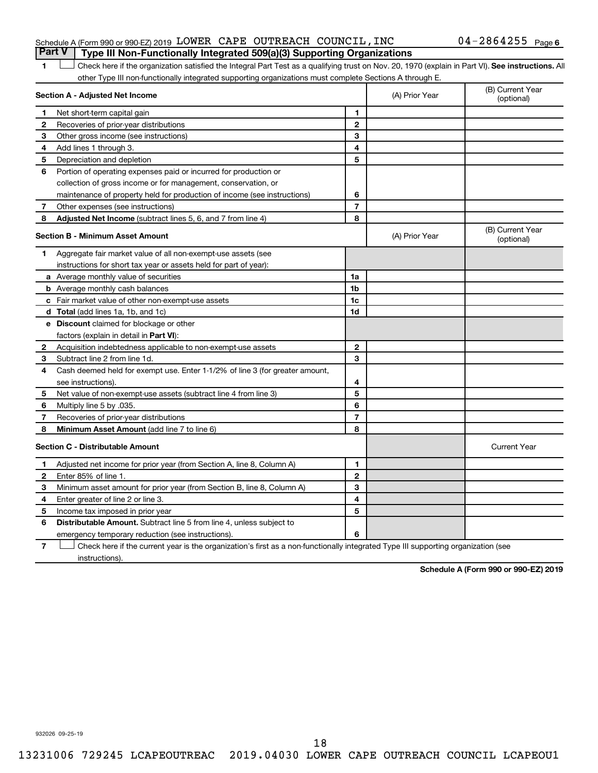#### Schedule A (Form 990 or 990-EZ) 2019  ${\tt LOWER}$  CAPE OUTREACH COUNCIL, INC  $04\text{--}2864255$   $_{\sf Page}$ **Part V Type III Non-Functionally Integrated 509(a)(3) Supporting Organizations**

1 **Letter See instructions.** All Check here if the organization satisfied the Integral Part Test as a qualifying trust on Nov. 20, 1970 (explain in Part VI). See instructions. All other Type III non-functionally integrated supporting organizations must complete Sections A through E.

|              | Section A - Adjusted Net Income                                              |                | (A) Prior Year | (B) Current Year<br>(optional) |
|--------------|------------------------------------------------------------------------------|----------------|----------------|--------------------------------|
| 1            | Net short-term capital gain                                                  | 1              |                |                                |
| $\mathbf{2}$ | Recoveries of prior-year distributions                                       | $\mathbf{2}$   |                |                                |
| З            | Other gross income (see instructions)                                        | 3              |                |                                |
| 4            | Add lines 1 through 3.                                                       | 4              |                |                                |
| 5            | Depreciation and depletion                                                   | 5              |                |                                |
| 6            | Portion of operating expenses paid or incurred for production or             |                |                |                                |
|              | collection of gross income or for management, conservation, or               |                |                |                                |
|              | maintenance of property held for production of income (see instructions)     | 6              |                |                                |
| 7            | Other expenses (see instructions)                                            | $\overline{7}$ |                |                                |
| 8            | Adjusted Net Income (subtract lines 5, 6, and 7 from line 4)                 | 8              |                |                                |
|              | <b>Section B - Minimum Asset Amount</b>                                      |                | (A) Prior Year | (B) Current Year<br>(optional) |
| 1            | Aggregate fair market value of all non-exempt-use assets (see                |                |                |                                |
|              | instructions for short tax year or assets held for part of year):            |                |                |                                |
|              | <b>a</b> Average monthly value of securities                                 | 1a             |                |                                |
|              | <b>b</b> Average monthly cash balances                                       | 1 <sub>b</sub> |                |                                |
|              | <b>c</b> Fair market value of other non-exempt-use assets                    | 1c             |                |                                |
|              | <b>d</b> Total (add lines 1a, 1b, and 1c)                                    | 1d             |                |                                |
|              | e Discount claimed for blockage or other                                     |                |                |                                |
|              | factors (explain in detail in <b>Part VI</b> ):                              |                |                |                                |
| 2            | Acquisition indebtedness applicable to non-exempt-use assets                 | $\mathbf{2}$   |                |                                |
| З            | Subtract line 2 from line 1d.                                                | 3              |                |                                |
| 4            | Cash deemed held for exempt use. Enter 1-1/2% of line 3 (for greater amount, |                |                |                                |
|              | see instructions)                                                            | 4              |                |                                |
| 5            | Net value of non-exempt-use assets (subtract line 4 from line 3)             | 5              |                |                                |
| 6            | Multiply line 5 by .035.                                                     | 6              |                |                                |
| 7            | Recoveries of prior-year distributions                                       | $\overline{7}$ |                |                                |
| 8            | <b>Minimum Asset Amount (add line 7 to line 6)</b>                           | 8              |                |                                |
|              | <b>Section C - Distributable Amount</b>                                      |                |                | <b>Current Year</b>            |
| 1            | Adjusted net income for prior year (from Section A, line 8, Column A)        | 1              |                |                                |
| $\mathbf{2}$ | Enter 85% of line 1.                                                         | $\mathbf{2}$   |                |                                |
| З            | Minimum asset amount for prior year (from Section B, line 8, Column A)       | 3              |                |                                |
| 4            | Enter greater of line 2 or line 3.                                           | 4              |                |                                |
| 5            | Income tax imposed in prior year                                             | 5              |                |                                |
| 6            | <b>Distributable Amount.</b> Subtract line 5 from line 4, unless subject to  |                |                |                                |
|              | emergency temporary reduction (see instructions).                            | 6              |                |                                |
|              |                                                                              |                |                |                                |

**7** Check here if the current year is the organization's first as a non-functionally integrated Type III supporting organization (see † instructions).

**Schedule A (Form 990 or 990-EZ) 2019**

932026 09-25-19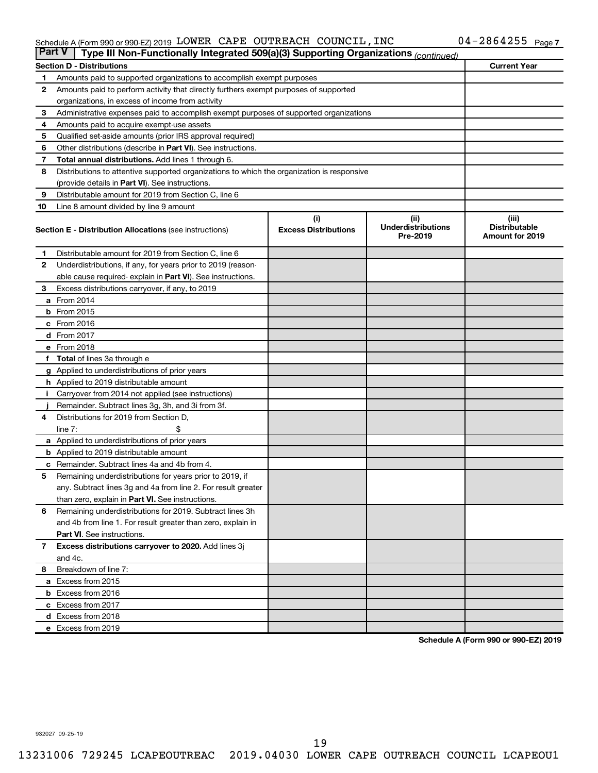#### Schedule A (Form 990 or 990-EZ) 2019 LOWER CAPE OUTREACH COUNCILI, INC  $04-2864255$  Page LOWER CAPE OUTREACH COUNCIL,INC 04-2864255

| <b>Part V</b> | Type III Non-Functionally Integrated 509(a)(3) Supporting Organizations (continued)        |                                    |                                               |                                                         |
|---------------|--------------------------------------------------------------------------------------------|------------------------------------|-----------------------------------------------|---------------------------------------------------------|
|               | <b>Section D - Distributions</b>                                                           |                                    |                                               | <b>Current Year</b>                                     |
| 1             | Amounts paid to supported organizations to accomplish exempt purposes                      |                                    |                                               |                                                         |
| $\mathbf{2}$  | Amounts paid to perform activity that directly furthers exempt purposes of supported       |                                    |                                               |                                                         |
|               | organizations, in excess of income from activity                                           |                                    |                                               |                                                         |
| 3             | Administrative expenses paid to accomplish exempt purposes of supported organizations      |                                    |                                               |                                                         |
| 4             | Amounts paid to acquire exempt-use assets                                                  |                                    |                                               |                                                         |
| 5             | Qualified set-aside amounts (prior IRS approval required)                                  |                                    |                                               |                                                         |
| 6             | Other distributions (describe in <b>Part VI</b> ). See instructions.                       |                                    |                                               |                                                         |
| 7             | Total annual distributions. Add lines 1 through 6.                                         |                                    |                                               |                                                         |
| 8             | Distributions to attentive supported organizations to which the organization is responsive |                                    |                                               |                                                         |
|               | (provide details in Part VI). See instructions.                                            |                                    |                                               |                                                         |
| 9             | Distributable amount for 2019 from Section C, line 6                                       |                                    |                                               |                                                         |
| 10            | Line 8 amount divided by line 9 amount                                                     |                                    |                                               |                                                         |
|               | <b>Section E - Distribution Allocations (see instructions)</b>                             | (i)<br><b>Excess Distributions</b> | (ii)<br><b>Underdistributions</b><br>Pre-2019 | (iii)<br><b>Distributable</b><br><b>Amount for 2019</b> |
| 1             | Distributable amount for 2019 from Section C, line 6                                       |                                    |                                               |                                                         |
| 2             | Underdistributions, if any, for years prior to 2019 (reason-                               |                                    |                                               |                                                         |
|               | able cause required-explain in Part VI). See instructions.                                 |                                    |                                               |                                                         |
| 3             | Excess distributions carryover, if any, to 2019                                            |                                    |                                               |                                                         |
|               | a From 2014                                                                                |                                    |                                               |                                                         |
|               | <b>b</b> From 2015                                                                         |                                    |                                               |                                                         |
|               | c From 2016                                                                                |                                    |                                               |                                                         |
|               | d From 2017                                                                                |                                    |                                               |                                                         |
|               | e From 2018                                                                                |                                    |                                               |                                                         |
|               | f Total of lines 3a through e                                                              |                                    |                                               |                                                         |
|               | <b>g</b> Applied to underdistributions of prior years                                      |                                    |                                               |                                                         |
|               | <b>h</b> Applied to 2019 distributable amount                                              |                                    |                                               |                                                         |
| Ť.            | Carryover from 2014 not applied (see instructions)                                         |                                    |                                               |                                                         |
|               | Remainder. Subtract lines 3g, 3h, and 3i from 3f.                                          |                                    |                                               |                                                         |
| 4             | Distributions for 2019 from Section D,                                                     |                                    |                                               |                                                         |
|               | line $7:$                                                                                  |                                    |                                               |                                                         |
|               | a Applied to underdistributions of prior years                                             |                                    |                                               |                                                         |
|               | <b>b</b> Applied to 2019 distributable amount                                              |                                    |                                               |                                                         |
| c             | Remainder. Subtract lines 4a and 4b from 4.                                                |                                    |                                               |                                                         |
| 5             | Remaining underdistributions for years prior to 2019, if                                   |                                    |                                               |                                                         |
|               | any. Subtract lines 3g and 4a from line 2. For result greater                              |                                    |                                               |                                                         |
|               | than zero, explain in Part VI. See instructions.                                           |                                    |                                               |                                                         |
| 6             | Remaining underdistributions for 2019. Subtract lines 3h                                   |                                    |                                               |                                                         |
|               | and 4b from line 1. For result greater than zero, explain in                               |                                    |                                               |                                                         |
|               | <b>Part VI.</b> See instructions.                                                          |                                    |                                               |                                                         |
| $\mathbf{7}$  | Excess distributions carryover to 2020. Add lines 3j                                       |                                    |                                               |                                                         |
|               | and 4c.                                                                                    |                                    |                                               |                                                         |
| 8             | Breakdown of line 7:                                                                       |                                    |                                               |                                                         |
|               | a Excess from 2015                                                                         |                                    |                                               |                                                         |
|               | <b>b</b> Excess from 2016                                                                  |                                    |                                               |                                                         |
|               | c Excess from 2017                                                                         |                                    |                                               |                                                         |
|               | d Excess from 2018                                                                         |                                    |                                               |                                                         |
|               | e Excess from 2019                                                                         |                                    |                                               |                                                         |

**Schedule A (Form 990 or 990-EZ) 2019**

932027 09-25-19

19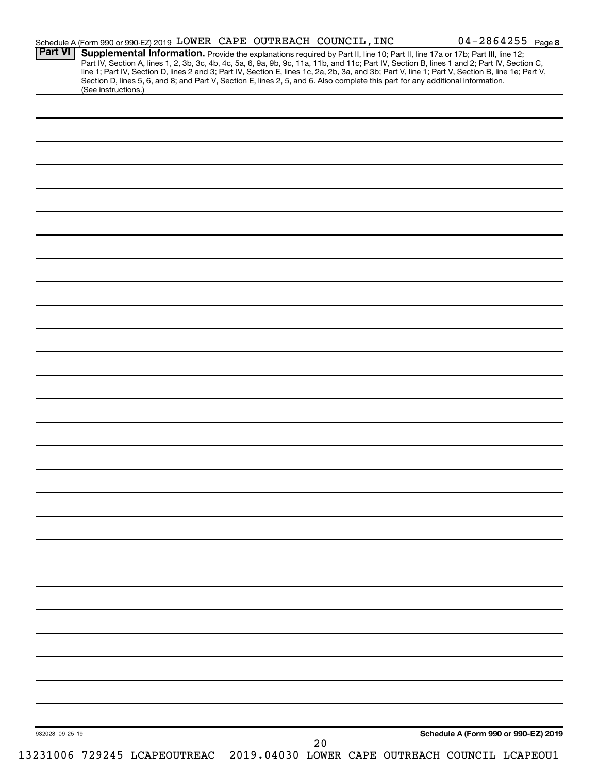| <b>Part VI</b>  | Schedule A (Form 990 or 990-EZ) 2019 LOWER CAPE OUTREACH COUNCIL, INC<br>Supplemental Information. Provide the explanations required by Part II, line 10; Part II, line 17a or 17b; Part III, line 12; |  |    |  | $04 - 2864255$ Page 8                           |
|-----------------|--------------------------------------------------------------------------------------------------------------------------------------------------------------------------------------------------------|--|----|--|-------------------------------------------------|
|                 | Part IV, Section A, lines 1, 2, 3b, 3c, 4b, 4c, 5a, 6, 9a, 9b, 9c, 11a, 11b, and 11c; Part IV, Section B, lines 1 and 2; Part IV, Section C,                                                           |  |    |  |                                                 |
|                 | line 1; Part IV, Section D, lines 2 and 3; Part IV, Section E, lines 1c, 2a, 2b, 3a, and 3b; Part V, line 1; Part V, Section B, line 1e; Part V,                                                       |  |    |  |                                                 |
|                 | Section D, lines 5, 6, and 8; and Part V, Section E, lines 2, 5, and 6. Also complete this part for any additional information.<br>(See instructions.)                                                 |  |    |  |                                                 |
|                 |                                                                                                                                                                                                        |  |    |  |                                                 |
|                 |                                                                                                                                                                                                        |  |    |  |                                                 |
|                 |                                                                                                                                                                                                        |  |    |  |                                                 |
|                 |                                                                                                                                                                                                        |  |    |  |                                                 |
|                 |                                                                                                                                                                                                        |  |    |  |                                                 |
|                 |                                                                                                                                                                                                        |  |    |  |                                                 |
|                 |                                                                                                                                                                                                        |  |    |  |                                                 |
|                 |                                                                                                                                                                                                        |  |    |  |                                                 |
|                 |                                                                                                                                                                                                        |  |    |  |                                                 |
|                 |                                                                                                                                                                                                        |  |    |  |                                                 |
|                 |                                                                                                                                                                                                        |  |    |  |                                                 |
|                 |                                                                                                                                                                                                        |  |    |  |                                                 |
|                 |                                                                                                                                                                                                        |  |    |  |                                                 |
|                 |                                                                                                                                                                                                        |  |    |  |                                                 |
|                 |                                                                                                                                                                                                        |  |    |  |                                                 |
|                 |                                                                                                                                                                                                        |  |    |  |                                                 |
|                 |                                                                                                                                                                                                        |  |    |  |                                                 |
|                 |                                                                                                                                                                                                        |  |    |  |                                                 |
|                 |                                                                                                                                                                                                        |  |    |  |                                                 |
|                 |                                                                                                                                                                                                        |  |    |  |                                                 |
|                 |                                                                                                                                                                                                        |  |    |  |                                                 |
|                 |                                                                                                                                                                                                        |  |    |  |                                                 |
|                 |                                                                                                                                                                                                        |  |    |  |                                                 |
|                 |                                                                                                                                                                                                        |  |    |  |                                                 |
|                 |                                                                                                                                                                                                        |  |    |  |                                                 |
|                 |                                                                                                                                                                                                        |  |    |  |                                                 |
|                 |                                                                                                                                                                                                        |  |    |  |                                                 |
|                 |                                                                                                                                                                                                        |  |    |  |                                                 |
|                 |                                                                                                                                                                                                        |  |    |  |                                                 |
|                 |                                                                                                                                                                                                        |  |    |  |                                                 |
|                 |                                                                                                                                                                                                        |  |    |  |                                                 |
|                 |                                                                                                                                                                                                        |  |    |  |                                                 |
|                 |                                                                                                                                                                                                        |  |    |  |                                                 |
|                 |                                                                                                                                                                                                        |  |    |  |                                                 |
|                 |                                                                                                                                                                                                        |  |    |  |                                                 |
|                 |                                                                                                                                                                                                        |  |    |  |                                                 |
|                 |                                                                                                                                                                                                        |  |    |  |                                                 |
|                 |                                                                                                                                                                                                        |  |    |  |                                                 |
|                 |                                                                                                                                                                                                        |  |    |  |                                                 |
|                 |                                                                                                                                                                                                        |  |    |  |                                                 |
|                 |                                                                                                                                                                                                        |  |    |  |                                                 |
|                 |                                                                                                                                                                                                        |  |    |  |                                                 |
|                 |                                                                                                                                                                                                        |  |    |  |                                                 |
|                 |                                                                                                                                                                                                        |  |    |  |                                                 |
|                 |                                                                                                                                                                                                        |  |    |  |                                                 |
|                 |                                                                                                                                                                                                        |  |    |  |                                                 |
|                 |                                                                                                                                                                                                        |  |    |  |                                                 |
|                 |                                                                                                                                                                                                        |  |    |  |                                                 |
|                 |                                                                                                                                                                                                        |  |    |  |                                                 |
|                 |                                                                                                                                                                                                        |  |    |  |                                                 |
|                 |                                                                                                                                                                                                        |  |    |  |                                                 |
|                 |                                                                                                                                                                                                        |  |    |  |                                                 |
|                 |                                                                                                                                                                                                        |  |    |  |                                                 |
|                 |                                                                                                                                                                                                        |  |    |  |                                                 |
|                 |                                                                                                                                                                                                        |  |    |  |                                                 |
|                 |                                                                                                                                                                                                        |  |    |  | Schedule A (Form 990 or 990-EZ) 2019            |
| 932028 09-25-19 |                                                                                                                                                                                                        |  | 20 |  |                                                 |
|                 | 13231006 729245 LCAPEOUTREAC                                                                                                                                                                           |  |    |  | 2019.04030 LOWER CAPE OUTREACH COUNCIL LCAPEOU1 |
|                 |                                                                                                                                                                                                        |  |    |  |                                                 |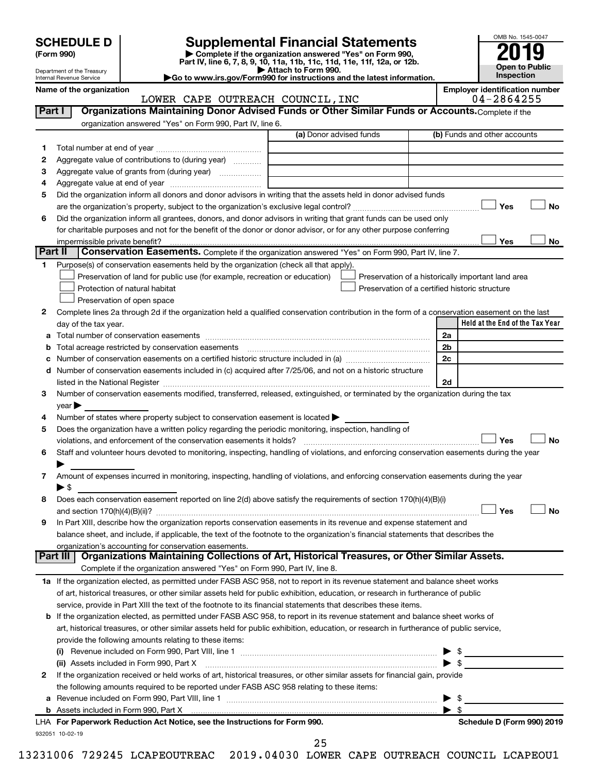Department of the Treasury Internal Revenue Service

| (Form 990) |  |
|------------|--|
|------------|--|

# **SCHEDULE D Supplemental Financial Statements**<br> **Form 990 2019**<br> **Part IV** line 6.7.8.9.10, 11a, 11b, 11d, 11d, 11d, 11d, 11d, 12a, 0r, 12b

**(Form 990) | Complete if the organization answered "Yes" on Form 990, Part IV, line 6, 7, 8, 9, 10, 11a, 11b, 11c, 11d, 11e, 11f, 12a, or 12b.**

**| Attach to Form 990. |Go to www.irs.gov/Form990 for instructions and the latest information.**



Name of the organization<br> **Employer identification number**<br> **Employer identification number**<br> **Employer identification number**<br> **Employer identification number**<br> **Employer identification number** LOWER CAPE OUTREACH COUNCIL, INC

| Part I  | Organizations Maintaining Donor Advised Funds or Other Similar Funds or Accounts. Complete if the                                              |                         |                                                    |
|---------|------------------------------------------------------------------------------------------------------------------------------------------------|-------------------------|----------------------------------------------------|
|         | organization answered "Yes" on Form 990, Part IV, line 6.                                                                                      |                         |                                                    |
|         |                                                                                                                                                | (a) Donor advised funds | (b) Funds and other accounts                       |
| 1       |                                                                                                                                                |                         |                                                    |
| 2       | Aggregate value of contributions to (during year)                                                                                              |                         |                                                    |
| з       | Aggregate value of grants from (during year)                                                                                                   |                         |                                                    |
| 4       |                                                                                                                                                |                         |                                                    |
| 5       | Did the organization inform all donors and donor advisors in writing that the assets held in donor advised funds                               |                         |                                                    |
|         |                                                                                                                                                |                         | Yes<br><b>No</b>                                   |
| 6       | Did the organization inform all grantees, donors, and donor advisors in writing that grant funds can be used only                              |                         |                                                    |
|         | for charitable purposes and not for the benefit of the donor or donor advisor, or for any other purpose conferring                             |                         |                                                    |
|         | impermissible private benefit?                                                                                                                 |                         | Yes<br>No                                          |
| Part II | Conservation Easements. Complete if the organization answered "Yes" on Form 990, Part IV, line 7.                                              |                         |                                                    |
| 1.      | Purpose(s) of conservation easements held by the organization (check all that apply).                                                          |                         |                                                    |
|         | Preservation of land for public use (for example, recreation or education)                                                                     |                         | Preservation of a historically important land area |
|         | Protection of natural habitat                                                                                                                  |                         | Preservation of a certified historic structure     |
|         | Preservation of open space                                                                                                                     |                         |                                                    |
| 2       | Complete lines 2a through 2d if the organization held a qualified conservation contribution in the form of a conservation easement on the last |                         |                                                    |
|         | day of the tax year.                                                                                                                           |                         | Held at the End of the Tax Year                    |
|         |                                                                                                                                                |                         | 2a                                                 |
|         | Total acreage restricted by conservation easements                                                                                             |                         | 2 <sub>b</sub>                                     |
|         |                                                                                                                                                |                         | 2c                                                 |
| d       | Number of conservation easements included in (c) acquired after 7/25/06, and not on a historic structure                                       |                         |                                                    |
|         |                                                                                                                                                |                         | 2d                                                 |
| 3       | Number of conservation easements modified, transferred, released, extinguished, or terminated by the organization during the tax               |                         |                                                    |
|         | year                                                                                                                                           |                         |                                                    |
| 4       | Number of states where property subject to conservation easement is located >                                                                  |                         |                                                    |
| 5       | Does the organization have a written policy regarding the periodic monitoring, inspection, handling of                                         |                         |                                                    |
|         | violations, and enforcement of the conservation easements it holds?                                                                            |                         | Yes<br><b>No</b>                                   |
| 6       | Staff and volunteer hours devoted to monitoring, inspecting, handling of violations, and enforcing conservation easements during the year      |                         |                                                    |
|         |                                                                                                                                                |                         |                                                    |
| 7       | Amount of expenses incurred in monitoring, inspecting, handling of violations, and enforcing conservation easements during the year            |                         |                                                    |
|         | ► \$                                                                                                                                           |                         |                                                    |
| 8       | Does each conservation easement reported on line 2(d) above satisfy the requirements of section 170(h)(4)(B)(i)                                |                         |                                                    |
|         |                                                                                                                                                |                         | Yes<br><b>No</b>                                   |
| 9       | In Part XIII, describe how the organization reports conservation easements in its revenue and expense statement and                            |                         |                                                    |
|         | balance sheet, and include, if applicable, the text of the footnote to the organization's financial statements that describes the              |                         |                                                    |
|         | organization's accounting for conservation easements.                                                                                          |                         |                                                    |
|         | Organizations Maintaining Collections of Art, Historical Treasures, or Other Similar Assets.<br><b>Part III</b>                                |                         |                                                    |
|         | Complete if the organization answered "Yes" on Form 990, Part IV, line 8.                                                                      |                         |                                                    |
|         | 1a If the organization elected, as permitted under FASB ASC 958, not to report in its revenue statement and balance sheet works                |                         |                                                    |
|         | of art, historical treasures, or other similar assets held for public exhibition, education, or research in furtherance of public              |                         |                                                    |
|         | service, provide in Part XIII the text of the footnote to its financial statements that describes these items.                                 |                         |                                                    |
|         | <b>b</b> If the organization elected, as permitted under FASB ASC 958, to report in its revenue statement and balance sheet works of           |                         |                                                    |
|         | art, historical treasures, or other similar assets held for public exhibition, education, or research in furtherance of public service,        |                         |                                                    |
|         | provide the following amounts relating to these items:                                                                                         |                         |                                                    |
|         |                                                                                                                                                |                         | \$                                                 |
|         | (ii) Assets included in Form 990, Part X                                                                                                       |                         | $\bullet$ \$                                       |
| 2       | If the organization received or held works of art, historical treasures, or other similar assets for financial gain, provide                   |                         |                                                    |
|         | the following amounts required to be reported under FASB ASC 958 relating to these items:                                                      |                         |                                                    |
| а       |                                                                                                                                                |                         | \$                                                 |
|         |                                                                                                                                                |                         | - \$                                               |
|         | LHA For Paperwork Reduction Act Notice, see the Instructions for Form 990.                                                                     |                         | Schedule D (Form 990) 2019                         |
|         | 932051 10-02-19                                                                                                                                |                         |                                                    |

25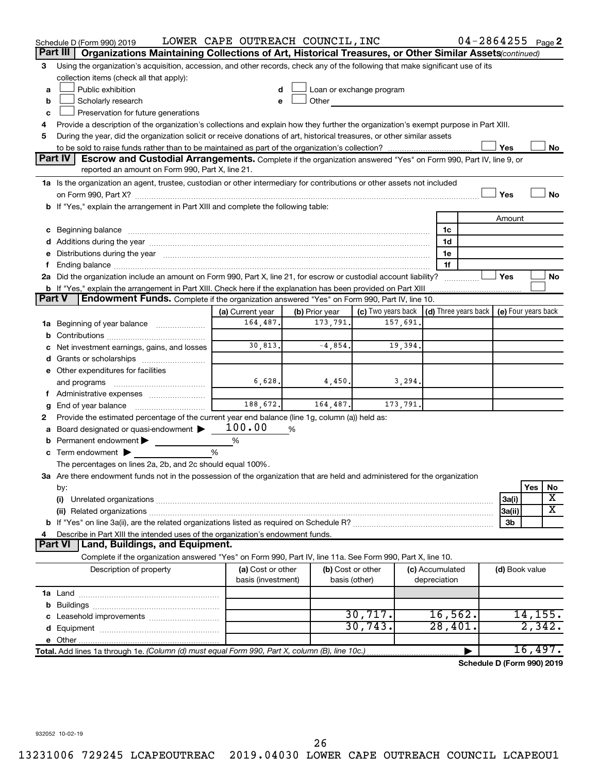|               | Schedule D (Form 990) 2019                                                                                                                                                                                                     | LOWER CAPE OUTREACH COUNCIL, INC |                |           |                                                                                                                                                                                                                               |          |              |                 | $04 - 2864255$ Page 2                            |     |         |
|---------------|--------------------------------------------------------------------------------------------------------------------------------------------------------------------------------------------------------------------------------|----------------------------------|----------------|-----------|-------------------------------------------------------------------------------------------------------------------------------------------------------------------------------------------------------------------------------|----------|--------------|-----------------|--------------------------------------------------|-----|---------|
|               | Organizations Maintaining Collections of Art, Historical Treasures, or Other Similar Assets(continued)<br>Part III                                                                                                             |                                  |                |           |                                                                                                                                                                                                                               |          |              |                 |                                                  |     |         |
| 3             | Using the organization's acquisition, accession, and other records, check any of the following that make significant use of its                                                                                                |                                  |                |           |                                                                                                                                                                                                                               |          |              |                 |                                                  |     |         |
|               | collection items (check all that apply):                                                                                                                                                                                       |                                  |                |           |                                                                                                                                                                                                                               |          |              |                 |                                                  |     |         |
| a             | Public exhibition                                                                                                                                                                                                              |                                  |                |           | Loan or exchange program                                                                                                                                                                                                      |          |              |                 |                                                  |     |         |
| b             | Scholarly research                                                                                                                                                                                                             | e                                |                |           | Other and the contract of the contract of the contract of the contract of the contract of the contract of the contract of the contract of the contract of the contract of the contract of the contract of the contract of the |          |              |                 |                                                  |     |         |
| c             | Preservation for future generations                                                                                                                                                                                            |                                  |                |           |                                                                                                                                                                                                                               |          |              |                 |                                                  |     |         |
| 4             | Provide a description of the organization's collections and explain how they further the organization's exempt purpose in Part XIII.                                                                                           |                                  |                |           |                                                                                                                                                                                                                               |          |              |                 |                                                  |     |         |
| 5             | During the year, did the organization solicit or receive donations of art, historical treasures, or other similar assets                                                                                                       |                                  |                |           |                                                                                                                                                                                                                               |          |              |                 |                                                  |     |         |
|               |                                                                                                                                                                                                                                |                                  |                |           |                                                                                                                                                                                                                               |          |              |                 | Yes                                              |     | No      |
|               | Part IV<br><b>Escrow and Custodial Arrangements.</b> Complete if the organization answered "Yes" on Form 990, Part IV, line 9, or                                                                                              |                                  |                |           |                                                                                                                                                                                                                               |          |              |                 |                                                  |     |         |
|               | reported an amount on Form 990, Part X, line 21.                                                                                                                                                                               |                                  |                |           |                                                                                                                                                                                                                               |          |              |                 |                                                  |     |         |
|               | 1a Is the organization an agent, trustee, custodian or other intermediary for contributions or other assets not included                                                                                                       |                                  |                |           |                                                                                                                                                                                                                               |          |              |                 |                                                  |     |         |
|               |                                                                                                                                                                                                                                |                                  |                |           |                                                                                                                                                                                                                               |          |              |                 | Yes                                              |     | No      |
|               | b If "Yes," explain the arrangement in Part XIII and complete the following table:                                                                                                                                             |                                  |                |           |                                                                                                                                                                                                                               |          |              |                 |                                                  |     |         |
|               |                                                                                                                                                                                                                                |                                  |                |           |                                                                                                                                                                                                                               |          |              |                 | Amount                                           |     |         |
|               |                                                                                                                                                                                                                                |                                  |                |           |                                                                                                                                                                                                                               |          |              | 1c              |                                                  |     |         |
|               |                                                                                                                                                                                                                                |                                  |                |           |                                                                                                                                                                                                                               |          |              | 1d              |                                                  |     |         |
| е             | Distributions during the year manufactured and an account of the year manufactured and the year manufactured and the year manufactured and the year manufactured and the year manufactured and the year manufactured and the y |                                  |                |           |                                                                                                                                                                                                                               |          |              | 1e              |                                                  |     |         |
| f.            | 2a Did the organization include an amount on Form 990, Part X, line 21, for escrow or custodial account liability?                                                                                                             |                                  |                |           |                                                                                                                                                                                                                               |          |              | 1f              | Yes                                              |     |         |
|               |                                                                                                                                                                                                                                |                                  |                |           |                                                                                                                                                                                                                               |          |              |                 |                                                  |     | No      |
| <b>Part V</b> | b If "Yes," explain the arrangement in Part XIII. Check here if the explanation has been provided on Part XIII<br>Endowment Funds. Complete if the organization answered "Yes" on Form 990, Part IV, line 10.                  |                                  |                |           |                                                                                                                                                                                                                               |          |              |                 |                                                  |     |         |
|               |                                                                                                                                                                                                                                | (a) Current year                 | (b) Prior year |           | (c) Two years back                                                                                                                                                                                                            |          |              |                 | (d) Three years back $\vert$ (e) Four years back |     |         |
|               | 1a Beginning of year balance                                                                                                                                                                                                   | 164,487.                         |                | 173,791.  |                                                                                                                                                                                                                               | 157,691. |              |                 |                                                  |     |         |
| b             |                                                                                                                                                                                                                                |                                  |                |           |                                                                                                                                                                                                                               |          |              |                 |                                                  |     |         |
| c             | Net investment earnings, gains, and losses                                                                                                                                                                                     | 30,813.                          |                | $-4,854.$ |                                                                                                                                                                                                                               | 19,394.  |              |                 |                                                  |     |         |
|               |                                                                                                                                                                                                                                |                                  |                |           |                                                                                                                                                                                                                               |          |              |                 |                                                  |     |         |
|               | e Other expenditures for facilities                                                                                                                                                                                            |                                  |                |           |                                                                                                                                                                                                                               |          |              |                 |                                                  |     |         |
|               | and programs                                                                                                                                                                                                                   | 6,628.                           |                | 4,450.    |                                                                                                                                                                                                                               | 3,294.   |              |                 |                                                  |     |         |
|               | f Administrative expenses <i></i>                                                                                                                                                                                              |                                  |                |           |                                                                                                                                                                                                                               |          |              |                 |                                                  |     |         |
| g             | End of year balance <i></i>                                                                                                                                                                                                    | 188,672.                         |                | 164, 487. |                                                                                                                                                                                                                               | 173,791. |              |                 |                                                  |     |         |
| 2             | Provide the estimated percentage of the current year end balance (line 1g, column (a)) held as:                                                                                                                                |                                  |                |           |                                                                                                                                                                                                                               |          |              |                 |                                                  |     |         |
| а             | Board designated or quasi-endowment                                                                                                                                                                                            | 100.00                           | %              |           |                                                                                                                                                                                                                               |          |              |                 |                                                  |     |         |
| b             | Permanent endowment                                                                                                                                                                                                            | %                                |                |           |                                                                                                                                                                                                                               |          |              |                 |                                                  |     |         |
|               | c Term endowment $\blacktriangleright$                                                                                                                                                                                         | $\frac{0}{0}$                    |                |           |                                                                                                                                                                                                                               |          |              |                 |                                                  |     |         |
|               | The percentages on lines 2a, 2b, and 2c should equal 100%.                                                                                                                                                                     |                                  |                |           |                                                                                                                                                                                                                               |          |              |                 |                                                  |     |         |
|               | 3a Are there endowment funds not in the possession of the organization that are held and administered for the organization                                                                                                     |                                  |                |           |                                                                                                                                                                                                                               |          |              |                 |                                                  |     |         |
|               | by:                                                                                                                                                                                                                            |                                  |                |           |                                                                                                                                                                                                                               |          |              |                 |                                                  | Yes | No      |
|               | (i)                                                                                                                                                                                                                            |                                  |                |           |                                                                                                                                                                                                                               |          |              |                 | 3a(i)                                            |     | X       |
|               |                                                                                                                                                                                                                                |                                  |                |           |                                                                                                                                                                                                                               |          |              |                 | 3a(ii)                                           |     | X       |
|               |                                                                                                                                                                                                                                |                                  |                |           |                                                                                                                                                                                                                               |          |              |                 | 3b                                               |     |         |
| 4             | Describe in Part XIII the intended uses of the organization's endowment funds.                                                                                                                                                 |                                  |                |           |                                                                                                                                                                                                                               |          |              |                 |                                                  |     |         |
|               | Land, Buildings, and Equipment.<br><b>Part VI</b>                                                                                                                                                                              |                                  |                |           |                                                                                                                                                                                                                               |          |              |                 |                                                  |     |         |
|               | Complete if the organization answered "Yes" on Form 990, Part IV, line 11a. See Form 990, Part X, line 10.                                                                                                                     |                                  |                |           |                                                                                                                                                                                                                               |          |              |                 |                                                  |     |         |
|               | Description of property                                                                                                                                                                                                        | (a) Cost or other                |                |           | (b) Cost or other                                                                                                                                                                                                             |          |              | (c) Accumulated | (d) Book value                                   |     |         |
|               |                                                                                                                                                                                                                                | basis (investment)               |                |           | basis (other)                                                                                                                                                                                                                 |          | depreciation |                 |                                                  |     |         |
|               |                                                                                                                                                                                                                                |                                  |                |           |                                                                                                                                                                                                                               |          |              |                 |                                                  |     |         |
|               |                                                                                                                                                                                                                                |                                  |                |           |                                                                                                                                                                                                                               |          |              |                 |                                                  |     |         |
|               |                                                                                                                                                                                                                                |                                  |                |           | 30,717.                                                                                                                                                                                                                       |          |              | 16,562.         |                                                  |     | 14,155. |
|               |                                                                                                                                                                                                                                |                                  |                |           | 30, 743.                                                                                                                                                                                                                      |          |              | 28,401.         |                                                  |     | 2,342.  |
|               |                                                                                                                                                                                                                                |                                  |                |           |                                                                                                                                                                                                                               |          |              |                 |                                                  |     |         |
|               | Total. Add lines 1a through 1e. (Column (d) must equal Form 990, Part X, column (B), line 10c.)                                                                                                                                |                                  |                |           |                                                                                                                                                                                                                               |          |              |                 |                                                  |     | 16,497. |
|               |                                                                                                                                                                                                                                |                                  |                |           |                                                                                                                                                                                                                               |          |              |                 | Schedule D (Form 990) 2019                       |     |         |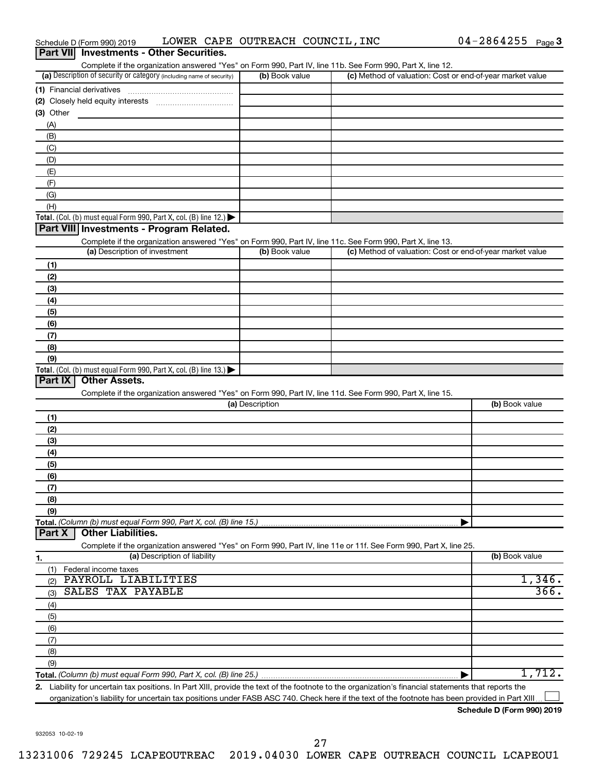| Part VII Investments - Other Securities.                                                                                                                                           |                 |                                                           |                |
|------------------------------------------------------------------------------------------------------------------------------------------------------------------------------------|-----------------|-----------------------------------------------------------|----------------|
| Complete if the organization answered "Yes" on Form 990, Part IV, line 11b. See Form 990, Part X, line 12.<br>(a) Description of security or category (including name of security) | (b) Book value  | (c) Method of valuation: Cost or end-of-year market value |                |
| (1) Financial derivatives                                                                                                                                                          |                 |                                                           |                |
|                                                                                                                                                                                    |                 |                                                           |                |
| $(3)$ Other                                                                                                                                                                        |                 |                                                           |                |
| (A)                                                                                                                                                                                |                 |                                                           |                |
| (B)                                                                                                                                                                                |                 |                                                           |                |
| (C)                                                                                                                                                                                |                 |                                                           |                |
| (D)                                                                                                                                                                                |                 |                                                           |                |
| (E)                                                                                                                                                                                |                 |                                                           |                |
| (F)                                                                                                                                                                                |                 |                                                           |                |
| (G)                                                                                                                                                                                |                 |                                                           |                |
| (H)                                                                                                                                                                                |                 |                                                           |                |
| Total. (Col. (b) must equal Form 990, Part X, col. (B) line 12.)                                                                                                                   |                 |                                                           |                |
| Part VIII Investments - Program Related.                                                                                                                                           |                 |                                                           |                |
| Complete if the organization answered "Yes" on Form 990, Part IV, line 11c. See Form 990, Part X, line 13.                                                                         |                 |                                                           |                |
| (a) Description of investment                                                                                                                                                      | (b) Book value  | (c) Method of valuation: Cost or end-of-year market value |                |
| (1)                                                                                                                                                                                |                 |                                                           |                |
| (2)                                                                                                                                                                                |                 |                                                           |                |
| (3)                                                                                                                                                                                |                 |                                                           |                |
| (4)                                                                                                                                                                                |                 |                                                           |                |
| (5)                                                                                                                                                                                |                 |                                                           |                |
| (6)                                                                                                                                                                                |                 |                                                           |                |
| (7)                                                                                                                                                                                |                 |                                                           |                |
| (8)                                                                                                                                                                                |                 |                                                           |                |
| (9)                                                                                                                                                                                |                 |                                                           |                |
| Total. (Col. (b) must equal Form 990, Part X, col. (B) line 13.) $\blacktriangleright$                                                                                             |                 |                                                           |                |
| Part IX<br><b>Other Assets.</b>                                                                                                                                                    |                 |                                                           |                |
| Complete if the organization answered "Yes" on Form 990, Part IV, line 11d. See Form 990, Part X, line 15.                                                                         |                 |                                                           |                |
|                                                                                                                                                                                    | (a) Description |                                                           | (b) Book value |
| (1)                                                                                                                                                                                |                 |                                                           |                |
| (2)                                                                                                                                                                                |                 |                                                           |                |
| (3)                                                                                                                                                                                |                 |                                                           |                |
| (4)                                                                                                                                                                                |                 |                                                           |                |
| (5)                                                                                                                                                                                |                 |                                                           |                |
| (6)                                                                                                                                                                                |                 |                                                           |                |
| (7)                                                                                                                                                                                |                 |                                                           |                |
| (8)                                                                                                                                                                                |                 |                                                           |                |
| (9)<br>Total. (Column (b) must equal Form 990, Part X, col. (B) line 15.)                                                                                                          |                 |                                                           |                |
| <b>Other Liabilities.</b><br>Part X                                                                                                                                                |                 |                                                           |                |
| Complete if the organization answered "Yes" on Form 990, Part IV, line 11e or 11f. See Form 990, Part X, line 25.                                                                  |                 |                                                           |                |
| (a) Description of liability<br>1.                                                                                                                                                 |                 |                                                           | (b) Book value |
| Federal income taxes<br>(1)                                                                                                                                                        |                 |                                                           |                |
| PAYROLL LIABILITIES<br>(2)                                                                                                                                                         |                 |                                                           | 1,346.         |
| <b>SALES TAX PAYABLE</b><br>(3)                                                                                                                                                    |                 |                                                           | 366.           |
| (4)                                                                                                                                                                                |                 |                                                           |                |
| (5)                                                                                                                                                                                |                 |                                                           |                |
| (6)                                                                                                                                                                                |                 |                                                           |                |
| (7)                                                                                                                                                                                |                 |                                                           |                |
| (8)                                                                                                                                                                                |                 |                                                           |                |
| (9)                                                                                                                                                                                |                 |                                                           |                |
|                                                                                                                                                                                    |                 |                                                           | 1,712.         |
| 2. Liability for uncertain tax positions. In Part XIII, provide the text of the footnote to the organization's financial statements that reports the                               |                 |                                                           |                |

Schedule D (Form 990) 2019  $\;$  LOWER CAPE OUTREACH COUNCIL, INC  $\;$  04-2864255  $\;$  Page

organization's liability for uncertain tax positions under FASB ASC 740. Check here if the text of the footnote has been provided in Part XIII...

04-2864255 Page 3

932053 10-02-19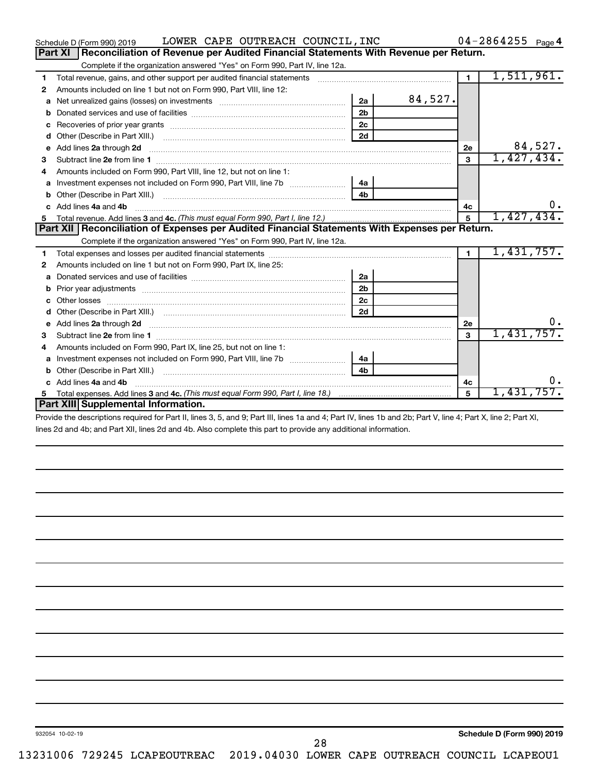|    | LOWER CAPE OUTREACH COUNCIL, INC<br>Schedule D (Form 990) 2019                                                                                                                                                                      |                |         |                | $04 - 2864255$ Page 4 |
|----|-------------------------------------------------------------------------------------------------------------------------------------------------------------------------------------------------------------------------------------|----------------|---------|----------------|-----------------------|
|    | Part XI<br>Reconciliation of Revenue per Audited Financial Statements With Revenue per Return.                                                                                                                                      |                |         |                |                       |
|    | Complete if the organization answered "Yes" on Form 990, Part IV, line 12a.                                                                                                                                                         |                |         |                |                       |
| 1  | Total revenue, gains, and other support per audited financial statements                                                                                                                                                            |                |         | $\blacksquare$ | 1,511,961.            |
| 2  | Amounts included on line 1 but not on Form 990, Part VIII, line 12:                                                                                                                                                                 |                |         |                |                       |
| a  |                                                                                                                                                                                                                                     | 2a             | 84,527. |                |                       |
|    |                                                                                                                                                                                                                                     | 2 <sub>b</sub> |         |                |                       |
|    |                                                                                                                                                                                                                                     | 2 <sub>c</sub> |         |                |                       |
| d  | Other (Describe in Part XIII.) <b>Construction Contract Construction</b> Chemical Construction Chemical Chemical Chemical Chemical Chemical Chemical Chemical Chemical Chemical Chemical Chemical Chemical Chemical Chemical Chemic | 2d             |         |                |                       |
| e  | Add lines 2a through 2d                                                                                                                                                                                                             |                |         | 2е             | 84,527.               |
| 3  | Subtract line 2e from line 1                                                                                                                                                                                                        |                |         | 3              | 1,427,434.            |
| 4  | Amounts included on Form 990, Part VIII, line 12, but not on line 1:                                                                                                                                                                |                |         |                |                       |
| a  | Investment expenses not included on Form 990, Part VIII, line 7b [11, 11, 11, 11, 11]                                                                                                                                               | 4a             |         |                |                       |
|    |                                                                                                                                                                                                                                     | 4 <sub>h</sub> |         |                |                       |
|    | c Add lines 4a and 4b                                                                                                                                                                                                               |                |         | 4c             | $0$ .                 |
| 5  |                                                                                                                                                                                                                                     |                |         | 5              | 1,427,434.            |
|    | Part XII Reconciliation of Expenses per Audited Financial Statements With Expenses per Return.                                                                                                                                      |                |         |                |                       |
|    | Complete if the organization answered "Yes" on Form 990, Part IV, line 12a.                                                                                                                                                         |                |         |                |                       |
| 1  |                                                                                                                                                                                                                                     |                |         | $\mathbf{1}$   | 1,431,757.            |
| 2  | Amounts included on line 1 but not on Form 990, Part IX, line 25:                                                                                                                                                                   |                |         |                |                       |
|    |                                                                                                                                                                                                                                     | 2a             |         |                |                       |
| b  |                                                                                                                                                                                                                                     | 2 <sub>b</sub> |         |                |                       |
| с  | Other losses                                                                                                                                                                                                                        | 2c             |         |                |                       |
|    |                                                                                                                                                                                                                                     | 2d             |         |                |                       |
| е  | Add lines 2a through 2d <b>[10]</b> [10] <b>Adding the Second Lines</b> 2a through 2d <b>[10] html</b>                                                                                                                              |                |         | <b>2e</b>      | υ.                    |
| 3  |                                                                                                                                                                                                                                     |                |         | $\mathbf{a}$   | 1,431,757.            |
| 4  | Amounts included on Form 990, Part IX, line 25, but not on line 1:                                                                                                                                                                  |                |         |                |                       |
| a  | Investment expenses not included on Form 990, Part VIII, line 7b [100] [100] [100] [100] [100] [100] [100] [10                                                                                                                      | 4a             |         |                |                       |
| b  |                                                                                                                                                                                                                                     | 4 <sub>b</sub> |         |                |                       |
|    | Add lines 4a and 4b                                                                                                                                                                                                                 |                |         | 4с             | 0.                    |
| 5. | Total expenses. Add lines 3 and 4c. (This must equal Form 990, Part I, line 18.) <i>manumeronominal</i> manumeronominal                                                                                                             |                |         | 5              | 1,431,757.            |
|    | Part XIII Supplemental Information.                                                                                                                                                                                                 |                |         |                |                       |
|    | <b>CONTRACT OF LODGE A LAD LIVE ALL LOUD LIVE AD LIVE OD LIVE</b>                                                                                                                                                                   |                |         |                |                       |

Provide the descriptions required for Part II, lines 3, 5, and 9; Part III, lines 1a and 4; Part IV, lines 1b and 2b; Part V, line 4; Part X, line 2; Part XI, lines 2d and 4b; and Part XII, lines 2d and 4b. Also complete this part to provide any additional information.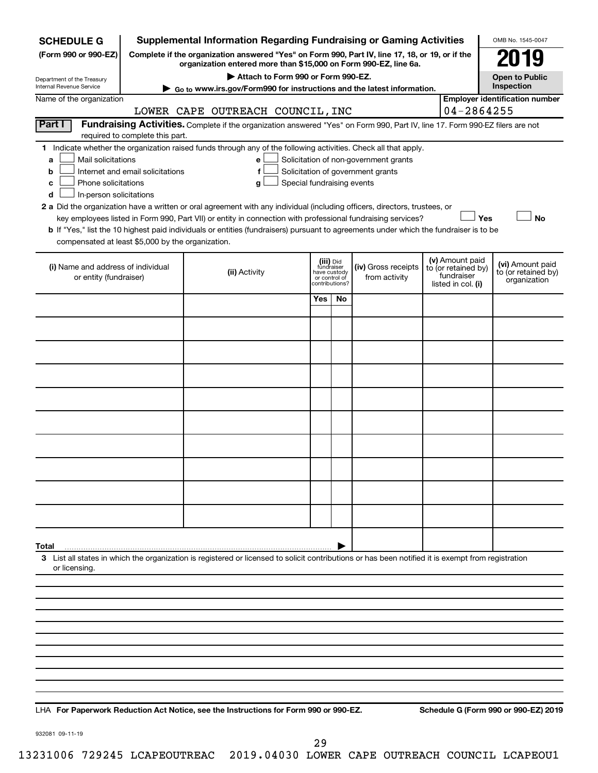| <b>SCHEDULE G</b>                                            |                                                                                                                                                                                                                                                                                                                                                        | <b>Supplemental Information Regarding Fundraising or Gaming Activities</b>                                                                                                                                                                                                                                                                                                         |                               |                                           |                                      |  |                                                                            | OMB No. 1545-0047                                       |  |
|--------------------------------------------------------------|--------------------------------------------------------------------------------------------------------------------------------------------------------------------------------------------------------------------------------------------------------------------------------------------------------------------------------------------------------|------------------------------------------------------------------------------------------------------------------------------------------------------------------------------------------------------------------------------------------------------------------------------------------------------------------------------------------------------------------------------------|-------------------------------|-------------------------------------------|--------------------------------------|--|----------------------------------------------------------------------------|---------------------------------------------------------|--|
| (Form 990 or 990-EZ)                                         | Complete if the organization answered "Yes" on Form 990, Part IV, line 17, 18, or 19, or if the<br>119<br>organization entered more than \$15,000 on Form 990-EZ, line 6a.                                                                                                                                                                             |                                                                                                                                                                                                                                                                                                                                                                                    |                               |                                           |                                      |  |                                                                            |                                                         |  |
| Department of the Treasury<br>Internal Revenue Service       | Attach to Form 990 or Form 990-EZ.<br><b>Open to Public</b><br>Inspection<br>Go to www.irs.gov/Form990 for instructions and the latest information.                                                                                                                                                                                                    |                                                                                                                                                                                                                                                                                                                                                                                    |                               |                                           |                                      |  |                                                                            |                                                         |  |
| Name of the organization                                     | <b>Employer identification number</b>                                                                                                                                                                                                                                                                                                                  |                                                                                                                                                                                                                                                                                                                                                                                    |                               |                                           |                                      |  |                                                                            |                                                         |  |
|                                                              |                                                                                                                                                                                                                                                                                                                                                        | LOWER CAPE OUTREACH COUNCIL, INC                                                                                                                                                                                                                                                                                                                                                   |                               |                                           |                                      |  | 04-2864255                                                                 |                                                         |  |
| Part I                                                       | Fundraising Activities. Complete if the organization answered "Yes" on Form 990, Part IV, line 17. Form 990-EZ filers are not<br>required to complete this part.                                                                                                                                                                                       |                                                                                                                                                                                                                                                                                                                                                                                    |                               |                                           |                                      |  |                                                                            |                                                         |  |
| a<br>b<br>с<br>d                                             | 1 Indicate whether the organization raised funds through any of the following activities. Check all that apply.<br>Mail solicitations<br>Solicitation of non-government grants<br>e<br>Internet and email solicitations<br>Solicitation of government grants<br>f<br>Phone solicitations<br>Special fundraising events<br>g<br>In-person solicitations |                                                                                                                                                                                                                                                                                                                                                                                    |                               |                                           |                                      |  |                                                                            |                                                         |  |
| compensated at least \$5,000 by the organization.            |                                                                                                                                                                                                                                                                                                                                                        | 2 a Did the organization have a written or oral agreement with any individual (including officers, directors, trustees, or<br>key employees listed in Form 990, Part VII) or entity in connection with professional fundraising services?<br>b If "Yes," list the 10 highest paid individuals or entities (fundraisers) pursuant to agreements under which the fundraiser is to be |                               |                                           |                                      |  | Yes                                                                        | <b>No</b>                                               |  |
| (i) Name and address of individual<br>or entity (fundraiser) |                                                                                                                                                                                                                                                                                                                                                        | (ii) Activity                                                                                                                                                                                                                                                                                                                                                                      | have custody<br>or control of | (iii) Did<br>fundraiser<br>contributions? | (iv) Gross receipts<br>from activity |  | (v) Amount paid<br>to (or retained by)<br>fundraiser<br>listed in col. (i) | (vi) Amount paid<br>to (or retained by)<br>organization |  |
|                                                              |                                                                                                                                                                                                                                                                                                                                                        |                                                                                                                                                                                                                                                                                                                                                                                    | Yes                           | No                                        |                                      |  |                                                                            |                                                         |  |
|                                                              |                                                                                                                                                                                                                                                                                                                                                        |                                                                                                                                                                                                                                                                                                                                                                                    |                               |                                           |                                      |  |                                                                            |                                                         |  |
|                                                              |                                                                                                                                                                                                                                                                                                                                                        |                                                                                                                                                                                                                                                                                                                                                                                    |                               |                                           |                                      |  |                                                                            |                                                         |  |
|                                                              |                                                                                                                                                                                                                                                                                                                                                        |                                                                                                                                                                                                                                                                                                                                                                                    |                               |                                           |                                      |  |                                                                            |                                                         |  |
|                                                              |                                                                                                                                                                                                                                                                                                                                                        |                                                                                                                                                                                                                                                                                                                                                                                    |                               |                                           |                                      |  |                                                                            |                                                         |  |
|                                                              |                                                                                                                                                                                                                                                                                                                                                        |                                                                                                                                                                                                                                                                                                                                                                                    |                               |                                           |                                      |  |                                                                            |                                                         |  |
|                                                              |                                                                                                                                                                                                                                                                                                                                                        |                                                                                                                                                                                                                                                                                                                                                                                    |                               |                                           |                                      |  |                                                                            |                                                         |  |
|                                                              |                                                                                                                                                                                                                                                                                                                                                        |                                                                                                                                                                                                                                                                                                                                                                                    |                               |                                           |                                      |  |                                                                            |                                                         |  |
|                                                              |                                                                                                                                                                                                                                                                                                                                                        |                                                                                                                                                                                                                                                                                                                                                                                    |                               |                                           |                                      |  |                                                                            |                                                         |  |
|                                                              |                                                                                                                                                                                                                                                                                                                                                        |                                                                                                                                                                                                                                                                                                                                                                                    |                               |                                           |                                      |  |                                                                            |                                                         |  |
| Total                                                        |                                                                                                                                                                                                                                                                                                                                                        |                                                                                                                                                                                                                                                                                                                                                                                    |                               |                                           |                                      |  |                                                                            |                                                         |  |
| or licensing.                                                |                                                                                                                                                                                                                                                                                                                                                        | 3 List all states in which the organization is registered or licensed to solicit contributions or has been notified it is exempt from registration                                                                                                                                                                                                                                 |                               |                                           |                                      |  |                                                                            |                                                         |  |
|                                                              |                                                                                                                                                                                                                                                                                                                                                        |                                                                                                                                                                                                                                                                                                                                                                                    |                               |                                           |                                      |  |                                                                            |                                                         |  |
|                                                              |                                                                                                                                                                                                                                                                                                                                                        |                                                                                                                                                                                                                                                                                                                                                                                    |                               |                                           |                                      |  |                                                                            |                                                         |  |
|                                                              |                                                                                                                                                                                                                                                                                                                                                        |                                                                                                                                                                                                                                                                                                                                                                                    |                               |                                           |                                      |  |                                                                            |                                                         |  |
|                                                              |                                                                                                                                                                                                                                                                                                                                                        |                                                                                                                                                                                                                                                                                                                                                                                    |                               |                                           |                                      |  |                                                                            |                                                         |  |
|                                                              |                                                                                                                                                                                                                                                                                                                                                        |                                                                                                                                                                                                                                                                                                                                                                                    |                               |                                           |                                      |  |                                                                            |                                                         |  |
|                                                              |                                                                                                                                                                                                                                                                                                                                                        |                                                                                                                                                                                                                                                                                                                                                                                    |                               |                                           |                                      |  |                                                                            |                                                         |  |
|                                                              |                                                                                                                                                                                                                                                                                                                                                        |                                                                                                                                                                                                                                                                                                                                                                                    |                               |                                           |                                      |  |                                                                            |                                                         |  |
|                                                              |                                                                                                                                                                                                                                                                                                                                                        |                                                                                                                                                                                                                                                                                                                                                                                    |                               |                                           |                                      |  |                                                                            |                                                         |  |

**For Paperwork Reduction Act Notice, see the Instructions for Form 990 or 990-EZ. Schedule G (Form 990 or 990-EZ) 2019** LHA

932081 09-11-19

29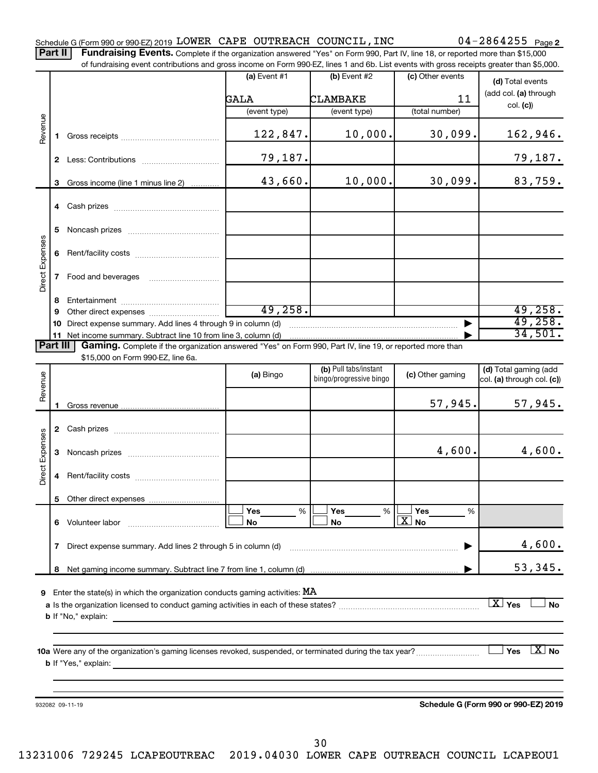Part II | Fundraising Events. Complete if the organization answered "Yes" on Form 990, Part IV, line 18, or reported more than \$15,000 of fundraising event contributions and gross income on Form 990-EZ, lines 1 and 6b. List events with gross receipts greater than \$5,000.

|                        |    | ו ומחמושות שיכות סטומוסמוטוס מחמ שוטסט וווסטווס טודו טווח טטט בב, ווווסט דמות טט. בוטג כלטווס אומו שוטסט וטסטוטס שוטמוס מומח קט,טטט.                                                                                                      |                 |                                                  |                    |                                                     |
|------------------------|----|-------------------------------------------------------------------------------------------------------------------------------------------------------------------------------------------------------------------------------------------|-----------------|--------------------------------------------------|--------------------|-----------------------------------------------------|
|                        |    |                                                                                                                                                                                                                                           | (a) Event $#1$  | (b) Event $#2$                                   | (c) Other events   | (d) Total events                                    |
|                        |    |                                                                                                                                                                                                                                           | GALA            | <b>CLAMBAKE</b>                                  | 11                 | (add col. (a) through                               |
|                        |    |                                                                                                                                                                                                                                           | (event type)    | (event type)                                     | (total number)     | col. (c)                                            |
|                        |    |                                                                                                                                                                                                                                           |                 |                                                  |                    |                                                     |
| Revenue                |    |                                                                                                                                                                                                                                           | 122,847.        | 10,000.                                          | 30,099.            | 162,946.                                            |
|                        |    |                                                                                                                                                                                                                                           | 79,187.         |                                                  |                    | 79,187.                                             |
|                        |    | 3 Gross income (line 1 minus line 2)                                                                                                                                                                                                      | 43,660.         | 10,000.                                          | 30,099.            | 83,759.                                             |
|                        |    |                                                                                                                                                                                                                                           |                 |                                                  |                    |                                                     |
|                        | 5  |                                                                                                                                                                                                                                           |                 |                                                  |                    |                                                     |
|                        | 6  |                                                                                                                                                                                                                                           |                 |                                                  |                    |                                                     |
| Direct Expenses        | 7  | Food and beverages                                                                                                                                                                                                                        |                 |                                                  |                    |                                                     |
|                        | 8  |                                                                                                                                                                                                                                           |                 |                                                  |                    |                                                     |
|                        | 9  |                                                                                                                                                                                                                                           | 49, 258.        |                                                  |                    | 49,258.                                             |
|                        | 10 | Direct expense summary. Add lines 4 through 9 in column (d)                                                                                                                                                                               |                 |                                                  |                    | 49,258.<br>34,501.                                  |
| Part III               |    | Gaming. Complete if the organization answered "Yes" on Form 990, Part IV, line 19, or reported more than                                                                                                                                  |                 |                                                  |                    |                                                     |
|                        |    | \$15,000 on Form 990-EZ, line 6a.                                                                                                                                                                                                         |                 |                                                  |                    |                                                     |
| Revenue                |    |                                                                                                                                                                                                                                           | (a) Bingo       | (b) Pull tabs/instant<br>bingo/progressive bingo | (c) Other gaming   | (d) Total gaming (add<br>col. (a) through col. (c)) |
|                        |    |                                                                                                                                                                                                                                           |                 |                                                  | 57,945.            | 57,945.                                             |
|                        |    |                                                                                                                                                                                                                                           |                 |                                                  |                    |                                                     |
|                        |    |                                                                                                                                                                                                                                           |                 |                                                  |                    |                                                     |
| <b>Direct Expenses</b> | 3  |                                                                                                                                                                                                                                           |                 |                                                  | 4,600.             | 4,600.                                              |
|                        | 4  |                                                                                                                                                                                                                                           |                 |                                                  |                    |                                                     |
|                        |    |                                                                                                                                                                                                                                           |                 |                                                  |                    |                                                     |
|                        |    |                                                                                                                                                                                                                                           | <b>Yes</b><br>% | Yes<br>%                                         | Yes<br>%           |                                                     |
|                        | 6  | Volunteer labor                                                                                                                                                                                                                           | No              | No                                               | $\mathbf{X}$<br>No |                                                     |
|                        | 7  | Direct expense summary. Add lines 2 through 5 in column (d)                                                                                                                                                                               |                 |                                                  |                    | 4,600.                                              |
|                        | 8  |                                                                                                                                                                                                                                           |                 |                                                  |                    | 53,345.                                             |
|                        |    |                                                                                                                                                                                                                                           |                 |                                                  |                    |                                                     |
| 9                      |    | Enter the state(s) in which the organization conducts gaming activities: $MA$                                                                                                                                                             |                 |                                                  |                    |                                                     |
|                        |    |                                                                                                                                                                                                                                           |                 |                                                  |                    | $\overline{X}$ Yes<br><b>No</b>                     |
|                        |    | <b>b</b> If "No," explain:                                                                                                                                                                                                                |                 |                                                  |                    |                                                     |
|                        |    |                                                                                                                                                                                                                                           |                 |                                                  |                    |                                                     |
|                        |    |                                                                                                                                                                                                                                           |                 |                                                  |                    | $X_{\text{No}}$<br>Yes                              |
|                        |    | <b>b</b> If "Yes," explain: <u>All and the set of the set of the set of the set of the set of the set of the set of the set of the set of the set of the set of the set of the set of the set of the set of the set of the set of the</u> |                 |                                                  |                    |                                                     |
|                        |    |                                                                                                                                                                                                                                           |                 |                                                  |                    |                                                     |
|                        |    |                                                                                                                                                                                                                                           |                 |                                                  |                    |                                                     |
|                        |    | 932082 09-11-19                                                                                                                                                                                                                           |                 |                                                  |                    | Schedule G (Form 990 or 990-EZ) 2019                |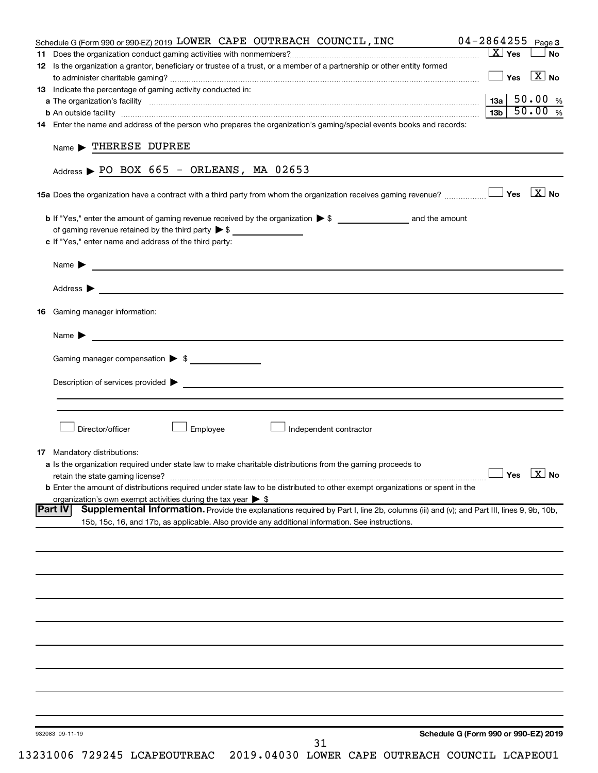| Schedule G (Form 990 or 990-EZ) 2019 LOWER CAPE OUTREACH COUNCIL, INC                                                                                                                                                                    | $04 - 2864255$ Page 3            |                                               |
|------------------------------------------------------------------------------------------------------------------------------------------------------------------------------------------------------------------------------------------|----------------------------------|-----------------------------------------------|
|                                                                                                                                                                                                                                          | $\boxed{\text{X}}$ Yes           | <b>No</b>                                     |
| 12 Is the organization a grantor, beneficiary or trustee of a trust, or a member of a partnership or other entity formed                                                                                                                 |                                  |                                               |
|                                                                                                                                                                                                                                          |                                  | $\blacksquare$ Yes $\;$ $\bar{\mathrm{X}}$ No |
| 13 Indicate the percentage of gaming activity conducted in:                                                                                                                                                                              |                                  |                                               |
| <b>a</b> The organization's facility <b>construction</b> of the construction of the construction of the construction of the construction of the construction of the construction of the construction of the construction of the constru  |                                  |                                               |
| <b>b</b> An outside facility <i>www.communicality www.communicality.communicality www.communicality www.communicality.communicality www.communicality.com</i>                                                                            |                                  | $13b$ 50.00 %                                 |
| 14 Enter the name and address of the person who prepares the organization's gaming/special events books and records:                                                                                                                     |                                  |                                               |
|                                                                                                                                                                                                                                          |                                  |                                               |
| $Name$ THERESE DUPREE                                                                                                                                                                                                                    |                                  |                                               |
|                                                                                                                                                                                                                                          |                                  |                                               |
| Address $\triangleright$ PO BOX 665 - ORLEANS, MA 02653                                                                                                                                                                                  |                                  |                                               |
|                                                                                                                                                                                                                                          |                                  |                                               |
|                                                                                                                                                                                                                                          |                                  |                                               |
|                                                                                                                                                                                                                                          |                                  |                                               |
|                                                                                                                                                                                                                                          |                                  |                                               |
| of gaming revenue retained by the third party > \$                                                                                                                                                                                       |                                  |                                               |
| c If "Yes," enter name and address of the third party:                                                                                                                                                                                   |                                  |                                               |
|                                                                                                                                                                                                                                          |                                  |                                               |
|                                                                                                                                                                                                                                          |                                  |                                               |
|                                                                                                                                                                                                                                          |                                  |                                               |
|                                                                                                                                                                                                                                          |                                  |                                               |
|                                                                                                                                                                                                                                          |                                  |                                               |
| <b>16</b> Gaming manager information:                                                                                                                                                                                                    |                                  |                                               |
|                                                                                                                                                                                                                                          |                                  |                                               |
| Name $\blacktriangleright$ $\lrcorner$                                                                                                                                                                                                   |                                  |                                               |
|                                                                                                                                                                                                                                          |                                  |                                               |
| Gaming manager compensation > \$                                                                                                                                                                                                         |                                  |                                               |
|                                                                                                                                                                                                                                          |                                  |                                               |
|                                                                                                                                                                                                                                          |                                  |                                               |
| Description of services provided <b>Denotes and Constantine Constantine Constantine Constantine Constantine Constantine Constantine Constantine Constantine Constantine Constantine Constantine Constantine Constantine Constant</b>     |                                  |                                               |
|                                                                                                                                                                                                                                          |                                  |                                               |
|                                                                                                                                                                                                                                          |                                  |                                               |
| Director/officer<br>Employee<br>Independent contractor                                                                                                                                                                                   |                                  |                                               |
|                                                                                                                                                                                                                                          |                                  |                                               |
|                                                                                                                                                                                                                                          |                                  |                                               |
| <b>17</b> Mandatory distributions:                                                                                                                                                                                                       |                                  |                                               |
| a Is the organization required under state law to make charitable distributions from the gaming proceeds to                                                                                                                              | $\Box$ Yes $\boxed{\text{X}}$ No |                                               |
|                                                                                                                                                                                                                                          |                                  |                                               |
| <b>b</b> Enter the amount of distributions required under state law to be distributed to other exempt organizations or spent in the                                                                                                      |                                  |                                               |
| organization's own exempt activities during the tax year $\triangleright$ \$<br>Supplemental Information. Provide the explanations required by Part I, line 2b, columns (iii) and (v); and Part III, lines 9, 9b, 10b,<br><b>Part IV</b> |                                  |                                               |
|                                                                                                                                                                                                                                          |                                  |                                               |
| 15b, 15c, 16, and 17b, as applicable. Also provide any additional information. See instructions.                                                                                                                                         |                                  |                                               |
|                                                                                                                                                                                                                                          |                                  |                                               |
|                                                                                                                                                                                                                                          |                                  |                                               |
|                                                                                                                                                                                                                                          |                                  |                                               |
|                                                                                                                                                                                                                                          |                                  |                                               |
|                                                                                                                                                                                                                                          |                                  |                                               |
|                                                                                                                                                                                                                                          |                                  |                                               |
|                                                                                                                                                                                                                                          |                                  |                                               |
|                                                                                                                                                                                                                                          |                                  |                                               |
|                                                                                                                                                                                                                                          |                                  |                                               |
|                                                                                                                                                                                                                                          |                                  |                                               |
|                                                                                                                                                                                                                                          |                                  |                                               |
|                                                                                                                                                                                                                                          |                                  |                                               |
|                                                                                                                                                                                                                                          |                                  |                                               |
|                                                                                                                                                                                                                                          |                                  |                                               |
|                                                                                                                                                                                                                                          |                                  |                                               |
|                                                                                                                                                                                                                                          |                                  |                                               |
|                                                                                                                                                                                                                                          |                                  |                                               |
| Schedule G (Form 990 or 990-EZ) 2019<br>932083 09-11-19                                                                                                                                                                                  |                                  |                                               |
| 31                                                                                                                                                                                                                                       |                                  |                                               |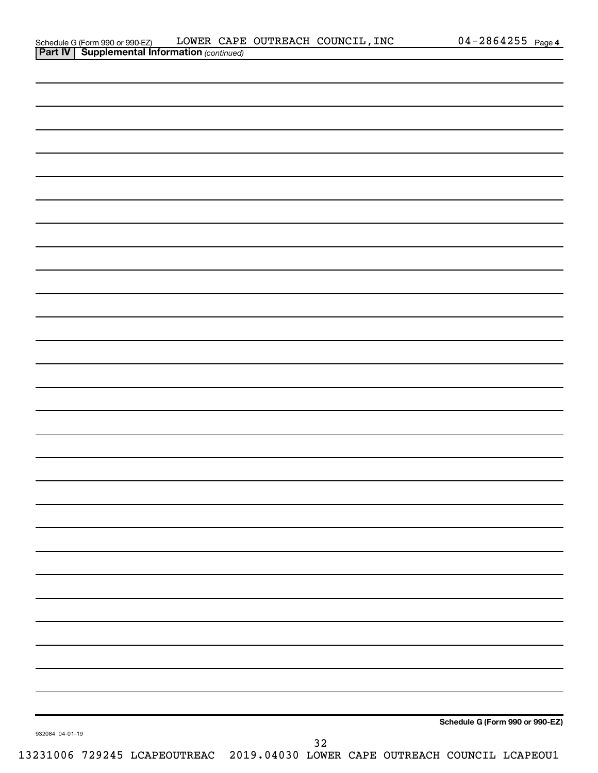| Schedule G (Form 990 or 990-EZ)                       |  | LOWER CAPE OUTREACH COUNCIL, INC | $04 - 2864255$ Page 4 |  |
|-------------------------------------------------------|--|----------------------------------|-----------------------|--|
| <b>Part IV   Supplemental Information (continued)</b> |  |                                  |                       |  |

| $\sim$ $\sim$ $\sim$ $\sim$ |  |                                 |
|-----------------------------|--|---------------------------------|
|                             |  |                                 |
|                             |  |                                 |
|                             |  |                                 |
|                             |  |                                 |
|                             |  |                                 |
|                             |  |                                 |
|                             |  |                                 |
|                             |  |                                 |
|                             |  |                                 |
|                             |  |                                 |
|                             |  |                                 |
|                             |  |                                 |
|                             |  |                                 |
|                             |  |                                 |
|                             |  |                                 |
|                             |  |                                 |
|                             |  |                                 |
|                             |  |                                 |
|                             |  |                                 |
|                             |  |                                 |
|                             |  |                                 |
|                             |  |                                 |
|                             |  |                                 |
|                             |  |                                 |
|                             |  |                                 |
|                             |  |                                 |
|                             |  |                                 |
|                             |  |                                 |
|                             |  |                                 |
|                             |  |                                 |
|                             |  |                                 |
|                             |  |                                 |
|                             |  |                                 |
|                             |  |                                 |
|                             |  |                                 |
|                             |  |                                 |
|                             |  |                                 |
|                             |  |                                 |
|                             |  |                                 |
|                             |  | Schedule G (Form 990 or 990-EZ) |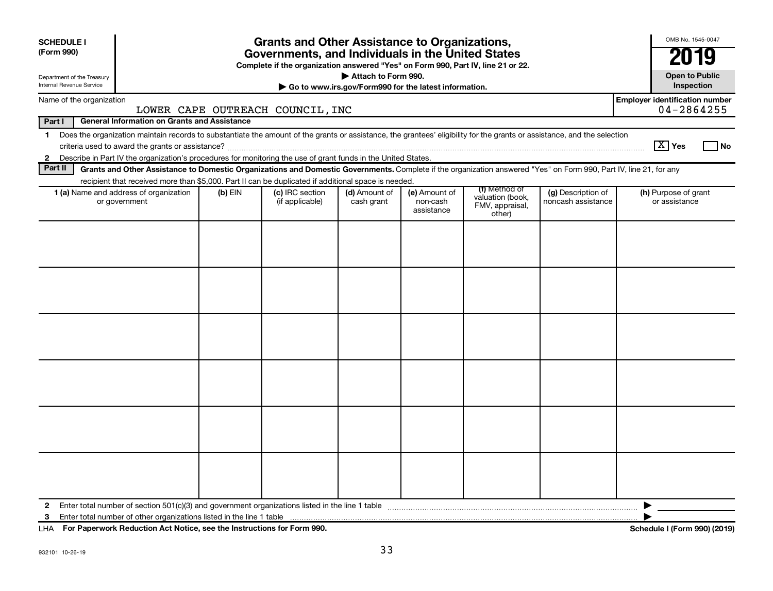| <b>SCHEDULE I</b><br>(Form 990) | <b>Grants and Other Assistance to Organizations,</b><br>Governments, and Individuals in the United States<br>Complete if the organization answered "Yes" on Form 990, Part IV, line 21 or 22.                                                                             |           |                                    |                             |                                         |                                                                |                                          |                                       |  |  |
|---------------------------------|---------------------------------------------------------------------------------------------------------------------------------------------------------------------------------------------------------------------------------------------------------------------------|-----------|------------------------------------|-----------------------------|-----------------------------------------|----------------------------------------------------------------|------------------------------------------|---------------------------------------|--|--|
|                                 | Attach to Form 990.<br><b>Open to Public</b><br>Department of the Treasury<br>Internal Revenue Service<br>Inspection<br>Go to www.irs.gov/Form990 for the latest information.                                                                                             |           |                                    |                             |                                         |                                                                |                                          |                                       |  |  |
|                                 | <b>Employer identification number</b><br>Name of the organization<br>04-2864255<br>LOWER CAPE OUTREACH COUNCIL, INC                                                                                                                                                       |           |                                    |                             |                                         |                                                                |                                          |                                       |  |  |
| Part I                          | <b>General Information on Grants and Assistance</b>                                                                                                                                                                                                                       |           |                                    |                             |                                         |                                                                |                                          |                                       |  |  |
| $\mathbf 1$                     | Does the organization maintain records to substantiate the amount of the grants or assistance, the grantees' eligibility for the grants or assistance, and the selection                                                                                                  |           |                                    |                             |                                         |                                                                |                                          | $\sqrt{X}$ Yes<br>l No                |  |  |
| Part II                         | 2 Describe in Part IV the organization's procedures for monitoring the use of grant funds in the United States.                                                                                                                                                           |           |                                    |                             |                                         |                                                                |                                          |                                       |  |  |
|                                 | Grants and Other Assistance to Domestic Organizations and Domestic Governments. Complete if the organization answered "Yes" on Form 990, Part IV, line 21, for any<br>recipient that received more than \$5,000. Part II can be duplicated if additional space is needed. |           |                                    |                             |                                         |                                                                |                                          |                                       |  |  |
|                                 | 1 (a) Name and address of organization<br>or government                                                                                                                                                                                                                   | $(b)$ EIN | (c) IRC section<br>(if applicable) | (d) Amount of<br>cash grant | (e) Amount of<br>non-cash<br>assistance | (f) Method of<br>valuation (book,<br>FMV, appraisal,<br>other) | (g) Description of<br>noncash assistance | (h) Purpose of grant<br>or assistance |  |  |
|                                 |                                                                                                                                                                                                                                                                           |           |                                    |                             |                                         |                                                                |                                          |                                       |  |  |
| $\mathbf{2}$<br>3               | Enter total number of other organizations listed in the line 1 table                                                                                                                                                                                                      |           |                                    |                             |                                         |                                                                |                                          |                                       |  |  |

**For Paperwork Reduction Act Notice, see the Instructions for Form 990. Schedule I (Form 990) (2019)** LHA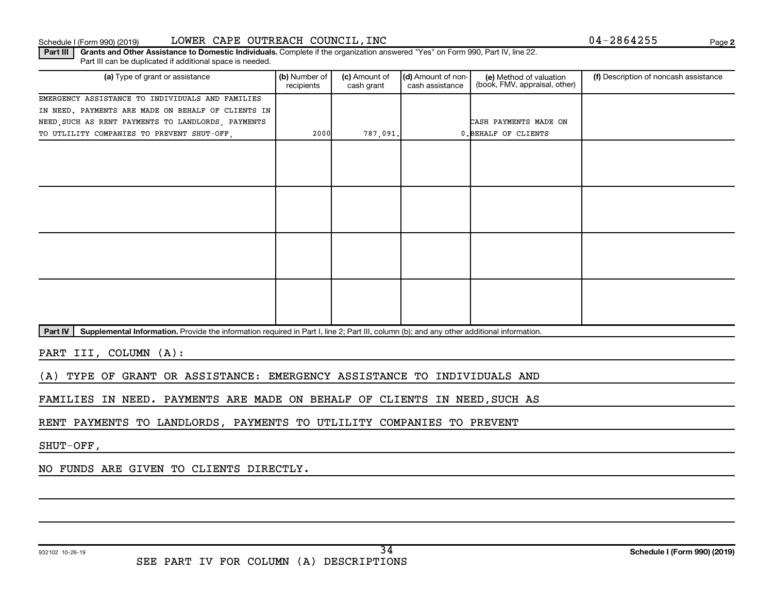#### Schedule I (Form 990) (2019) LOWER CAPE OUTREACH COUNCIL,INC Page

**2**

Part III | Grants and Other Assistance to Domestic Individuals. Complete if the organization answered "Yes" on Form 990, Part IV, line 22. Part III can be duplicated if additional space is needed.

| (a) Type of grant or assistance                    | (b) Number of<br>recipients | (c) Amount of<br>cash grant | (d) Amount of non-<br>cash assistance | (e) Method of valuation<br>(book, FMV, appraisal, other) | (f) Description of noncash assistance |
|----------------------------------------------------|-----------------------------|-----------------------------|---------------------------------------|----------------------------------------------------------|---------------------------------------|
| EMERGENCY ASSISTANCE TO INDIVIDUALS AND FAMILIES   |                             |                             |                                       |                                                          |                                       |
| IN NEED. PAYMENTS ARE MADE ON BEHALF OF CLIENTS IN |                             |                             |                                       |                                                          |                                       |
| NEED, SUCH AS RENT PAYMENTS TO LANDLORDS, PAYMENTS |                             |                             |                                       | CASH PAYMENTS MADE ON                                    |                                       |
| TO UTLILITY COMPANIES TO PREVENT SHUT-OFF,         | 2000                        | 787,091.                    |                                       | 0. BEHALF OF CLIENTS                                     |                                       |
|                                                    |                             |                             |                                       |                                                          |                                       |
|                                                    |                             |                             |                                       |                                                          |                                       |
|                                                    |                             |                             |                                       |                                                          |                                       |
|                                                    |                             |                             |                                       |                                                          |                                       |
|                                                    |                             |                             |                                       |                                                          |                                       |
|                                                    |                             |                             |                                       |                                                          |                                       |
|                                                    |                             |                             |                                       |                                                          |                                       |
|                                                    |                             |                             |                                       |                                                          |                                       |
|                                                    |                             |                             |                                       |                                                          |                                       |
|                                                    |                             |                             |                                       |                                                          |                                       |
|                                                    |                             |                             |                                       |                                                          |                                       |
|                                                    |                             |                             |                                       |                                                          |                                       |
|                                                    |                             |                             |                                       |                                                          |                                       |
|                                                    |                             |                             |                                       |                                                          |                                       |
|                                                    |                             |                             |                                       |                                                          |                                       |

Part IV | Supplemental Information. Provide the information required in Part I, line 2; Part III, column (b); and any other additional information.

PART III, COLUMN (A):

(A) TYPE OF GRANT OR ASSISTANCE: EMERGENCY ASSISTANCE TO INDIVIDUALS AND

FAMILIES IN NEED. PAYMENTS ARE MADE ON BEHALF OF CLIENTS IN NEED,SUCH AS

RENT PAYMENTS TO LANDLORDS, PAYMENTS TO UTLILITY COMPANIES TO PREVENT

SHUT-OFF,

NO FUNDS ARE GIVEN TO CLIENTS DIRECTLY.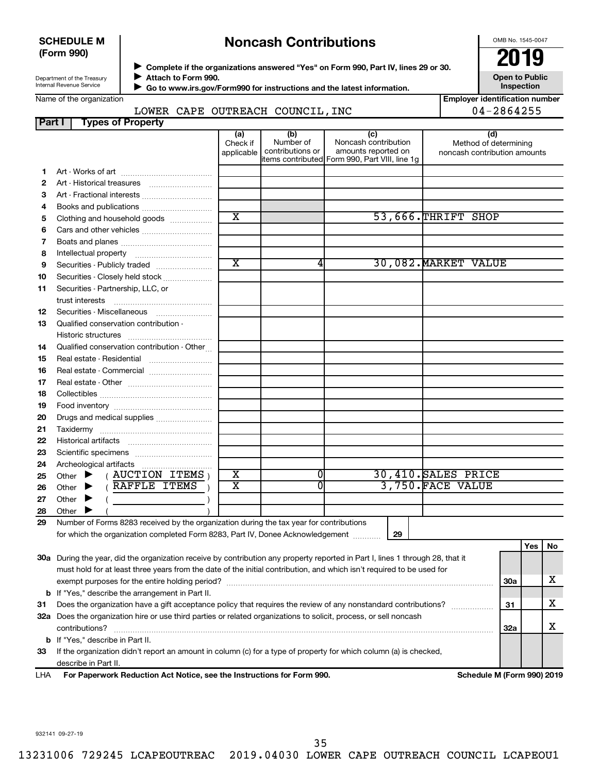#### **SCHEDULE M (Form 990)**

## **Noncash Contributions**

OMB No. 1545-0047

| Department of the Treasury |  |
|----------------------------|--|
| Internal Revenue Service   |  |

Name of the organization

◆ Complete if the organizations answered "Yes" on Form 990, Part IV, lines 29 or 30.<br>▶ Complete if the organizations answered "Yes" on Form 990, Part IV, lines 29 or 30. **Attach to Form 990.**  $\blacktriangleright$ 

 **Go to www.irs.gov/Form990 for instructions and the latest information.** J

**Inspection Employer identification number** 04-2864255

**Open to Public**

| $H = \frac{1}{2}$ |                                  |  |
|-------------------|----------------------------------|--|
|                   | LOWER CAPE OUTREACH COUNCIL, INC |  |

| <b>Part I</b> | Types of Property                                                                                                              |                         |                               |                                                |                                                       |            |     |    |
|---------------|--------------------------------------------------------------------------------------------------------------------------------|-------------------------|-------------------------------|------------------------------------------------|-------------------------------------------------------|------------|-----|----|
|               |                                                                                                                                | (a)                     | (b)                           | (c)                                            | (d)                                                   |            |     |    |
|               |                                                                                                                                | Check if<br>applicable  | Number of<br>contributions or | Noncash contribution<br>amounts reported on    | Method of determining<br>noncash contribution amounts |            |     |    |
|               |                                                                                                                                |                         |                               | items contributed Form 990, Part VIII, line 1g |                                                       |            |     |    |
| 1.            |                                                                                                                                |                         |                               |                                                |                                                       |            |     |    |
| 2             |                                                                                                                                |                         |                               |                                                |                                                       |            |     |    |
| З             | Art - Fractional interests                                                                                                     |                         |                               |                                                |                                                       |            |     |    |
| 4             |                                                                                                                                |                         |                               |                                                |                                                       |            |     |    |
| 5             | Clothing and household goods                                                                                                   | $\overline{\text{x}}$   |                               |                                                | 53,666.THRIFT SHOP                                    |            |     |    |
| 6             |                                                                                                                                |                         |                               |                                                |                                                       |            |     |    |
| 7             |                                                                                                                                |                         |                               |                                                |                                                       |            |     |    |
| 8             |                                                                                                                                |                         |                               |                                                |                                                       |            |     |    |
| 9             | Securities - Publicly traded                                                                                                   | $\overline{\texttt{x}}$ | 4                             |                                                | 30,082. MARKET VALUE                                  |            |     |    |
| 10            | Securities - Closely held stock                                                                                                |                         |                               |                                                |                                                       |            |     |    |
| 11            | Securities - Partnership, LLC, or                                                                                              |                         |                               |                                                |                                                       |            |     |    |
|               |                                                                                                                                |                         |                               |                                                |                                                       |            |     |    |
| 12            | Securities - Miscellaneous                                                                                                     |                         |                               |                                                |                                                       |            |     |    |
| 13            | Qualified conservation contribution -                                                                                          |                         |                               |                                                |                                                       |            |     |    |
|               |                                                                                                                                |                         |                               |                                                |                                                       |            |     |    |
| 14            | Qualified conservation contribution - Other                                                                                    |                         |                               |                                                |                                                       |            |     |    |
| 15            | Real estate - Residential                                                                                                      |                         |                               |                                                |                                                       |            |     |    |
| 16            | Real estate - Commercial                                                                                                       |                         |                               |                                                |                                                       |            |     |    |
| 17            |                                                                                                                                |                         |                               |                                                |                                                       |            |     |    |
| 18            |                                                                                                                                |                         |                               |                                                |                                                       |            |     |    |
| 19            |                                                                                                                                |                         |                               |                                                |                                                       |            |     |    |
| 20            | Drugs and medical supplies                                                                                                     |                         |                               |                                                |                                                       |            |     |    |
| 21            |                                                                                                                                |                         |                               |                                                |                                                       |            |     |    |
| 22            |                                                                                                                                |                         |                               |                                                |                                                       |            |     |    |
| 23            |                                                                                                                                |                         |                               |                                                |                                                       |            |     |    |
| 24            |                                                                                                                                |                         |                               |                                                |                                                       |            |     |    |
| 25            | $($ AUCTION ITEMS $)$<br>Other $\blacktriangleright$                                                                           | х                       | 0                             |                                                | 30,410. SALES PRICE                                   |            |     |    |
| 26            | (RAFFLE ITEMS)<br>Other $\blacktriangleright$                                                                                  | $\overline{\text{x}}$   | 0                             |                                                | 3.750.FACE VALUE                                      |            |     |    |
| 27            | Other $\blacktriangleright$                                                                                                    |                         |                               |                                                |                                                       |            |     |    |
| 28            | Other                                                                                                                          |                         |                               |                                                |                                                       |            |     |    |
| 29            | Number of Forms 8283 received by the organization during the tax year for contributions                                        |                         |                               |                                                |                                                       |            |     |    |
|               | for which the organization completed Form 8283, Part IV, Donee Acknowledgement                                                 |                         |                               | 29                                             |                                                       |            |     |    |
|               |                                                                                                                                |                         |                               |                                                |                                                       |            | Yes | No |
|               | 30a During the year, did the organization receive by contribution any property reported in Part I, lines 1 through 28, that it |                         |                               |                                                |                                                       |            |     |    |
|               | must hold for at least three years from the date of the initial contribution, and which isn't required to be used for          |                         |                               |                                                |                                                       |            |     |    |
|               |                                                                                                                                |                         |                               |                                                |                                                       | <b>30a</b> |     | x  |
|               | <b>b</b> If "Yes," describe the arrangement in Part II.                                                                        |                         |                               |                                                |                                                       |            |     |    |
| 31            | Does the organization have a gift acceptance policy that requires the review of any nonstandard contributions?                 |                         |                               |                                                |                                                       | 31         |     | x  |
|               | 32a Does the organization hire or use third parties or related organizations to solicit, process, or sell noncash              |                         |                               |                                                |                                                       |            |     |    |
|               | contributions?                                                                                                                 |                         |                               |                                                |                                                       | 32a        |     | x  |
|               | <b>b</b> If "Yes," describe in Part II.                                                                                        |                         |                               |                                                |                                                       |            |     |    |
| 33            | If the organization didn't report an amount in column (c) for a type of property for which column (a) is checked,              |                         |                               |                                                |                                                       |            |     |    |
|               | describe in Part II.                                                                                                           |                         |                               |                                                |                                                       |            |     |    |

**For Paperwork Reduction Act Notice, see the Instructions for Form 990. Schedule M (Form 990) 2019** LHA

932141 09-27-19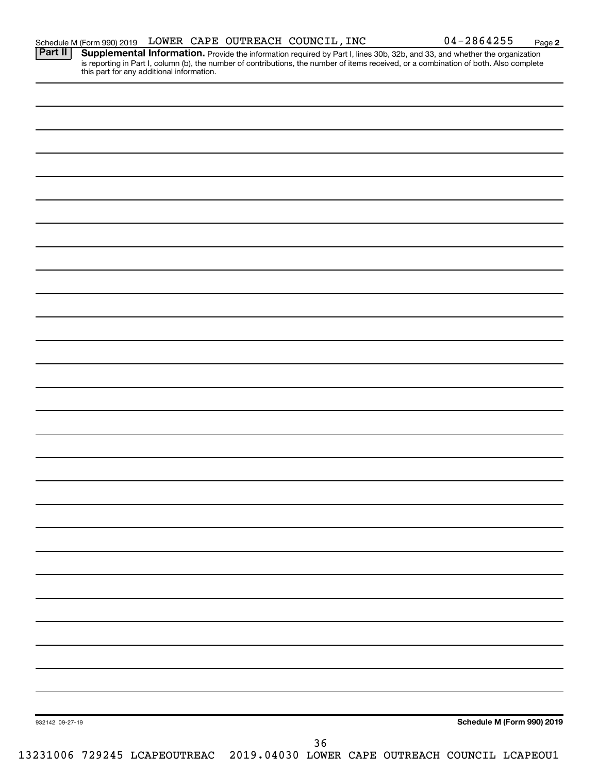Part II | Supplemental Information. Provide the information required by Part I, lines 30b, 32b, and 33, and whether the organization is reporting in Part I, column (b), the number of contributions, the number of items received, or a combination of both. Also complete this part for any additional information.

| 932142 09-27-19 | Schedule M (Form 990) 2019<br>$36$ |
|-----------------|------------------------------------|
|                 |                                    |
|                 |                                    |
|                 |                                    |
|                 |                                    |
|                 |                                    |
|                 |                                    |
|                 |                                    |
|                 |                                    |
|                 |                                    |
|                 |                                    |
|                 |                                    |
|                 |                                    |
|                 |                                    |
|                 |                                    |
|                 |                                    |
|                 |                                    |
|                 |                                    |
|                 |                                    |
|                 |                                    |
|                 |                                    |
|                 |                                    |
|                 |                                    |
|                 |                                    |
|                 |                                    |